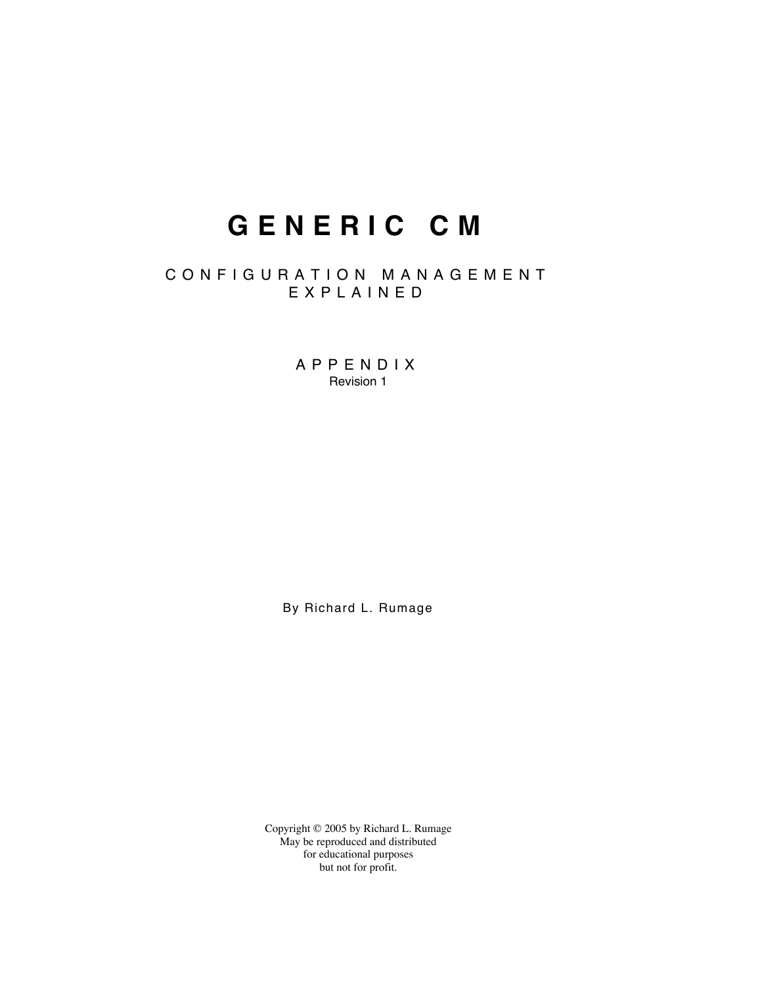# **G E N E R I C C M**

## C O N F I G U R A T I O N M A N A G E M E N T E X P L A I N E D

A P P E N D I X Revision 1

By Richard L. Rumage

Copyright © 2005 by Richard L. Rumage May be reproduced and distributed for educational purposes but not for profit.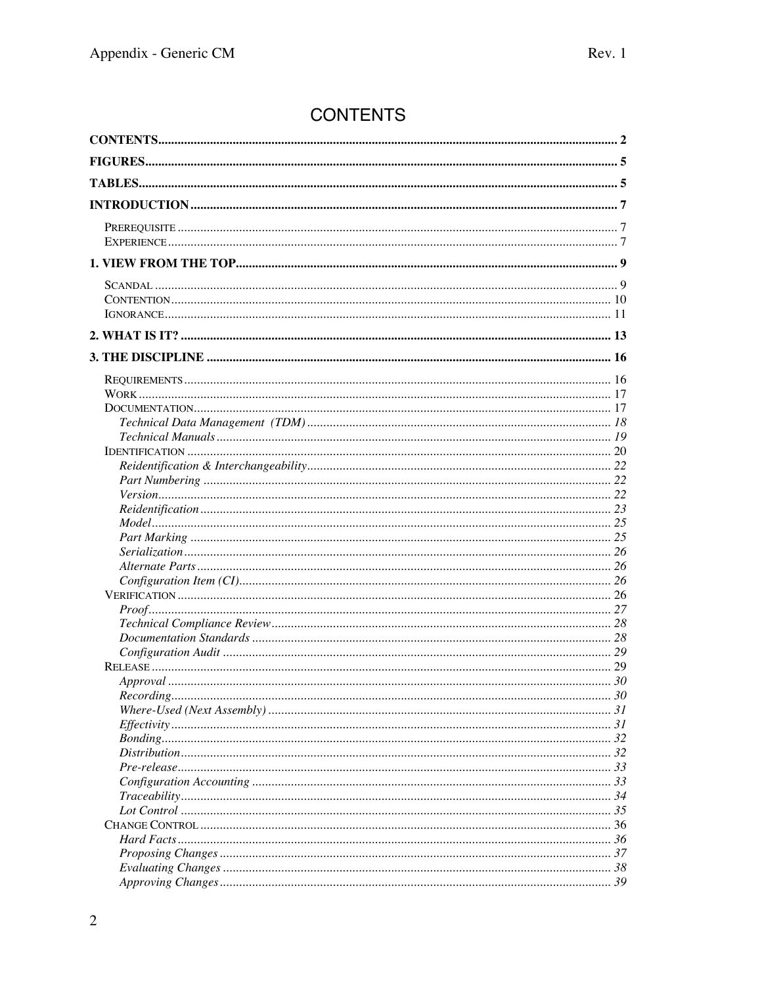## **CONTENTS**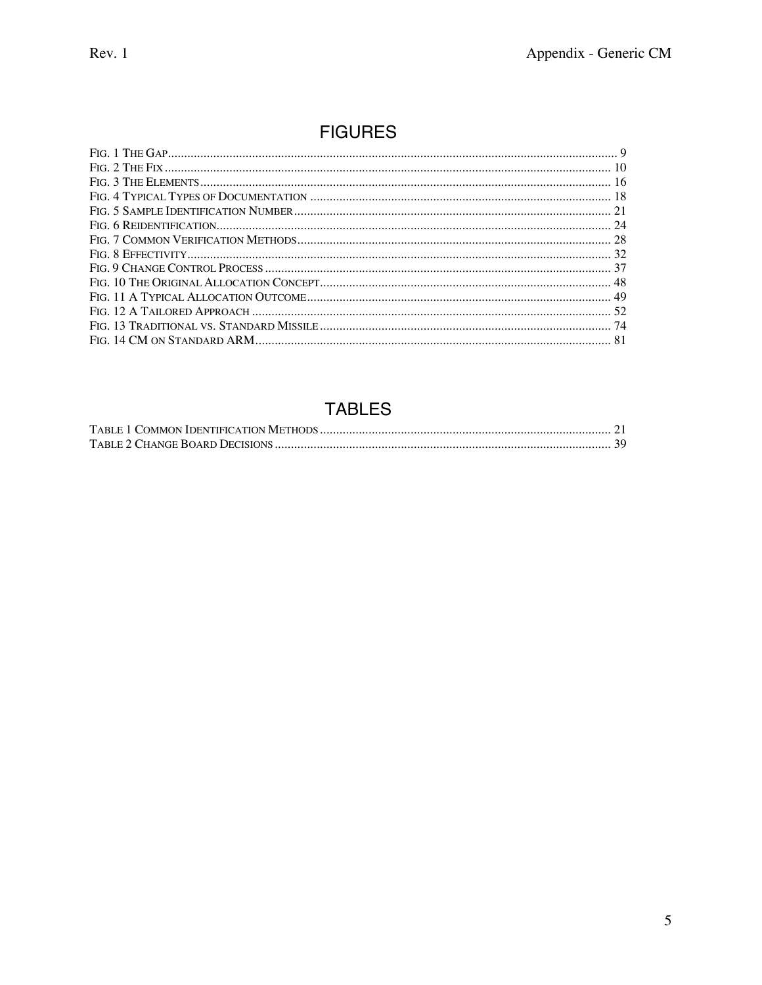## **FIGURES**

## **TABLES**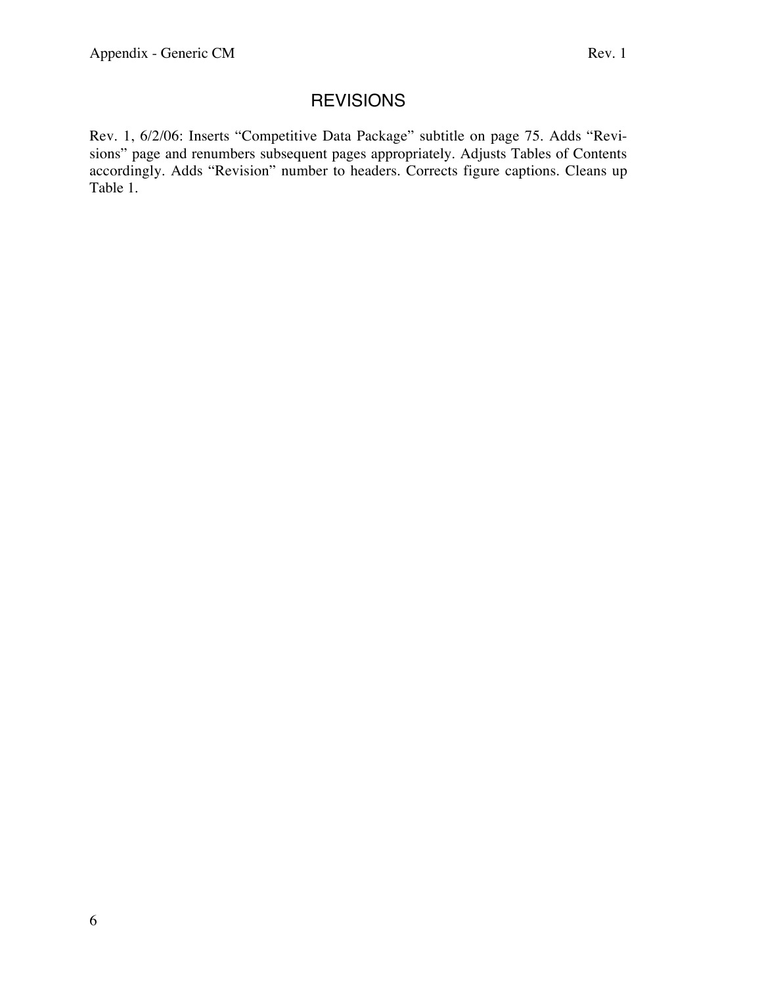## **REVISIONS**

Rev. 1, 6/2/06: Inserts "Competitive Data Package" subtitle on page 75. Adds "Revisions" page and renumbers subsequent pages appropriately. Adjusts Tables of Contents accordingly. Adds "Revision" number to headers. Corrects figure captions. Cleans up Table 1.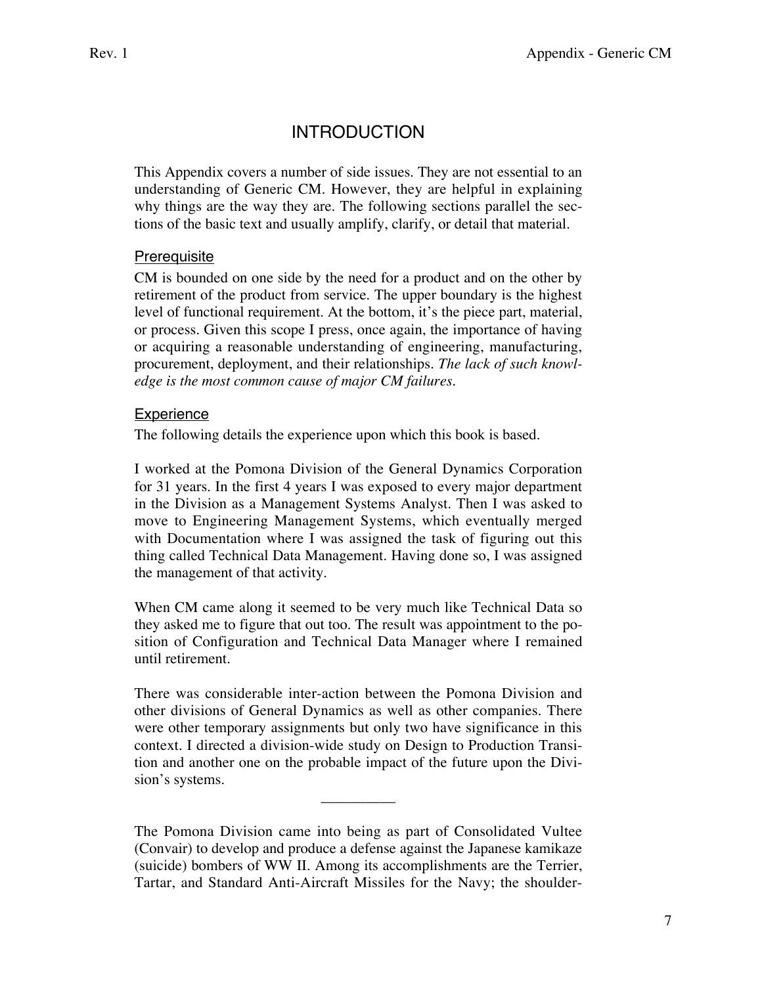## **INTRODUCTION**

This Appendix covers a number of side issues. They are not essential to an understanding of Generic CM. However, they are helpful in explaining why things are the way they are. The following sections parallel the sections of the basic text and usually amplify, clarify, or detail that material.

## **Prerequisite**

CM is bounded on one side by the need for a product and on the other by retirement of the product from service. The upper boundary is the highest level of functional requirement. At the bottom, it's the piece part, material, or process. Given this scope I press, once again, the importance of having or acquiring a reasonable understanding of engineering, manufacturing, procurement, deployment, and their relationships. *The lack of such knowledge is the most common cause of major CM failures.*

## **Experience**

The following details the experience upon which this book is based.

I worked at the Pomona Division of the General Dynamics Corporation for 31 years. In the first 4 years I was exposed to every major department in the Division as a Management Systems Analyst. Then I was asked to move to Engineering Management Systems, which eventually merged with Documentation where I was assigned the task of figuring out this thing called Technical Data Management. Having done so, I was assigned the management of that activity.

When CM came along it seemed to be very much like Technical Data so they asked me to figure that out too. The result was appointment to the position of Configuration and Technical Data Manager where I remained until retirement.

There was considerable inter-action between the Pomona Division and other divisions of General Dynamics as well as other companies. There were other temporary assignments but only two have significance in this context. I directed a division-wide study on Design to Production Transition and another one on the probable impact of the future upon the Division's systems.

The Pomona Division came into being as part of Consolidated Vultee (Convair) to develop and produce a defense against the Japanese kamikaze (suicide) bombers of WW II. Among its accomplishments are the Terrier, Tartar, and Standard Anti-Aircraft Missiles for the Navy; the shoulder-

\_\_\_\_\_\_\_\_\_\_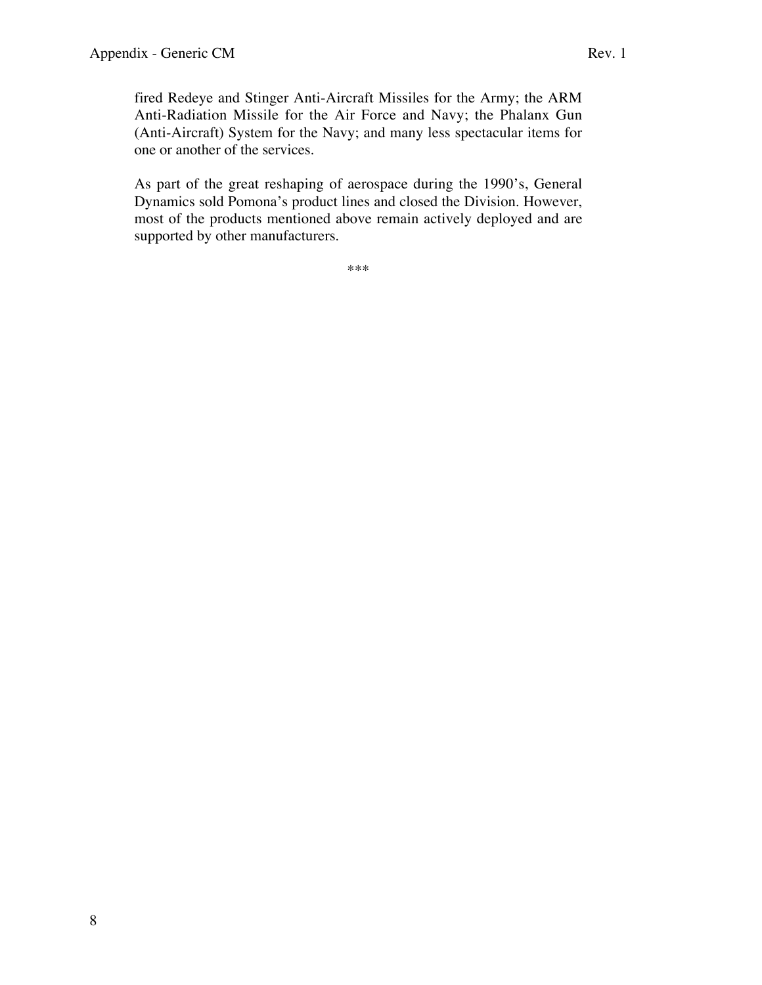As part of the great reshaping of aerospace during the 1990's, General Dynamics sold Pomona's product lines and closed the Division. However, most of the products mentioned above remain actively deployed and are supported by other manufacturers.

\*\*\*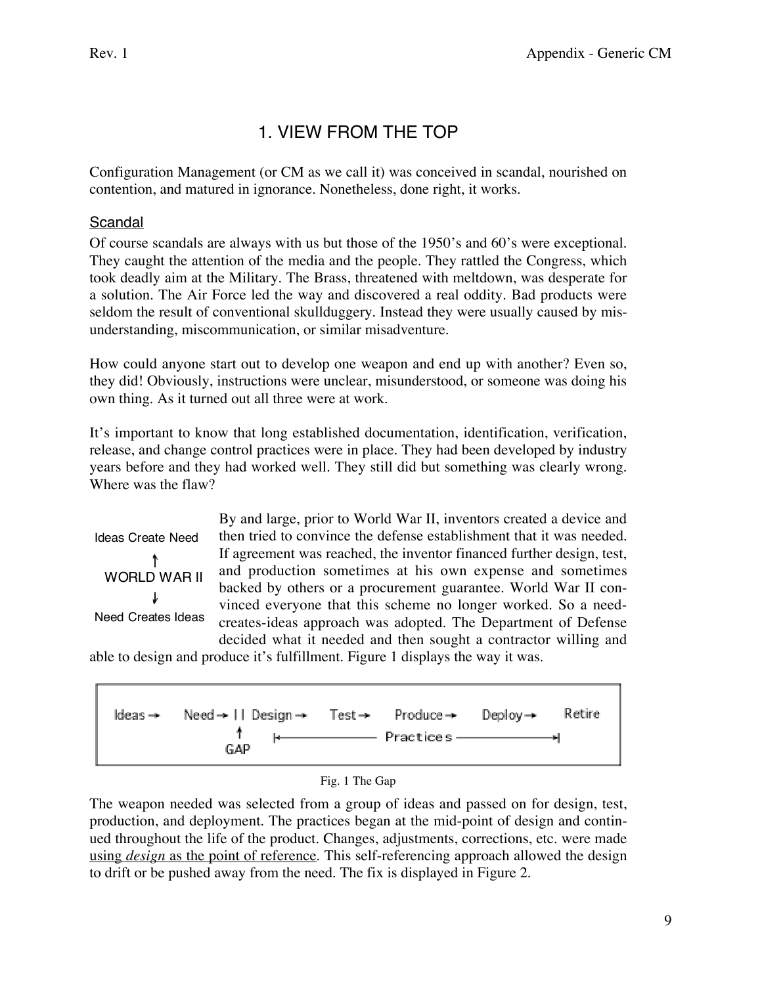## 1. VIEW FROM THE TOP

Configuration Management (or CM as we call it) was conceived in scandal, nourished on contention, and matured in ignorance. Nonetheless, done right, it works.

## Scandal

Of course scandals are always with us but those of the 1950's and 60's were exceptional. They caught the attention of the media and the people. They rattled the Congress, which took deadly aim at the Military. The Brass, threatened with meltdown, was desperate for a solution. The Air Force led the way and discovered a real oddity. Bad products were seldom the result of conventional skullduggery. Instead they were usually caused by misunderstanding, miscommunication, or similar misadventure.

How could anyone start out to develop one weapon and end up with another? Even so, they did! Obviously, instructions were unclear, misunderstood, or someone was doing his own thing. As it turned out all three were at work.

It's important to know that long established documentation, identification, verification, release, and change control practices were in place. They had been developed by industry years before and they had worked well. They still did but something was clearly wrong. Where was the flaw?

Ideas Create Need ↟ WORLD WAR II Need Creates Ideas By and large, prior to World War II, inventors created a device and then tried to convince the defense establishment that it was needed. If agreement was reached, the inventor financed further design, test, and production sometimes at his own expense and sometimes backed by others or a procurement guarantee. World War II convinced everyone that this scheme no longer worked. So a needcreates-ideas approach was adopted. The Department of Defense decided what it needed and then sought a contractor willing and

able to design and produce it's fulfillment. Figure 1 displays the way it was.





The weapon needed was selected from a group of ideas and passed on for design, test, production, and deployment. The practices began at the mid-point of design and continued throughout the life of the product. Changes, adjustments, corrections, etc. were made using *design* as the point of reference. This self-referencing approach allowed the design to drift or be pushed away from the need. The fix is displayed in Figure 2.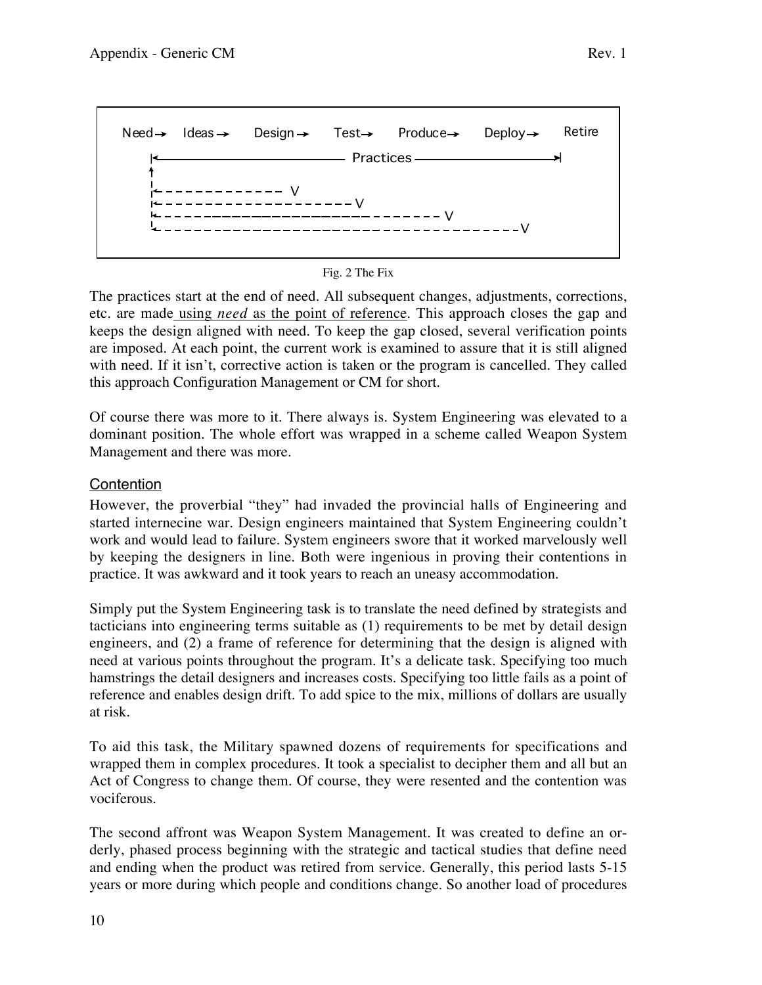```
Need \rightarrow Ideas \rightarrow Design \rightarrow Test \rightarrow Produce \rightarrow Deploy \rightarrow Retire
                       - Practices -
   ------V-----VV
        -----------------
                                                      V
```


The practices start at the end of need. All subsequent changes, adjustments, corrections, etc. are made using *need* as the point of reference. This approach closes the gap and keeps the design aligned with need. To keep the gap closed, several verification points are imposed. At each point, the current work is examined to assure that it is still aligned with need. If it isn't, corrective action is taken or the program is cancelled. They called this approach Configuration Management or CM for short.

Of course there was more to it. There always is. System Engineering was elevated to a dominant position. The whole effort was wrapped in a scheme called Weapon System Management and there was more.

## **Contention**

However, the proverbial "they" had invaded the provincial halls of Engineering and started internecine war. Design engineers maintained that System Engineering couldn't work and would lead to failure. System engineers swore that it worked marvelously well by keeping the designers in line. Both were ingenious in proving their contentions in practice. It was awkward and it took years to reach an uneasy accommodation.

Simply put the System Engineering task is to translate the need defined by strategists and tacticians into engineering terms suitable as (1) requirements to be met by detail design engineers, and (2) a frame of reference for determining that the design is aligned with need at various points throughout the program. It's a delicate task. Specifying too much hamstrings the detail designers and increases costs. Specifying too little fails as a point of reference and enables design drift. To add spice to the mix, millions of dollars are usually at risk.

To aid this task, the Military spawned dozens of requirements for specifications and wrapped them in complex procedures. It took a specialist to decipher them and all but an Act of Congress to change them. Of course, they were resented and the contention was vociferous.

The second affront was Weapon System Management. It was created to define an orderly, phased process beginning with the strategic and tactical studies that define need and ending when the product was retired from service. Generally, this period lasts 5-15 years or more during which people and conditions change. So another load of procedures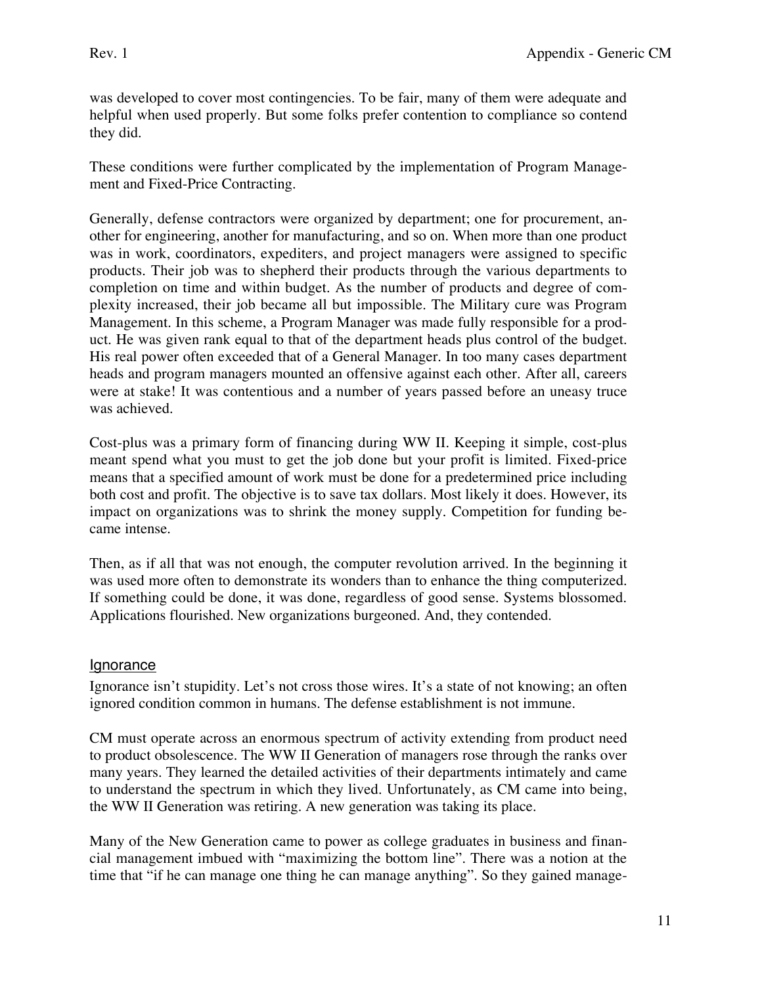was developed to cover most contingencies. To be fair, many of them were adequate and helpful when used properly. But some folks prefer contention to compliance so contend they did.

These conditions were further complicated by the implementation of Program Management and Fixed-Price Contracting.

Generally, defense contractors were organized by department; one for procurement, another for engineering, another for manufacturing, and so on. When more than one product was in work, coordinators, expediters, and project managers were assigned to specific products. Their job was to shepherd their products through the various departments to completion on time and within budget. As the number of products and degree of complexity increased, their job became all but impossible. The Military cure was Program Management. In this scheme, a Program Manager was made fully responsible for a product. He was given rank equal to that of the department heads plus control of the budget. His real power often exceeded that of a General Manager. In too many cases department heads and program managers mounted an offensive against each other. After all, careers were at stake! It was contentious and a number of years passed before an uneasy truce was achieved.

Cost-plus was a primary form of financing during WW II. Keeping it simple, cost-plus meant spend what you must to get the job done but your profit is limited. Fixed-price means that a specified amount of work must be done for a predetermined price including both cost and profit. The objective is to save tax dollars. Most likely it does. However, its impact on organizations was to shrink the money supply. Competition for funding became intense.

Then, as if all that was not enough, the computer revolution arrived. In the beginning it was used more often to demonstrate its wonders than to enhance the thing computerized. If something could be done, it was done, regardless of good sense. Systems blossomed. Applications flourished. New organizations burgeoned. And, they contended.

## **Ignorance**

Ignorance isn't stupidity. Let's not cross those wires. It's a state of not knowing; an often ignored condition common in humans. The defense establishment is not immune.

CM must operate across an enormous spectrum of activity extending from product need to product obsolescence. The WW II Generation of managers rose through the ranks over many years. They learned the detailed activities of their departments intimately and came to understand the spectrum in which they lived. Unfortunately, as CM came into being, the WW II Generation was retiring. A new generation was taking its place.

Many of the New Generation came to power as college graduates in business and financial management imbued with "maximizing the bottom line". There was a notion at the time that "if he can manage one thing he can manage anything". So they gained manage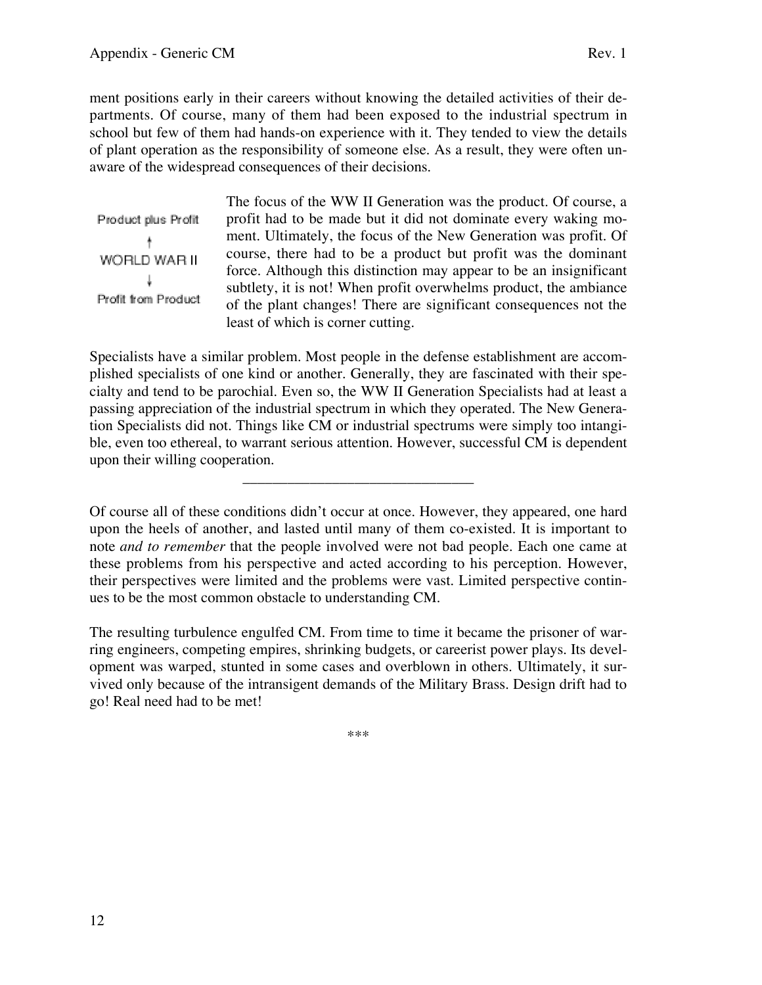ment positions early in their careers without knowing the detailed activities of their departments. Of course, many of them had been exposed to the industrial spectrum in school but few of them had hands-on experience with it. They tended to view the details of plant operation as the responsibility of someone else. As a result, they were often unaware of the widespread consequences of their decisions.

Product plus Profit WORLD WAR II ¥ Profit from Product

The focus of the WW II Generation was the product. Of course, a profit had to be made but it did not dominate every waking moment. Ultimately, the focus of the New Generation was profit. Of course, there had to be a product but profit was the dominant force. Although this distinction may appear to be an insignificant subtlety, it is not! When profit overwhelms product, the ambiance of the plant changes! There are significant consequences not the least of which is corner cutting.

Specialists have a similar problem. Most people in the defense establishment are accomplished specialists of one kind or another. Generally, they are fascinated with their specialty and tend to be parochial. Even so, the WW II Generation Specialists had at least a passing appreciation of the industrial spectrum in which they operated. The New Generation Specialists did not. Things like CM or industrial spectrums were simply too intangible, even too ethereal, to warrant serious attention. However, successful CM is dependent upon their willing cooperation.

\_\_\_\_\_\_\_\_\_\_\_\_\_\_\_\_\_\_\_\_\_\_\_\_\_\_\_\_\_\_\_

Of course all of these conditions didn't occur at once. However, they appeared, one hard upon the heels of another, and lasted until many of them co-existed. It is important to note *and to remember* that the people involved were not bad people. Each one came at these problems from his perspective and acted according to his perception. However, their perspectives were limited and the problems were vast. Limited perspective continues to be the most common obstacle to understanding CM.

The resulting turbulence engulfed CM. From time to time it became the prisoner of warring engineers, competing empires, shrinking budgets, or careerist power plays. Its development was warped, stunted in some cases and overblown in others. Ultimately, it survived only because of the intransigent demands of the Military Brass. Design drift had to go! Real need had to be met!

\*\*\*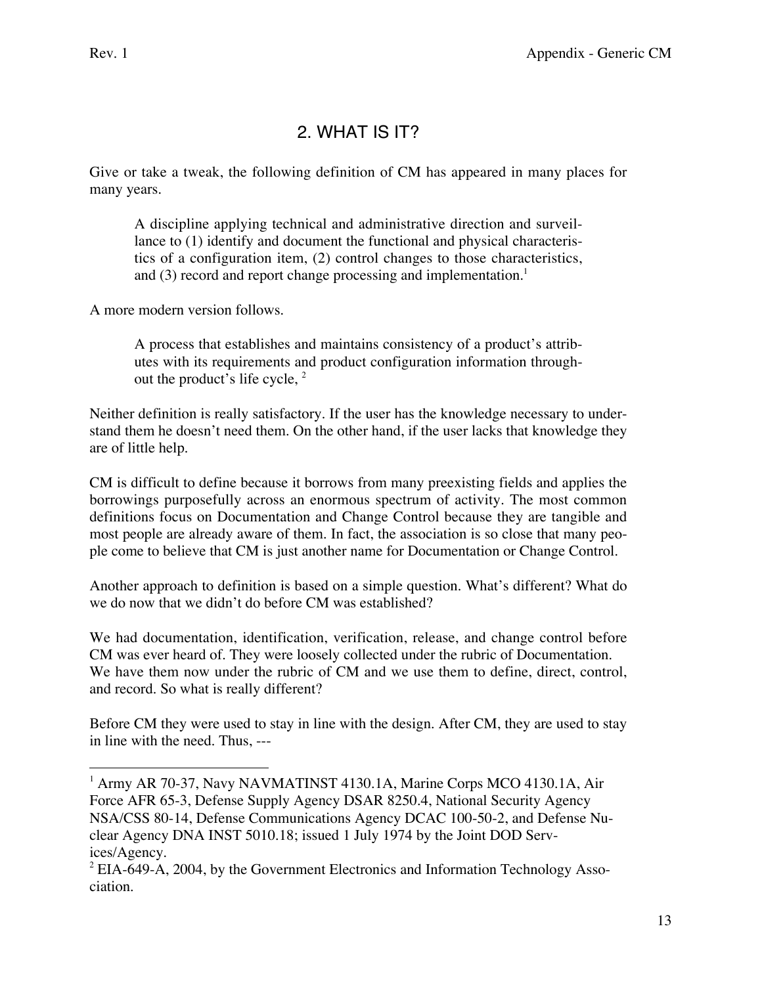$\overline{a}$ 

## 2. WHAT IS IT?

Give or take a tweak, the following definition of CM has appeared in many places for many years.

A discipline applying technical and administrative direction and surveillance to (1) identify and document the functional and physical characteristics of a configuration item, (2) control changes to those characteristics, and  $(3)$  record and report change processing and implementation.<sup>1</sup>

A more modern version follows.

A process that establishes and maintains consistency of a product's attributes with its requirements and product configuration information throughout the product's life cycle, <sup>2</sup>

Neither definition is really satisfactory. If the user has the knowledge necessary to understand them he doesn't need them. On the other hand, if the user lacks that knowledge they are of little help.

CM is difficult to define because it borrows from many preexisting fields and applies the borrowings purposefully across an enormous spectrum of activity. The most common definitions focus on Documentation and Change Control because they are tangible and most people are already aware of them. In fact, the association is so close that many people come to believe that CM is just another name for Documentation or Change Control.

Another approach to definition is based on a simple question. What's different? What do we do now that we didn't do before CM was established?

We had documentation, identification, verification, release, and change control before CM was ever heard of. They were loosely collected under the rubric of Documentation. We have them now under the rubric of CM and we use them to define, direct, control, and record. So what is really different?

Before CM they were used to stay in line with the design. After CM, they are used to stay in line with the need. Thus, ---

<sup>&</sup>lt;sup>1</sup> Army AR 70-37, Navy NAVMATINST 4130.1A, Marine Corps MCO 4130.1A, Air Force AFR 65-3, Defense Supply Agency DSAR 8250.4, National Security Agency NSA/CSS 80-14, Defense Communications Agency DCAC 100-50-2, and Defense Nuclear Agency DNA INST 5010.18; issued 1 July 1974 by the Joint DOD Services/Agency.

 $2$  EIA-649-A, 2004, by the Government Electronics and Information Technology Association.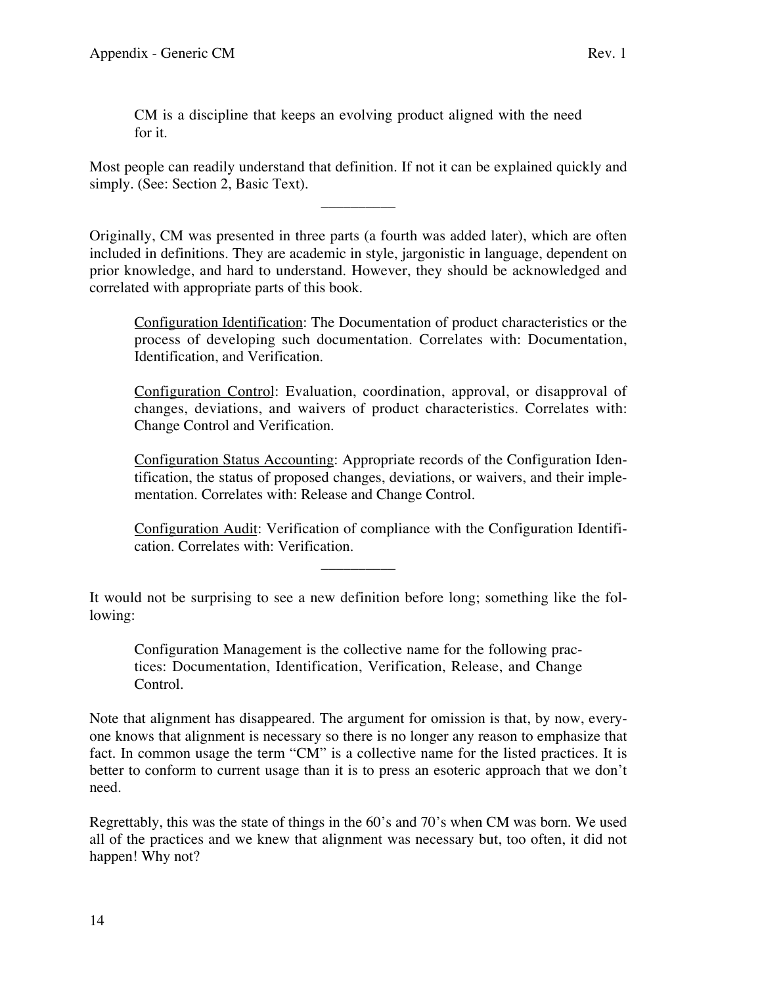CM is a discipline that keeps an evolving product aligned with the need for it.

Most people can readily understand that definition. If not it can be explained quickly and simply. (See: Section 2, Basic Text).

\_\_\_\_\_\_\_\_\_\_

Originally, CM was presented in three parts (a fourth was added later), which are often included in definitions. They are academic in style, jargonistic in language, dependent on prior knowledge, and hard to understand. However, they should be acknowledged and correlated with appropriate parts of this book.

Configuration Identification: The Documentation of product characteristics or the process of developing such documentation. Correlates with: Documentation, Identification, and Verification.

Configuration Control: Evaluation, coordination, approval, or disapproval of changes, deviations, and waivers of product characteristics. Correlates with: Change Control and Verification.

Configuration Status Accounting: Appropriate records of the Configuration Identification, the status of proposed changes, deviations, or waivers, and their implementation. Correlates with: Release and Change Control.

Configuration Audit: Verification of compliance with the Configuration Identification. Correlates with: Verification.

It would not be surprising to see a new definition before long; something like the following:

\_\_\_\_\_\_\_\_\_\_

Configuration Management is the collective name for the following practices: Documentation, Identification, Verification, Release, and Change Control.

Note that alignment has disappeared. The argument for omission is that, by now, everyone knows that alignment is necessary so there is no longer any reason to emphasize that fact. In common usage the term "CM" is a collective name for the listed practices. It is better to conform to current usage than it is to press an esoteric approach that we don't need.

Regrettably, this was the state of things in the 60's and 70's when CM was born. We used all of the practices and we knew that alignment was necessary but, too often, it did not happen! Why not?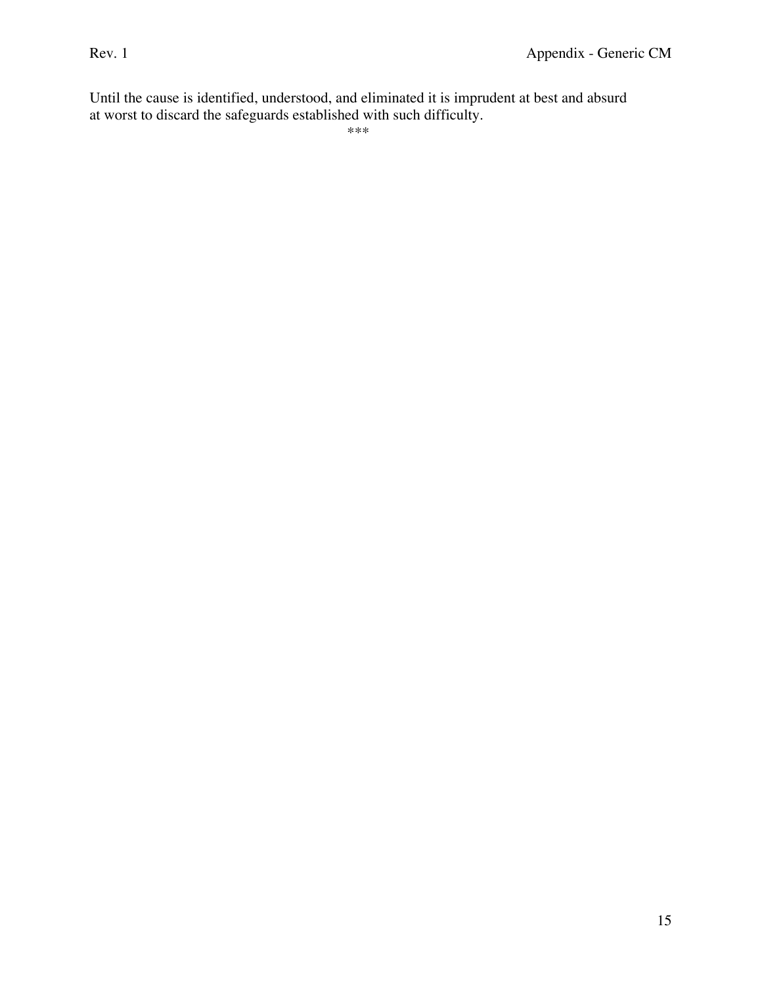Until the cause is identified, understood, and eliminated it is imprudent at best and absurd at worst to discard the safeguards established with such difficulty.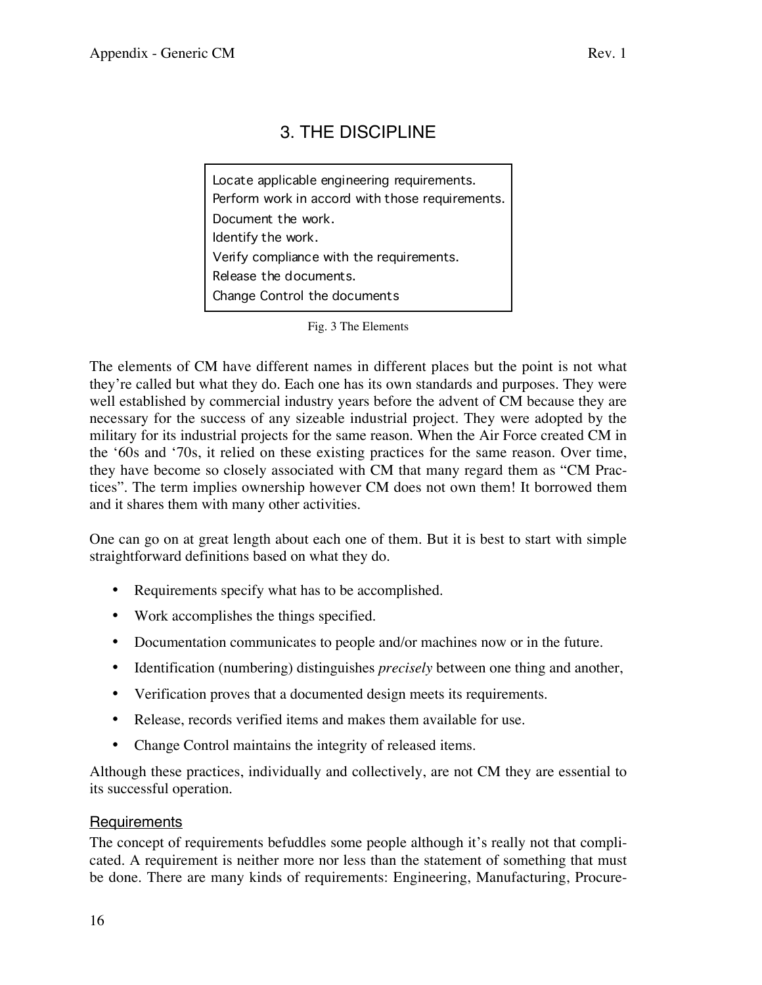## 3. THE DISCIPLINE

Locate applicable engineering requirements. Document the work. Identify the work. Release the documents. Change Control the documents Verify compliance with the requirements. Perform work in accord with those requirements.

Fig. 3 The Elements

The elements of CM have different names in different places but the point is not what they're called but what they do. Each one has its own standards and purposes. They were well established by commercial industry years before the advent of CM because they are necessary for the success of any sizeable industrial project. They were adopted by the military for its industrial projects for the same reason. When the Air Force created CM in the '60s and '70s, it relied on these existing practices for the same reason. Over time, they have become so closely associated with CM that many regard them as "CM Practices". The term implies ownership however CM does not own them! It borrowed them and it shares them with many other activities.

One can go on at great length about each one of them. But it is best to start with simple straightforward definitions based on what they do.

- Requirements specify what has to be accomplished.
- Work accomplishes the things specified.
- Documentation communicates to people and/or machines now or in the future.
- Identification (numbering) distinguishes *precisely* between one thing and another,
- Verification proves that a documented design meets its requirements.
- Release, records verified items and makes them available for use.
- Change Control maintains the integrity of released items.

Although these practices, individually and collectively, are not CM they are essential to its successful operation.

## Requirements

The concept of requirements befuddles some people although it's really not that complicated. A requirement is neither more nor less than the statement of something that must be done. There are many kinds of requirements: Engineering, Manufacturing, Procure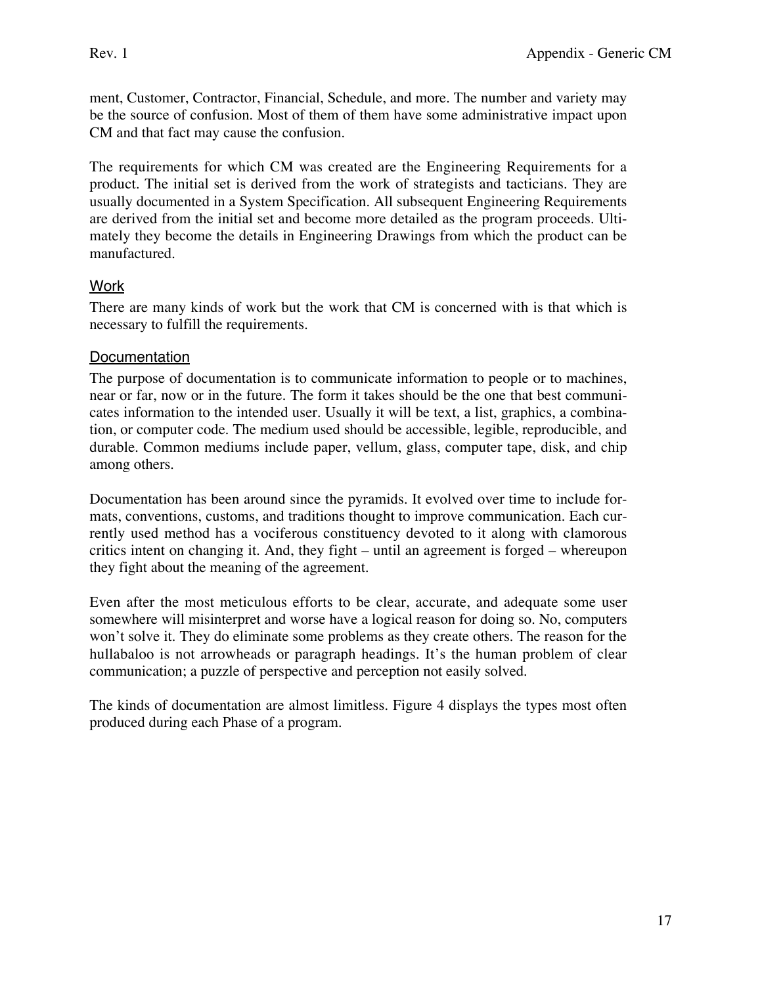ment, Customer, Contractor, Financial, Schedule, and more. The number and variety may be the source of confusion. Most of them of them have some administrative impact upon CM and that fact may cause the confusion.

The requirements for which CM was created are the Engineering Requirements for a product. The initial set is derived from the work of strategists and tacticians. They are usually documented in a System Specification. All subsequent Engineering Requirements are derived from the initial set and become more detailed as the program proceeds. Ultimately they become the details in Engineering Drawings from which the product can be manufactured.

## **Work**

There are many kinds of work but the work that CM is concerned with is that which is necessary to fulfill the requirements.

## **Documentation**

The purpose of documentation is to communicate information to people or to machines, near or far, now or in the future. The form it takes should be the one that best communicates information to the intended user. Usually it will be text, a list, graphics, a combination, or computer code. The medium used should be accessible, legible, reproducible, and durable. Common mediums include paper, vellum, glass, computer tape, disk, and chip among others.

Documentation has been around since the pyramids. It evolved over time to include formats, conventions, customs, and traditions thought to improve communication. Each currently used method has a vociferous constituency devoted to it along with clamorous critics intent on changing it. And, they fight – until an agreement is forged – whereupon they fight about the meaning of the agreement.

Even after the most meticulous efforts to be clear, accurate, and adequate some user somewhere will misinterpret and worse have a logical reason for doing so. No, computers won't solve it. They do eliminate some problems as they create others. The reason for the hullabaloo is not arrowheads or paragraph headings. It's the human problem of clear communication; a puzzle of perspective and perception not easily solved.

The kinds of documentation are almost limitless. Figure 4 displays the types most often produced during each Phase of a program.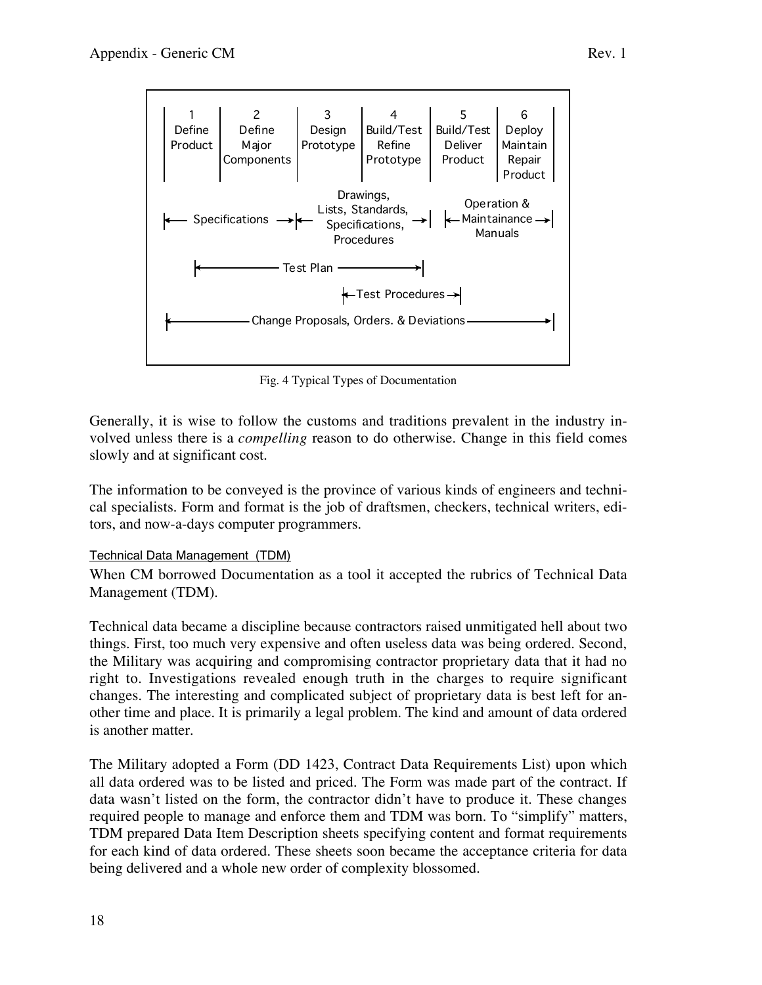

Fig. 4 Typical Types of Documentation

Generally, it is wise to follow the customs and traditions prevalent in the industry involved unless there is a *compelling* reason to do otherwise. Change in this field comes slowly and at significant cost.

The information to be conveyed is the province of various kinds of engineers and technical specialists. Form and format is the job of draftsmen, checkers, technical writers, editors, and now-a-days computer programmers.

## Technical Data Management (TDM)

When CM borrowed Documentation as a tool it accepted the rubrics of Technical Data Management (TDM).

Technical data became a discipline because contractors raised unmitigated hell about two things. First, too much very expensive and often useless data was being ordered. Second, the Military was acquiring and compromising contractor proprietary data that it had no right to. Investigations revealed enough truth in the charges to require significant changes. The interesting and complicated subject of proprietary data is best left for another time and place. It is primarily a legal problem. The kind and amount of data ordered is another matter.

The Military adopted a Form (DD 1423, Contract Data Requirements List) upon which all data ordered was to be listed and priced. The Form was made part of the contract. If data wasn't listed on the form, the contractor didn't have to produce it. These changes required people to manage and enforce them and TDM was born. To "simplify" matters, TDM prepared Data Item Description sheets specifying content and format requirements for each kind of data ordered. These sheets soon became the acceptance criteria for data being delivered and a whole new order of complexity blossomed.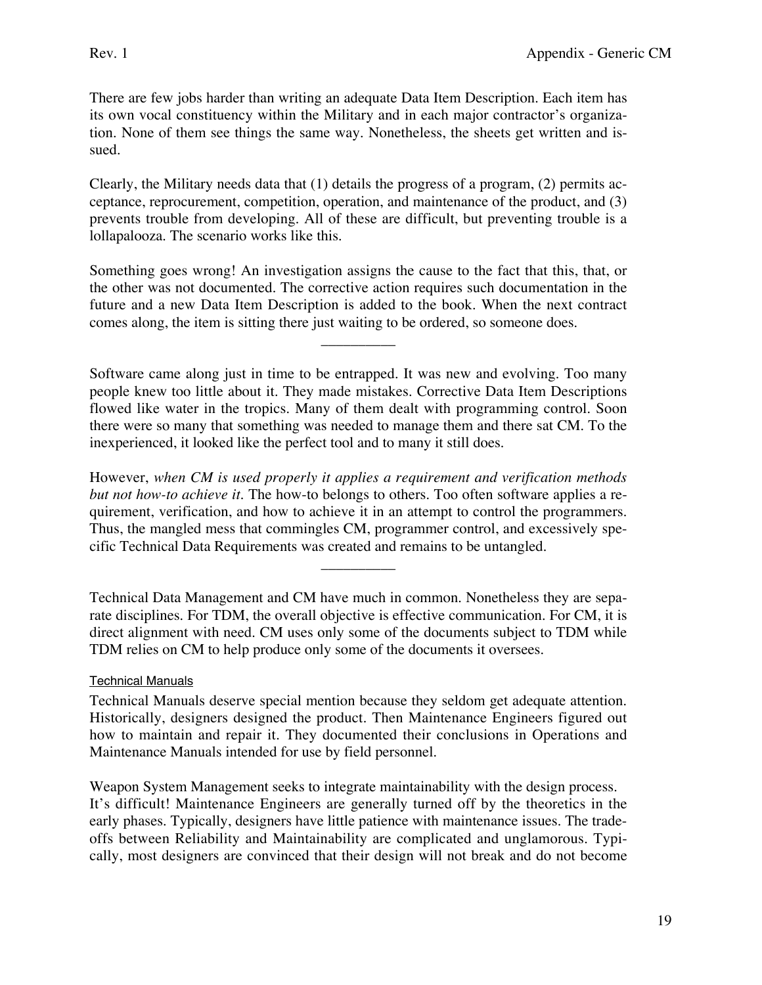There are few jobs harder than writing an adequate Data Item Description. Each item has its own vocal constituency within the Military and in each major contractor's organization. None of them see things the same way. Nonetheless, the sheets get written and issued.

Clearly, the Military needs data that (1) details the progress of a program, (2) permits acceptance, reprocurement, competition, operation, and maintenance of the product, and (3) prevents trouble from developing. All of these are difficult, but preventing trouble is a lollapalooza. The scenario works like this.

Something goes wrong! An investigation assigns the cause to the fact that this, that, or the other was not documented. The corrective action requires such documentation in the future and a new Data Item Description is added to the book. When the next contract comes along, the item is sitting there just waiting to be ordered, so someone does.

 $\overline{\phantom{a}}$  , where  $\overline{\phantom{a}}$ 

Software came along just in time to be entrapped. It was new and evolving. Too many people knew too little about it. They made mistakes. Corrective Data Item Descriptions flowed like water in the tropics. Many of them dealt with programming control. Soon there were so many that something was needed to manage them and there sat CM. To the inexperienced, it looked like the perfect tool and to many it still does.

However, *when CM is used properly it applies a requirement and verification methods but not how-to achieve it.* The how-to belongs to others. Too often software applies a requirement, verification, and how to achieve it in an attempt to control the programmers. Thus, the mangled mess that commingles CM, programmer control, and excessively specific Technical Data Requirements was created and remains to be untangled.

\_\_\_\_\_\_\_\_\_\_

Technical Data Management and CM have much in common. Nonetheless they are separate disciplines. For TDM, the overall objective is effective communication. For CM, it is direct alignment with need. CM uses only some of the documents subject to TDM while TDM relies on CM to help produce only some of the documents it oversees.

## Technical Manuals

Technical Manuals deserve special mention because they seldom get adequate attention. Historically, designers designed the product. Then Maintenance Engineers figured out how to maintain and repair it. They documented their conclusions in Operations and Maintenance Manuals intended for use by field personnel.

Weapon System Management seeks to integrate maintainability with the design process. It's difficult! Maintenance Engineers are generally turned off by the theoretics in the early phases. Typically, designers have little patience with maintenance issues. The tradeoffs between Reliability and Maintainability are complicated and unglamorous. Typically, most designers are convinced that their design will not break and do not become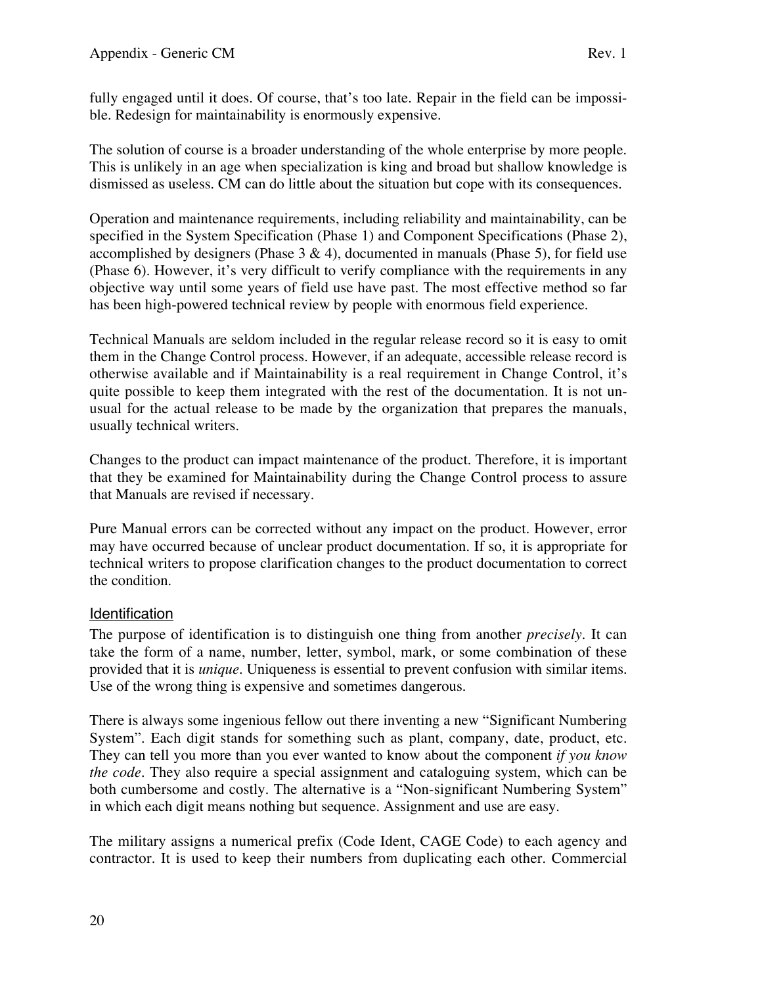fully engaged until it does. Of course, that's too late. Repair in the field can be impossible. Redesign for maintainability is enormously expensive.

The solution of course is a broader understanding of the whole enterprise by more people. This is unlikely in an age when specialization is king and broad but shallow knowledge is dismissed as useless. CM can do little about the situation but cope with its consequences.

Operation and maintenance requirements, including reliability and maintainability, can be specified in the System Specification (Phase 1) and Component Specifications (Phase 2), accomplished by designers (Phase  $3 \& 4$ ), documented in manuals (Phase 5), for field use (Phase 6). However, it's very difficult to verify compliance with the requirements in any objective way until some years of field use have past. The most effective method so far has been high-powered technical review by people with enormous field experience.

Technical Manuals are seldom included in the regular release record so it is easy to omit them in the Change Control process. However, if an adequate, accessible release record is otherwise available and if Maintainability is a real requirement in Change Control, it's quite possible to keep them integrated with the rest of the documentation. It is not unusual for the actual release to be made by the organization that prepares the manuals, usually technical writers.

Changes to the product can impact maintenance of the product. Therefore, it is important that they be examined for Maintainability during the Change Control process to assure that Manuals are revised if necessary.

Pure Manual errors can be corrected without any impact on the product. However, error may have occurred because of unclear product documentation. If so, it is appropriate for technical writers to propose clarification changes to the product documentation to correct the condition.

## Identification

The purpose of identification is to distinguish one thing from another *precisely*. It can take the form of a name, number, letter, symbol, mark, or some combination of these provided that it is *unique*. Uniqueness is essential to prevent confusion with similar items. Use of the wrong thing is expensive and sometimes dangerous.

There is always some ingenious fellow out there inventing a new "Significant Numbering System". Each digit stands for something such as plant, company, date, product, etc. They can tell you more than you ever wanted to know about the component *if you know the code*. They also require a special assignment and cataloguing system, which can be both cumbersome and costly. The alternative is a "Non-significant Numbering System" in which each digit means nothing but sequence. Assignment and use are easy.

The military assigns a numerical prefix (Code Ident, CAGE Code) to each agency and contractor. It is used to keep their numbers from duplicating each other. Commercial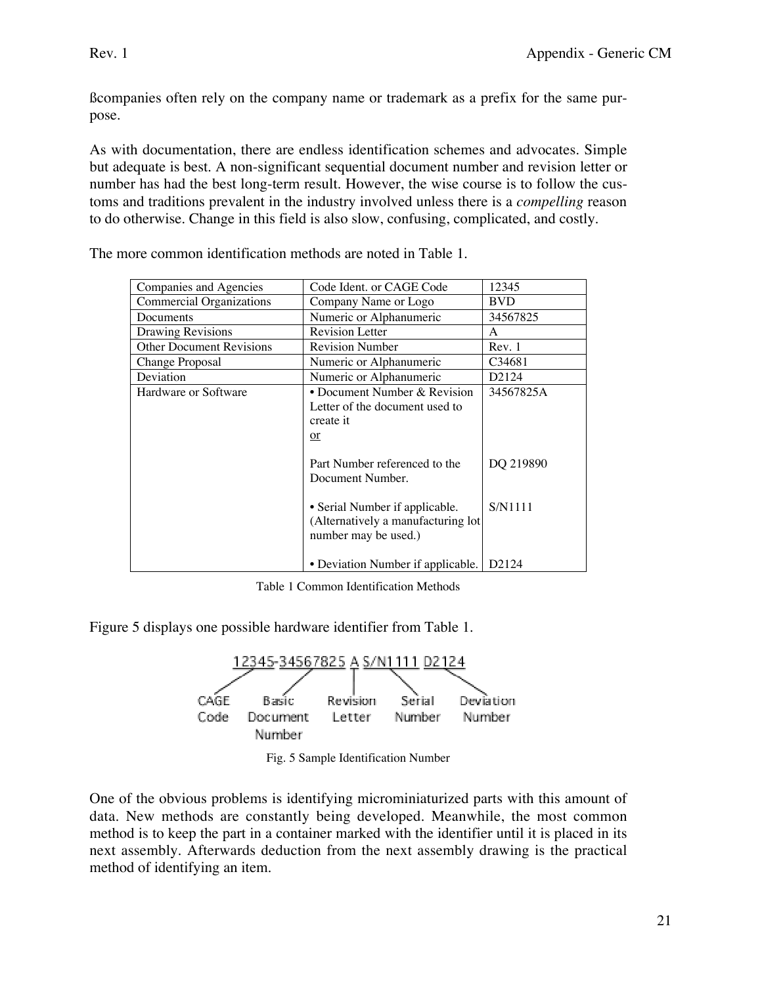ßcompanies often rely on the company name or trademark as a prefix for the same purpose.

As with documentation, there are endless identification schemes and advocates. Simple but adequate is best. A non-significant sequential document number and revision letter or number has had the best long-term result. However, the wise course is to follow the customs and traditions prevalent in the industry involved unless there is a *compelling* reason to do otherwise. Change in this field is also slow, confusing, complicated, and costly.

| Companies and Agencies          | Code Ident. or CAGE Code                                                                             | 12345              |  |  |  |  |
|---------------------------------|------------------------------------------------------------------------------------------------------|--------------------|--|--|--|--|
| <b>Commercial Organizations</b> | Company Name or Logo                                                                                 | <b>BVD</b>         |  |  |  |  |
| Documents                       | Numeric or Alphanumeric                                                                              | 34567825           |  |  |  |  |
| Drawing Revisions               | <b>Revision Letter</b>                                                                               | A                  |  |  |  |  |
| <b>Other Document Revisions</b> | <b>Revision Number</b>                                                                               | Rev. 1             |  |  |  |  |
| Change Proposal                 | Numeric or Alphanumeric                                                                              | C34681             |  |  |  |  |
| Deviation                       | Numeric or Alphanumeric                                                                              | D2124              |  |  |  |  |
| Hardware or Software            | • Document Number & Revision<br>34567825A<br>Letter of the document used to<br>create it<br>$\alpha$ |                    |  |  |  |  |
|                                 | Part Number referenced to the<br>Document Number.                                                    |                    |  |  |  |  |
|                                 | • Serial Number if applicable.<br>(Alternatively a manufacturing lot<br>number may be used.)         | S/N1111            |  |  |  |  |
|                                 | • Deviation Number if applicable.                                                                    | D <sub>2</sub> 124 |  |  |  |  |

The more common identification methods are noted in Table 1.

Table 1 Common Identification Methods

Figure 5 displays one possible hardware identifier from Table 1.



Fig. 5 Sample Identification Number

One of the obvious problems is identifying microminiaturized parts with this amount of data. New methods are constantly being developed. Meanwhile, the most common method is to keep the part in a container marked with the identifier until it is placed in its next assembly. Afterwards deduction from the next assembly drawing is the practical method of identifying an item.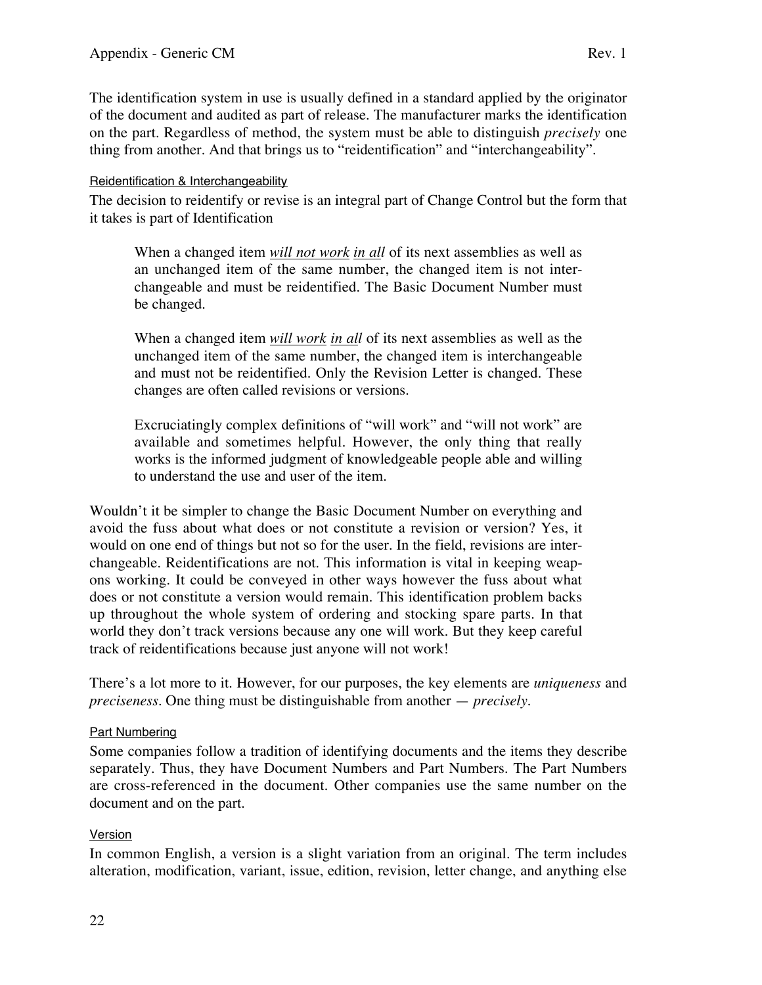The identification system in use is usually defined in a standard applied by the originator of the document and audited as part of release. The manufacturer marks the identification on the part. Regardless of method, the system must be able to distinguish *precisely* one thing from another. And that brings us to "reidentification" and "interchangeability".

### Reidentification & Interchangeability

The decision to reidentify or revise is an integral part of Change Control but the form that it takes is part of Identification

When a changed item *will not work in all* of its next assemblies as well as an unchanged item of the same number, the changed item is not interchangeable and must be reidentified. The Basic Document Number must be changed.

When a changed item *will work in all* of its next assemblies as well as the unchanged item of the same number, the changed item is interchangeable and must not be reidentified. Only the Revision Letter is changed. These changes are often called revisions or versions.

Excruciatingly complex definitions of "will work" and "will not work" are available and sometimes helpful. However, the only thing that really works is the informed judgment of knowledgeable people able and willing to understand the use and user of the item.

Wouldn't it be simpler to change the Basic Document Number on everything and avoid the fuss about what does or not constitute a revision or version? Yes, it would on one end of things but not so for the user. In the field, revisions are interchangeable. Reidentifications are not. This information is vital in keeping weapons working. It could be conveyed in other ways however the fuss about what does or not constitute a version would remain. This identification problem backs up throughout the whole system of ordering and stocking spare parts. In that world they don't track versions because any one will work. But they keep careful track of reidentifications because just anyone will not work!

There's a lot more to it. However, for our purposes, the key elements are *uniqueness* and *preciseness*. One thing must be distinguishable from another — *precisely*.

#### Part Numbering

Some companies follow a tradition of identifying documents and the items they describe separately. Thus, they have Document Numbers and Part Numbers. The Part Numbers are cross-referenced in the document. Other companies use the same number on the document and on the part.

## Version

In common English, a version is a slight variation from an original. The term includes alteration, modification, variant, issue, edition, revision, letter change, and anything else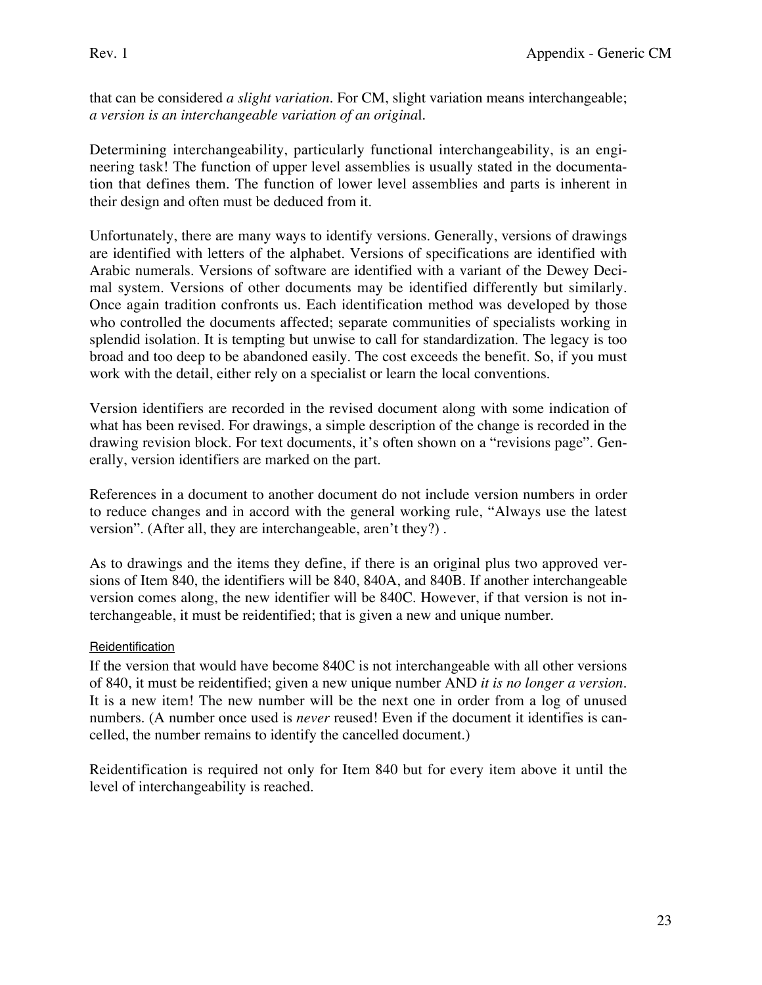that can be considered *a slight variation*. For CM, slight variation means interchangeable; *a version is an interchangeable variation of an origina*l.

Determining interchangeability, particularly functional interchangeability, is an engineering task! The function of upper level assemblies is usually stated in the documentation that defines them. The function of lower level assemblies and parts is inherent in their design and often must be deduced from it.

Unfortunately, there are many ways to identify versions. Generally, versions of drawings are identified with letters of the alphabet. Versions of specifications are identified with Arabic numerals. Versions of software are identified with a variant of the Dewey Decimal system. Versions of other documents may be identified differently but similarly. Once again tradition confronts us. Each identification method was developed by those who controlled the documents affected; separate communities of specialists working in splendid isolation. It is tempting but unwise to call for standardization. The legacy is too broad and too deep to be abandoned easily. The cost exceeds the benefit. So, if you must work with the detail, either rely on a specialist or learn the local conventions.

Version identifiers are recorded in the revised document along with some indication of what has been revised. For drawings, a simple description of the change is recorded in the drawing revision block. For text documents, it's often shown on a "revisions page". Generally, version identifiers are marked on the part.

References in a document to another document do not include version numbers in order to reduce changes and in accord with the general working rule, "Always use the latest version". (After all, they are interchangeable, aren't they?) .

As to drawings and the items they define, if there is an original plus two approved versions of Item 840, the identifiers will be 840, 840A, and 840B. If another interchangeable version comes along, the new identifier will be 840C. However, if that version is not interchangeable, it must be reidentified; that is given a new and unique number.

## **Reidentification**

If the version that would have become 840C is not interchangeable with all other versions of 840, it must be reidentified; given a new unique number AND *it is no longer a version*. It is a new item! The new number will be the next one in order from a log of unused numbers. (A number once used is *never* reused! Even if the document it identifies is cancelled, the number remains to identify the cancelled document.)

Reidentification is required not only for Item 840 but for every item above it until the level of interchangeability is reached.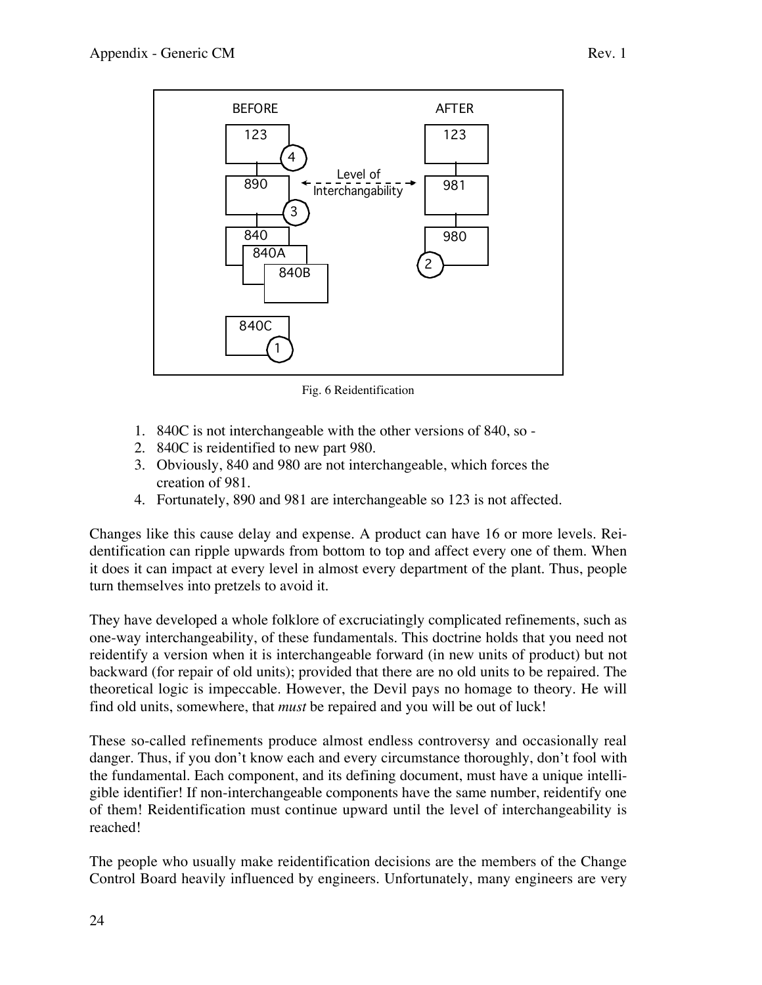

Fig. 6 Reidentification

- 1. 840C is not interchangeable with the other versions of 840, so -
- 2. 840C is reidentified to new part 980.
- 3. Obviously, 840 and 980 are not interchangeable, which forces the creation of 981.
- 4. Fortunately, 890 and 981 are interchangeable so 123 is not affected.

Changes like this cause delay and expense. A product can have 16 or more levels. Reidentification can ripple upwards from bottom to top and affect every one of them. When it does it can impact at every level in almost every department of the plant. Thus, people turn themselves into pretzels to avoid it.

They have developed a whole folklore of excruciatingly complicated refinements, such as one-way interchangeability, of these fundamentals. This doctrine holds that you need not reidentify a version when it is interchangeable forward (in new units of product) but not backward (for repair of old units); provided that there are no old units to be repaired. The theoretical logic is impeccable. However, the Devil pays no homage to theory. He will find old units, somewhere, that *must* be repaired and you will be out of luck!

These so-called refinements produce almost endless controversy and occasionally real danger. Thus, if you don't know each and every circumstance thoroughly, don't fool with the fundamental. Each component, and its defining document, must have a unique intelligible identifier! If non-interchangeable components have the same number, reidentify one of them! Reidentification must continue upward until the level of interchangeability is reached!

The people who usually make reidentification decisions are the members of the Change Control Board heavily influenced by engineers. Unfortunately, many engineers are very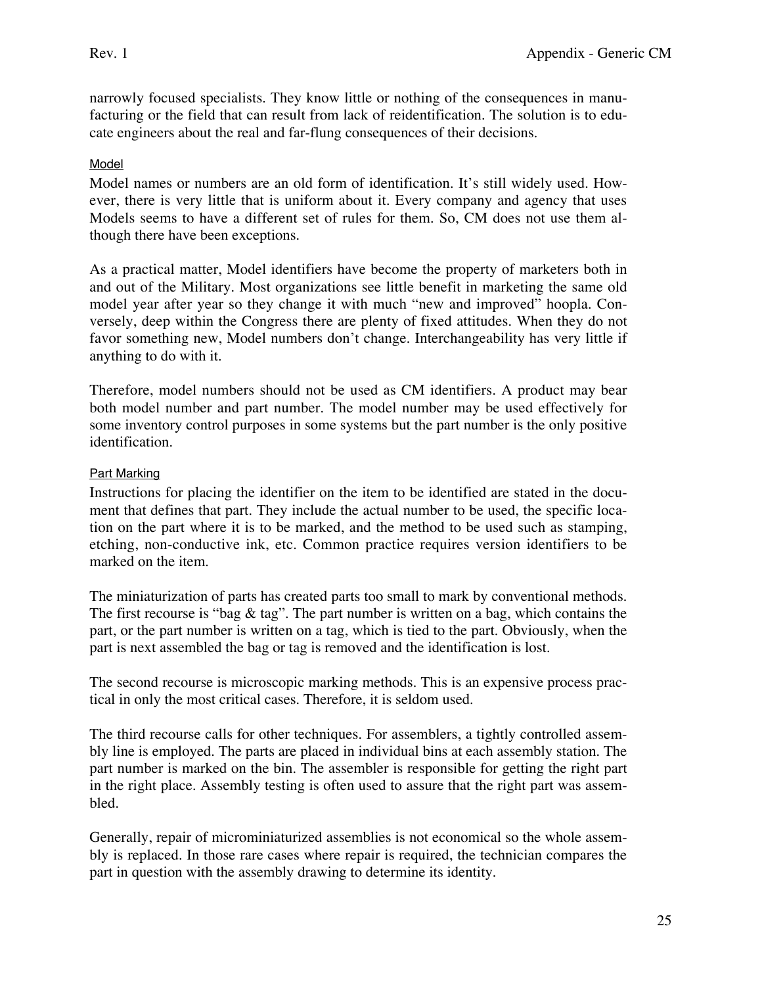narrowly focused specialists. They know little or nothing of the consequences in manufacturing or the field that can result from lack of reidentification. The solution is to educate engineers about the real and far-flung consequences of their decisions.

### Model

Model names or numbers are an old form of identification. It's still widely used. However, there is very little that is uniform about it. Every company and agency that uses Models seems to have a different set of rules for them. So, CM does not use them although there have been exceptions.

As a practical matter, Model identifiers have become the property of marketers both in and out of the Military. Most organizations see little benefit in marketing the same old model year after year so they change it with much "new and improved" hoopla. Conversely, deep within the Congress there are plenty of fixed attitudes. When they do not favor something new, Model numbers don't change. Interchangeability has very little if anything to do with it.

Therefore, model numbers should not be used as CM identifiers. A product may bear both model number and part number. The model number may be used effectively for some inventory control purposes in some systems but the part number is the only positive identification.

#### Part Marking

Instructions for placing the identifier on the item to be identified are stated in the document that defines that part. They include the actual number to be used, the specific location on the part where it is to be marked, and the method to be used such as stamping, etching, non-conductive ink, etc. Common practice requires version identifiers to be marked on the item.

The miniaturization of parts has created parts too small to mark by conventional methods. The first recourse is "bag  $\&$  tag". The part number is written on a bag, which contains the part, or the part number is written on a tag, which is tied to the part. Obviously, when the part is next assembled the bag or tag is removed and the identification is lost.

The second recourse is microscopic marking methods. This is an expensive process practical in only the most critical cases. Therefore, it is seldom used.

The third recourse calls for other techniques. For assemblers, a tightly controlled assembly line is employed. The parts are placed in individual bins at each assembly station. The part number is marked on the bin. The assembler is responsible for getting the right part in the right place. Assembly testing is often used to assure that the right part was assembled.

Generally, repair of microminiaturized assemblies is not economical so the whole assembly is replaced. In those rare cases where repair is required, the technician compares the part in question with the assembly drawing to determine its identity.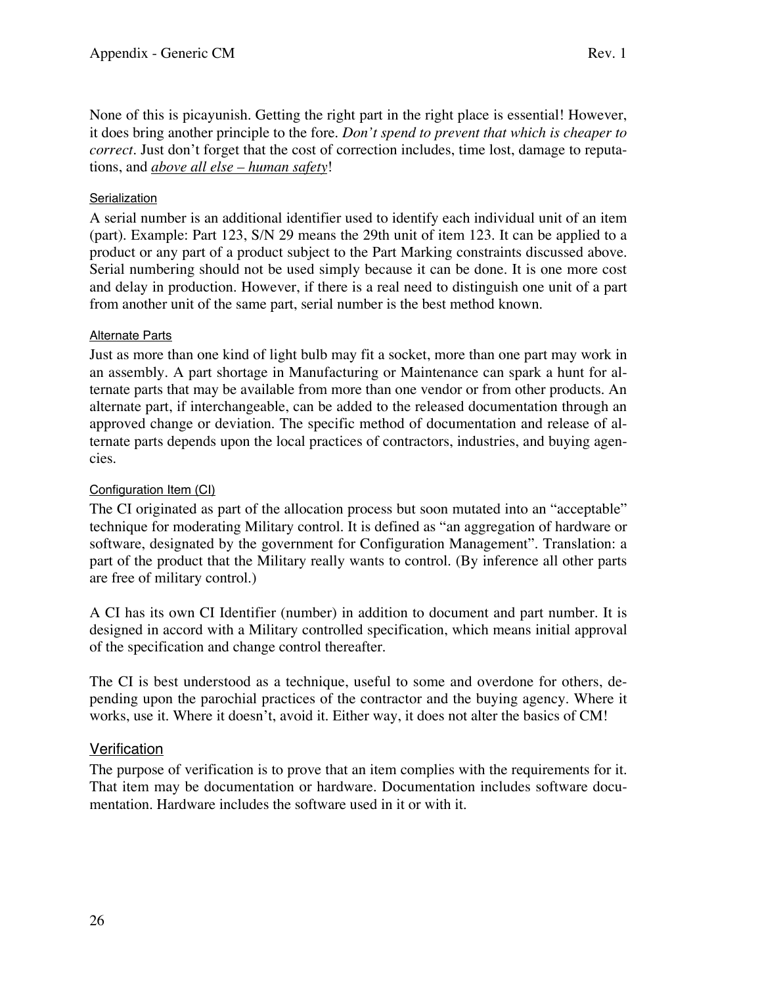None of this is picayunish. Getting the right part in the right place is essential! However, it does bring another principle to the fore. *Don't spend to prevent that which is cheaper to correct*. Just don't forget that the cost of correction includes, time lost, damage to reputations, and *above all else – human safety*!

## **Serialization**

A serial number is an additional identifier used to identify each individual unit of an item (part). Example: Part 123, S/N 29 means the 29th unit of item 123. It can be applied to a product or any part of a product subject to the Part Marking constraints discussed above. Serial numbering should not be used simply because it can be done. It is one more cost and delay in production. However, if there is a real need to distinguish one unit of a part from another unit of the same part, serial number is the best method known.

## Alternate Parts

Just as more than one kind of light bulb may fit a socket, more than one part may work in an assembly. A part shortage in Manufacturing or Maintenance can spark a hunt for alternate parts that may be available from more than one vendor or from other products. An alternate part, if interchangeable, can be added to the released documentation through an approved change or deviation. The specific method of documentation and release of alternate parts depends upon the local practices of contractors, industries, and buying agencies.

## Configuration Item (CI)

The CI originated as part of the allocation process but soon mutated into an "acceptable" technique for moderating Military control. It is defined as "an aggregation of hardware or software, designated by the government for Configuration Management". Translation: a part of the product that the Military really wants to control. (By inference all other parts are free of military control.)

A CI has its own CI Identifier (number) in addition to document and part number. It is designed in accord with a Military controlled specification, which means initial approval of the specification and change control thereafter.

The CI is best understood as a technique, useful to some and overdone for others, depending upon the parochial practices of the contractor and the buying agency. Where it works, use it. Where it doesn't, avoid it. Either way, it does not alter the basics of CM!

## **Verification**

The purpose of verification is to prove that an item complies with the requirements for it. That item may be documentation or hardware. Documentation includes software documentation. Hardware includes the software used in it or with it.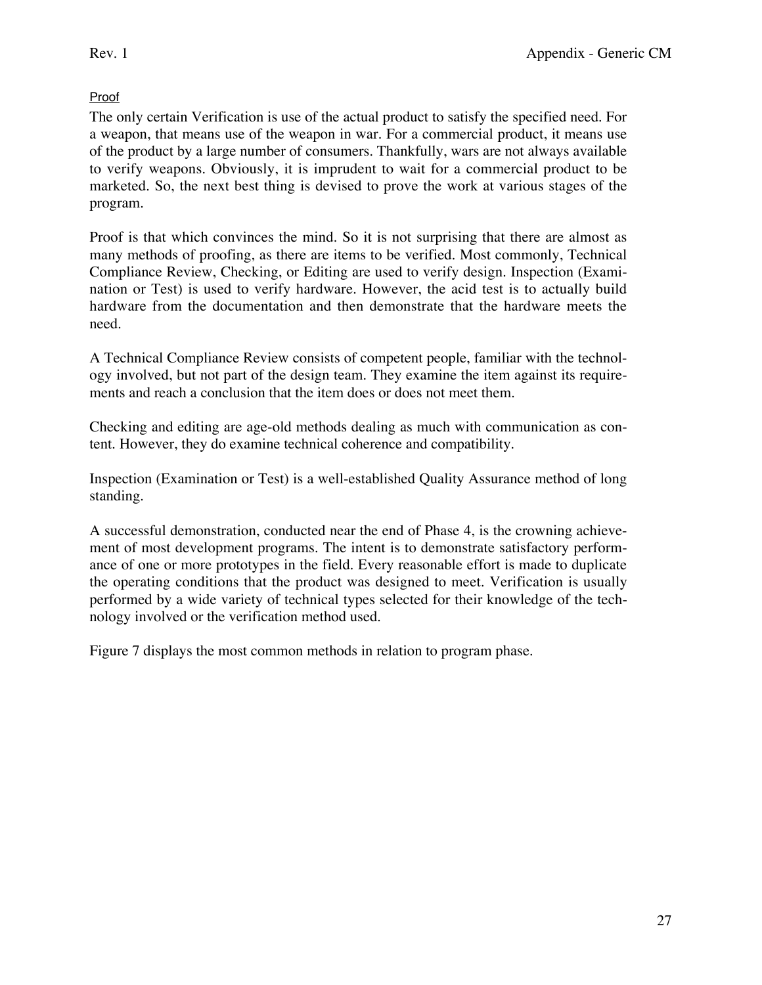## Proof

The only certain Verification is use of the actual product to satisfy the specified need. For a weapon, that means use of the weapon in war. For a commercial product, it means use of the product by a large number of consumers. Thankfully, wars are not always available to verify weapons. Obviously, it is imprudent to wait for a commercial product to be marketed. So, the next best thing is devised to prove the work at various stages of the program.

Proof is that which convinces the mind. So it is not surprising that there are almost as many methods of proofing, as there are items to be verified. Most commonly, Technical Compliance Review, Checking, or Editing are used to verify design. Inspection (Examination or Test) is used to verify hardware. However, the acid test is to actually build hardware from the documentation and then demonstrate that the hardware meets the need.

A Technical Compliance Review consists of competent people, familiar with the technology involved, but not part of the design team. They examine the item against its requirements and reach a conclusion that the item does or does not meet them.

Checking and editing are age-old methods dealing as much with communication as content. However, they do examine technical coherence and compatibility.

Inspection (Examination or Test) is a well-established Quality Assurance method of long standing.

A successful demonstration, conducted near the end of Phase 4, is the crowning achievement of most development programs. The intent is to demonstrate satisfactory performance of one or more prototypes in the field. Every reasonable effort is made to duplicate the operating conditions that the product was designed to meet. Verification is usually performed by a wide variety of technical types selected for their knowledge of the technology involved or the verification method used.

Figure 7 displays the most common methods in relation to program phase.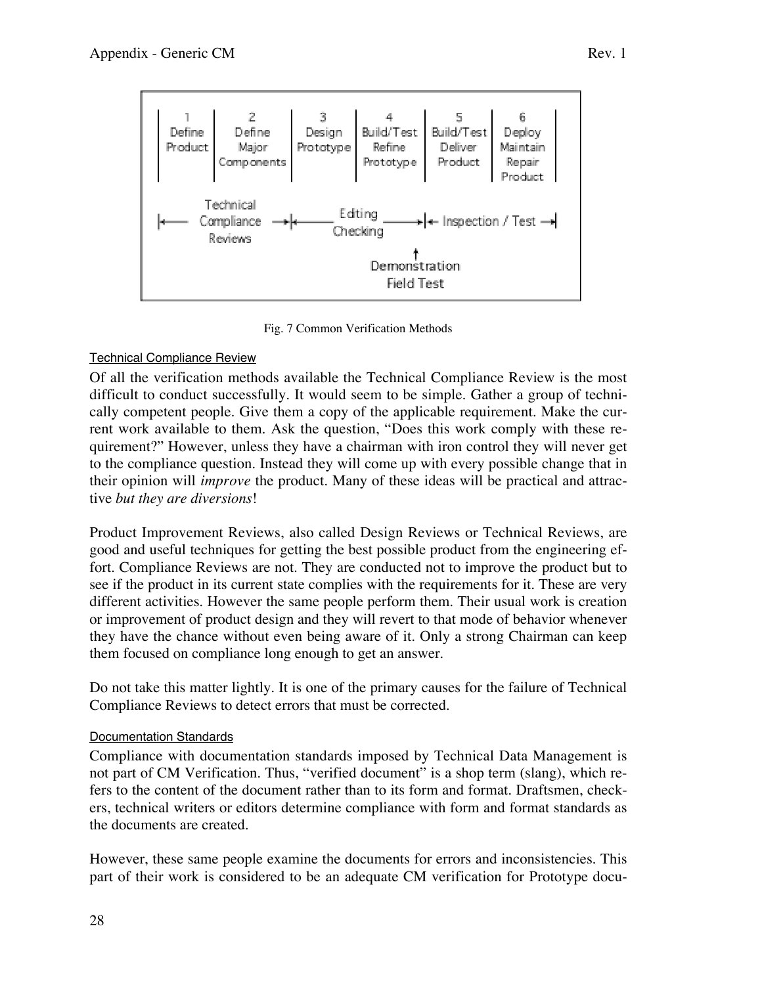

Fig. 7 Common Verification Methods

**Field Test** 

## Technical Compliance Review

Of all the verification methods available the Technical Compliance Review is the most difficult to conduct successfully. It would seem to be simple. Gather a group of technically competent people. Give them a copy of the applicable requirement. Make the current work available to them. Ask the question, "Does this work comply with these requirement?" However, unless they have a chairman with iron control they will never get to the compliance question. Instead they will come up with every possible change that in their opinion will *improve* the product. Many of these ideas will be practical and attractive *but they are diversions*!

Product Improvement Reviews, also called Design Reviews or Technical Reviews, are good and useful techniques for getting the best possible product from the engineering effort. Compliance Reviews are not. They are conducted not to improve the product but to see if the product in its current state complies with the requirements for it. These are very different activities. However the same people perform them. Their usual work is creation or improvement of product design and they will revert to that mode of behavior whenever they have the chance without even being aware of it. Only a strong Chairman can keep them focused on compliance long enough to get an answer.

Do not take this matter lightly. It is one of the primary causes for the failure of Technical Compliance Reviews to detect errors that must be corrected.

#### Documentation Standards

Compliance with documentation standards imposed by Technical Data Management is not part of CM Verification. Thus, "verified document" is a shop term (slang), which refers to the content of the document rather than to its form and format. Draftsmen, checkers, technical writers or editors determine compliance with form and format standards as the documents are created.

However, these same people examine the documents for errors and inconsistencies. This part of their work is considered to be an adequate CM verification for Prototype docu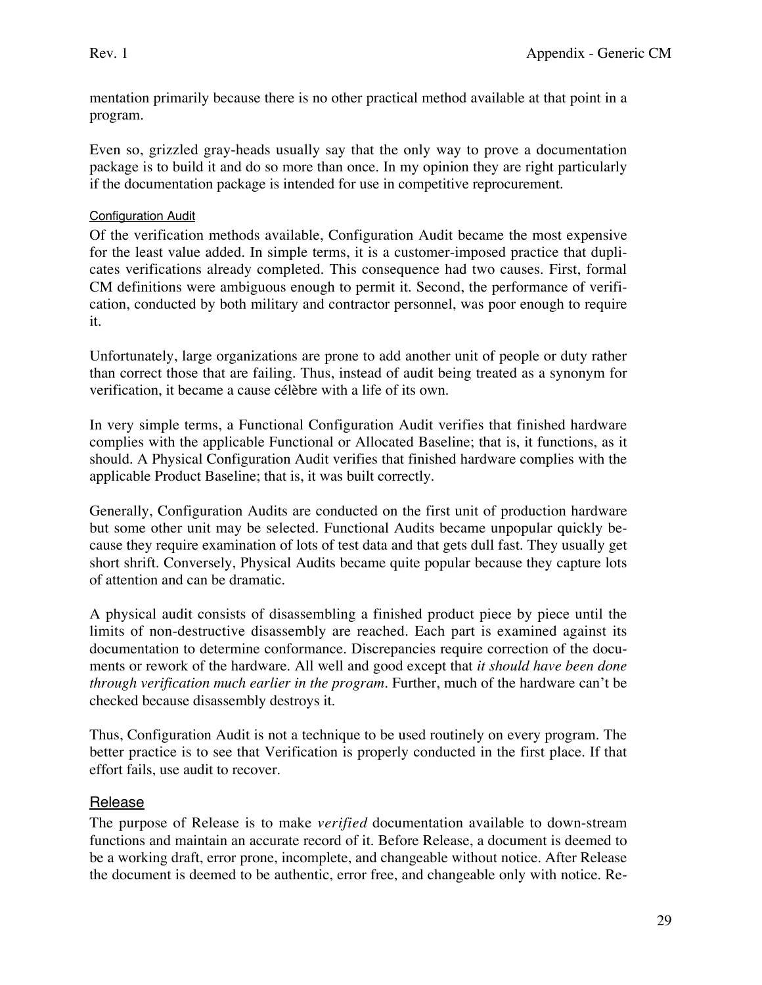mentation primarily because there is no other practical method available at that point in a program.

Even so, grizzled gray-heads usually say that the only way to prove a documentation package is to build it and do so more than once. In my opinion they are right particularly if the documentation package is intended for use in competitive reprocurement.

### **Configuration Audit**

Of the verification methods available, Configuration Audit became the most expensive for the least value added. In simple terms, it is a customer-imposed practice that duplicates verifications already completed. This consequence had two causes. First, formal CM definitions were ambiguous enough to permit it. Second, the performance of verification, conducted by both military and contractor personnel, was poor enough to require it.

Unfortunately, large organizations are prone to add another unit of people or duty rather than correct those that are failing. Thus, instead of audit being treated as a synonym for verification, it became a cause célèbre with a life of its own.

In very simple terms, a Functional Configuration Audit verifies that finished hardware complies with the applicable Functional or Allocated Baseline; that is, it functions, as it should. A Physical Configuration Audit verifies that finished hardware complies with the applicable Product Baseline; that is, it was built correctly.

Generally, Configuration Audits are conducted on the first unit of production hardware but some other unit may be selected. Functional Audits became unpopular quickly because they require examination of lots of test data and that gets dull fast. They usually get short shrift. Conversely, Physical Audits became quite popular because they capture lots of attention and can be dramatic.

A physical audit consists of disassembling a finished product piece by piece until the limits of non-destructive disassembly are reached. Each part is examined against its documentation to determine conformance. Discrepancies require correction of the documents or rework of the hardware. All well and good except that *it should have been done through verification much earlier in the program*. Further, much of the hardware can't be checked because disassembly destroys it.

Thus, Configuration Audit is not a technique to be used routinely on every program. The better practice is to see that Verification is properly conducted in the first place*.* If that effort fails, use audit to recover.

## Release

The purpose of Release is to make *verified* documentation available to down-stream functions and maintain an accurate record of it. Before Release, a document is deemed to be a working draft, error prone, incomplete, and changeable without notice. After Release the document is deemed to be authentic, error free, and changeable only with notice. Re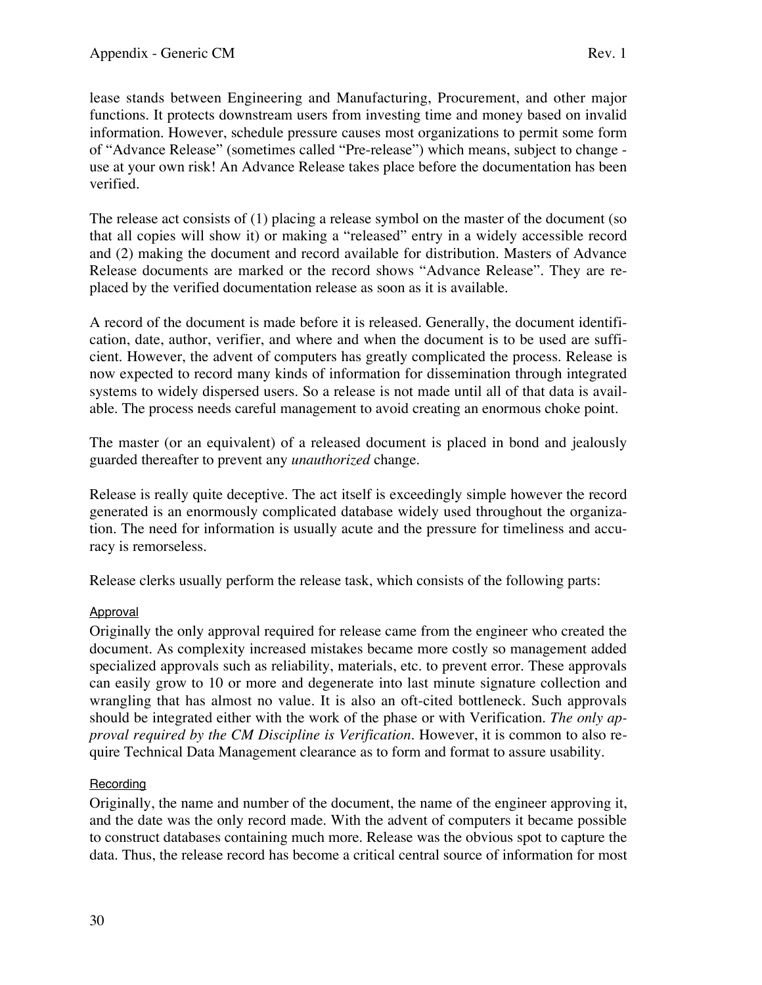lease stands between Engineering and Manufacturing, Procurement, and other major functions. It protects downstream users from investing time and money based on invalid information. However, schedule pressure causes most organizations to permit some form of "Advance Release" (sometimes called "Pre-release") which means, subject to change use at your own risk! An Advance Release takes place before the documentation has been verified.

The release act consists of (1) placing a release symbol on the master of the document (so that all copies will show it) or making a "released" entry in a widely accessible record and (2) making the document and record available for distribution. Masters of Advance Release documents are marked or the record shows "Advance Release". They are replaced by the verified documentation release as soon as it is available.

A record of the document is made before it is released. Generally, the document identification, date, author, verifier, and where and when the document is to be used are sufficient. However, the advent of computers has greatly complicated the process. Release is now expected to record many kinds of information for dissemination through integrated systems to widely dispersed users. So a release is not made until all of that data is available. The process needs careful management to avoid creating an enormous choke point.

The master (or an equivalent) of a released document is placed in bond and jealously guarded thereafter to prevent any *unauthorized* change.

Release is really quite deceptive. The act itself is exceedingly simple however the record generated is an enormously complicated database widely used throughout the organization. The need for information is usually acute and the pressure for timeliness and accuracy is remorseless.

Release clerks usually perform the release task, which consists of the following parts:

## Approval

Originally the only approval required for release came from the engineer who created the document. As complexity increased mistakes became more costly so management added specialized approvals such as reliability, materials, etc. to prevent error. These approvals can easily grow to 10 or more and degenerate into last minute signature collection and wrangling that has almost no value. It is also an oft-cited bottleneck. Such approvals should be integrated either with the work of the phase or with Verification. *The only approval required by the CM Discipline is Verification.* However, it is common to also require Technical Data Management clearance as to form and format to assure usability.

## **Recording**

Originally, the name and number of the document, the name of the engineer approving it, and the date was the only record made. With the advent of computers it became possible to construct databases containing much more. Release was the obvious spot to capture the data. Thus, the release record has become a critical central source of information for most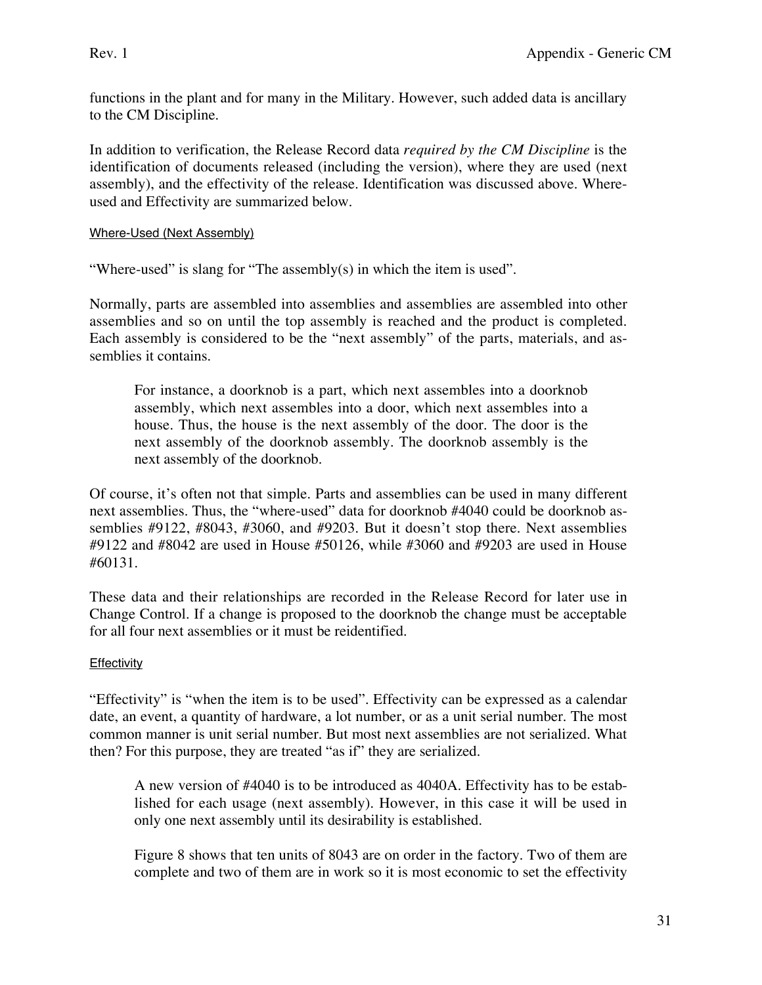functions in the plant and for many in the Military. However, such added data is ancillary to the CM Discipline.

In addition to verification, the Release Record data *required by the CM Discipline* is the identification of documents released (including the version), where they are used (next assembly), and the effectivity of the release. Identification was discussed above. Whereused and Effectivity are summarized below.

Where-Used (Next Assembly)

"Where-used" is slang for "The assembly(s) in which the item is used".

Normally, parts are assembled into assemblies and assemblies are assembled into other assemblies and so on until the top assembly is reached and the product is completed. Each assembly is considered to be the "next assembly" of the parts, materials, and assemblies it contains.

For instance, a doorknob is a part, which next assembles into a doorknob assembly, which next assembles into a door, which next assembles into a house. Thus, the house is the next assembly of the door. The door is the next assembly of the doorknob assembly. The doorknob assembly is the next assembly of the doorknob.

Of course, it's often not that simple. Parts and assemblies can be used in many different next assemblies. Thus, the "where-used" data for doorknob #4040 could be doorknob assemblies #9122, #8043, #3060, and #9203. But it doesn't stop there. Next assemblies #9122 and #8042 are used in House #50126, while #3060 and #9203 are used in House #60131.

These data and their relationships are recorded in the Release Record for later use in Change Control. If a change is proposed to the doorknob the change must be acceptable for all four next assemblies or it must be reidentified.

## **Effectivity**

"Effectivity" is "when the item is to be used". Effectivity can be expressed as a calendar date, an event, a quantity of hardware, a lot number, or as a unit serial number. The most common manner is unit serial number. But most next assemblies are not serialized. What then? For this purpose, they are treated "as if" they are serialized.

A new version of #4040 is to be introduced as 4040A. Effectivity has to be established for each usage (next assembly). However, in this case it will be used in only one next assembly until its desirability is established.

Figure 8 shows that ten units of 8043 are on order in the factory. Two of them are complete and two of them are in work so it is most economic to set the effectivity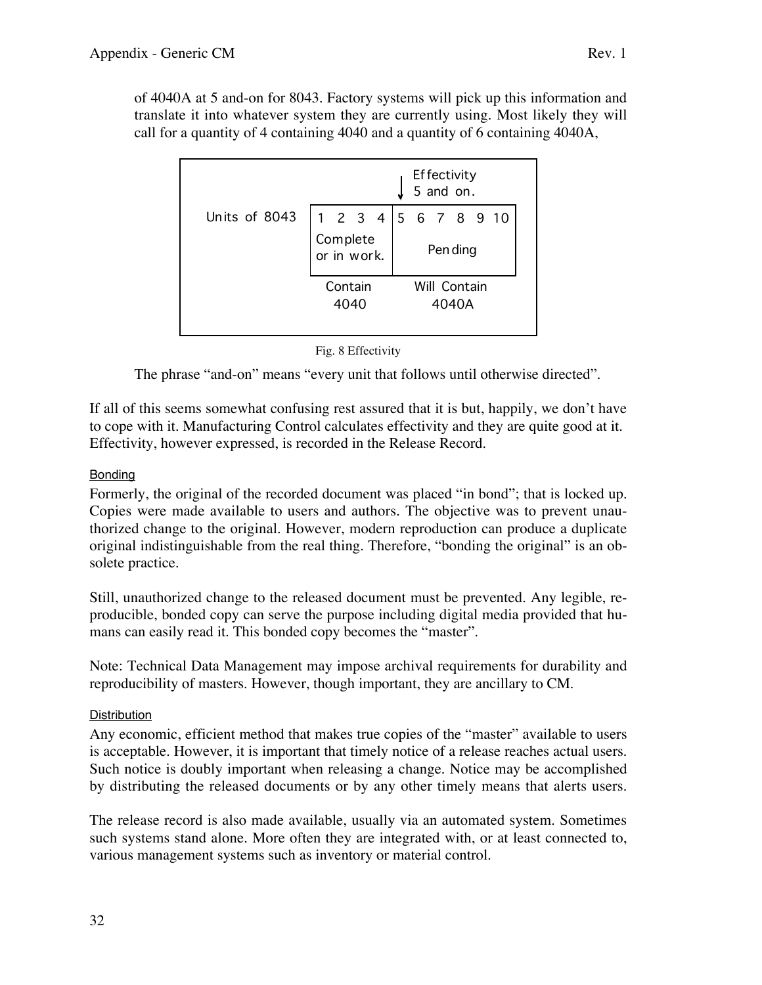| Effectivity<br>5 and on. |                 |                         |  |                                  |  |                       |  |  |  |  |
|--------------------------|-----------------|-------------------------|--|----------------------------------|--|-----------------------|--|--|--|--|
| Units of 8043            |                 | Complete<br>or in work. |  | 1 2 3 4 5 6 7 8 9 10<br>Pen ding |  |                       |  |  |  |  |
|                          | Contain<br>4040 |                         |  |                                  |  | Will Contain<br>4040A |  |  |  |  |

call for a quantity of 4 containing 4040 and a quantity of 6 containing 4040A,

#### Fig. 8 Effectivity

The phrase "and-on" means "every unit that follows until otherwise directed".

If all of this seems somewhat confusing rest assured that it is but, happily, we don't have to cope with it. Manufacturing Control calculates effectivity and they are quite good at it. Effectivity, however expressed, is recorded in the Release Record.

#### Bonding

Formerly, the original of the recorded document was placed "in bond"; that is locked up. Copies were made available to users and authors. The objective was to prevent unauthorized change to the original. However, modern reproduction can produce a duplicate original indistinguishable from the real thing. Therefore, "bonding the original" is an obsolete practice.

Still, unauthorized change to the released document must be prevented. Any legible, reproducible, bonded copy can serve the purpose including digital media provided that humans can easily read it. This bonded copy becomes the "master".

Note: Technical Data Management may impose archival requirements for durability and reproducibility of masters. However, though important, they are ancillary to CM.

#### **Distribution**

Any economic, efficient method that makes true copies of the "master" available to users is acceptable. However, it is important that timely notice of a release reaches actual users. Such notice is doubly important when releasing a change. Notice may be accomplished by distributing the released documents or by any other timely means that alerts users.

The release record is also made available, usually via an automated system. Sometimes such systems stand alone. More often they are integrated with, or at least connected to, various management systems such as inventory or material control.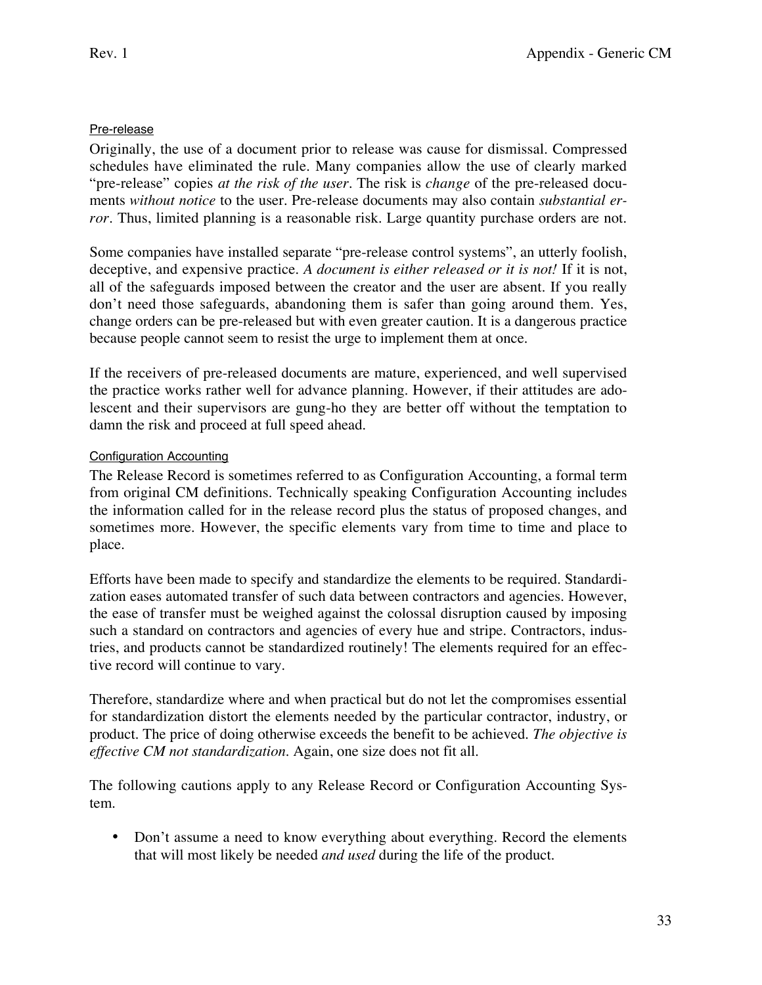### Pre-release

Originally, the use of a document prior to release was cause for dismissal. Compressed schedules have eliminated the rule. Many companies allow the use of clearly marked "pre-release" copies *at the risk of the user*. The risk is *change* of the pre-released documents *without notice* to the user. Pre-release documents may also contain *substantial error*. Thus, limited planning is a reasonable risk. Large quantity purchase orders are not.

Some companies have installed separate "pre-release control systems", an utterly foolish, deceptive, and expensive practice. *A document is either released or it is not!* If it is not, all of the safeguards imposed between the creator and the user are absent. If you really don't need those safeguards, abandoning them is safer than going around them. Yes, change orders can be pre-released but with even greater caution. It is a dangerous practice because people cannot seem to resist the urge to implement them at once.

If the receivers of pre-released documents are mature, experienced, and well supervised the practice works rather well for advance planning. However, if their attitudes are adolescent and their supervisors are gung-ho they are better off without the temptation to damn the risk and proceed at full speed ahead.

#### Configuration Accounting

The Release Record is sometimes referred to as Configuration Accounting, a formal term from original CM definitions. Technically speaking Configuration Accounting includes the information called for in the release record plus the status of proposed changes, and sometimes more. However, the specific elements vary from time to time and place to place.

Efforts have been made to specify and standardize the elements to be required. Standardization eases automated transfer of such data between contractors and agencies. However, the ease of transfer must be weighed against the colossal disruption caused by imposing such a standard on contractors and agencies of every hue and stripe. Contractors, industries, and products cannot be standardized routinely! The elements required for an effective record will continue to vary.

Therefore, standardize where and when practical but do not let the compromises essential for standardization distort the elements needed by the particular contractor, industry, or product. The price of doing otherwise exceeds the benefit to be achieved. *The objective is effective CM not standardization*. Again, one size does not fit all.

The following cautions apply to any Release Record or Configuration Accounting System.

• Don't assume a need to know everything about everything. Record the elements that will most likely be needed *and used* during the life of the product.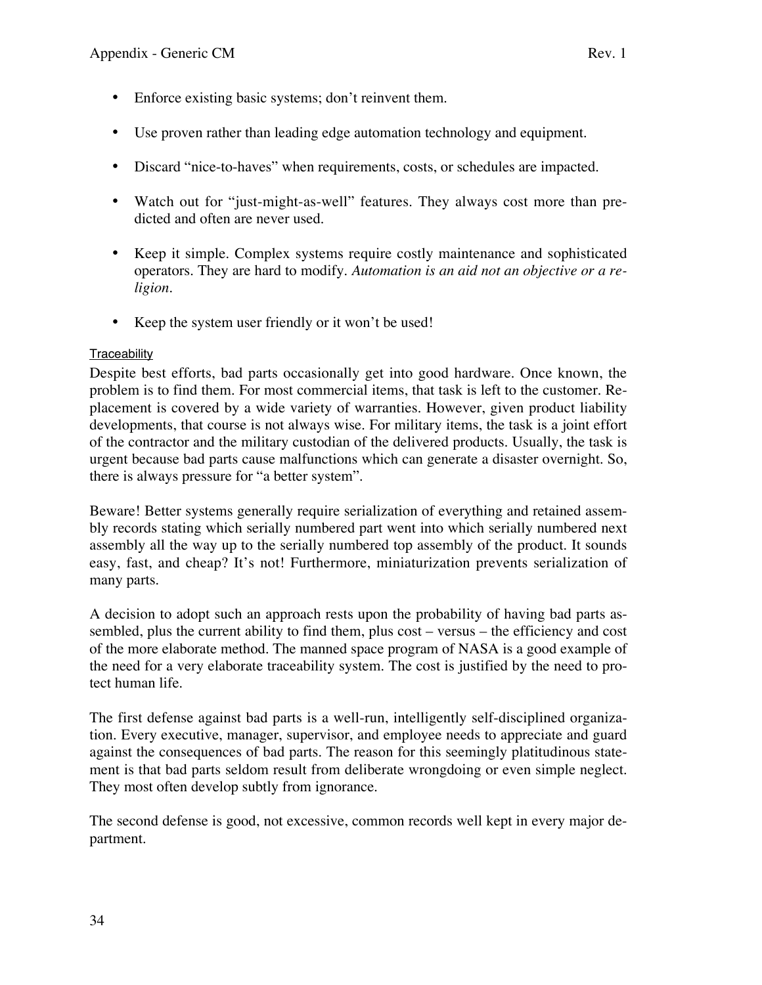- Enforce existing basic systems; don't reinvent them.
- Use proven rather than leading edge automation technology and equipment.
- Discard "nice-to-haves" when requirements, costs, or schedules are impacted.
- Watch out for "just-might-as-well" features. They always cost more than predicted and often are never used.
- Keep it simple. Complex systems require costly maintenance and sophisticated operators. They are hard to modify. *Automation is an aid not an objective or a religion.*
- Keep the system user friendly or it won't be used!

#### **Traceability**

Despite best efforts, bad parts occasionally get into good hardware. Once known, the problem is to find them. For most commercial items, that task is left to the customer. Replacement is covered by a wide variety of warranties. However, given product liability developments, that course is not always wise. For military items, the task is a joint effort of the contractor and the military custodian of the delivered products. Usually, the task is urgent because bad parts cause malfunctions which can generate a disaster overnight. So, there is always pressure for "a better system".

Beware! Better systems generally require serialization of everything and retained assembly records stating which serially numbered part went into which serially numbered next assembly all the way up to the serially numbered top assembly of the product. It sounds easy, fast, and cheap? It's not! Furthermore, miniaturization prevents serialization of many parts.

A decision to adopt such an approach rests upon the probability of having bad parts assembled, plus the current ability to find them, plus cost – versus – the efficiency and cost of the more elaborate method. The manned space program of NASA is a good example of the need for a very elaborate traceability system. The cost is justified by the need to protect human life.

The first defense against bad parts is a well-run, intelligently self-disciplined organization. Every executive, manager, supervisor, and employee needs to appreciate and guard against the consequences of bad parts. The reason for this seemingly platitudinous statement is that bad parts seldom result from deliberate wrongdoing or even simple neglect. They most often develop subtly from ignorance.

The second defense is good, not excessive, common records well kept in every major department.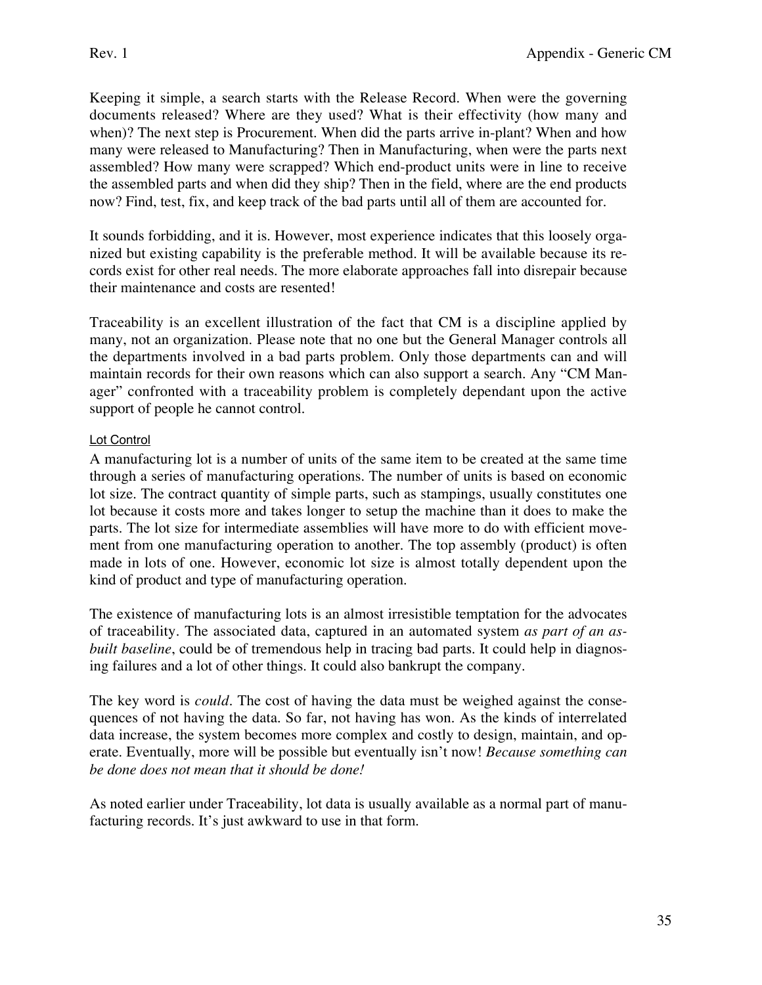Keeping it simple, a search starts with the Release Record. When were the governing documents released? Where are they used? What is their effectivity (how many and when)? The next step is Procurement. When did the parts arrive in-plant? When and how many were released to Manufacturing? Then in Manufacturing, when were the parts next assembled? How many were scrapped? Which end-product units were in line to receive the assembled parts and when did they ship? Then in the field, where are the end products now? Find, test, fix, and keep track of the bad parts until all of them are accounted for.

It sounds forbidding, and it is. However, most experience indicates that this loosely organized but existing capability is the preferable method. It will be available because its records exist for other real needs. The more elaborate approaches fall into disrepair because their maintenance and costs are resented!

Traceability is an excellent illustration of the fact that CM is a discipline applied by many, not an organization. Please note that no one but the General Manager controls all the departments involved in a bad parts problem. Only those departments can and will maintain records for their own reasons which can also support a search. Any "CM Manager" confronted with a traceability problem is completely dependant upon the active support of people he cannot control.

## Lot Control

A manufacturing lot is a number of units of the same item to be created at the same time through a series of manufacturing operations. The number of units is based on economic lot size. The contract quantity of simple parts, such as stampings, usually constitutes one lot because it costs more and takes longer to setup the machine than it does to make the parts. The lot size for intermediate assemblies will have more to do with efficient movement from one manufacturing operation to another. The top assembly (product) is often made in lots of one. However, economic lot size is almost totally dependent upon the kind of product and type of manufacturing operation.

The existence of manufacturing lots is an almost irresistible temptation for the advocates of traceability. The associated data, captured in an automated system *as part of an asbuilt baseline*, could be of tremendous help in tracing bad parts. It could help in diagnosing failures and a lot of other things. It could also bankrupt the company.

The key word is *could*. The cost of having the data must be weighed against the consequences of not having the data. So far, not having has won. As the kinds of interrelated data increase, the system becomes more complex and costly to design, maintain, and operate. Eventually, more will be possible but eventually isn't now! *Because something can be done does not mean that it should be done!*

As noted earlier under Traceability, lot data is usually available as a normal part of manufacturing records. It's just awkward to use in that form.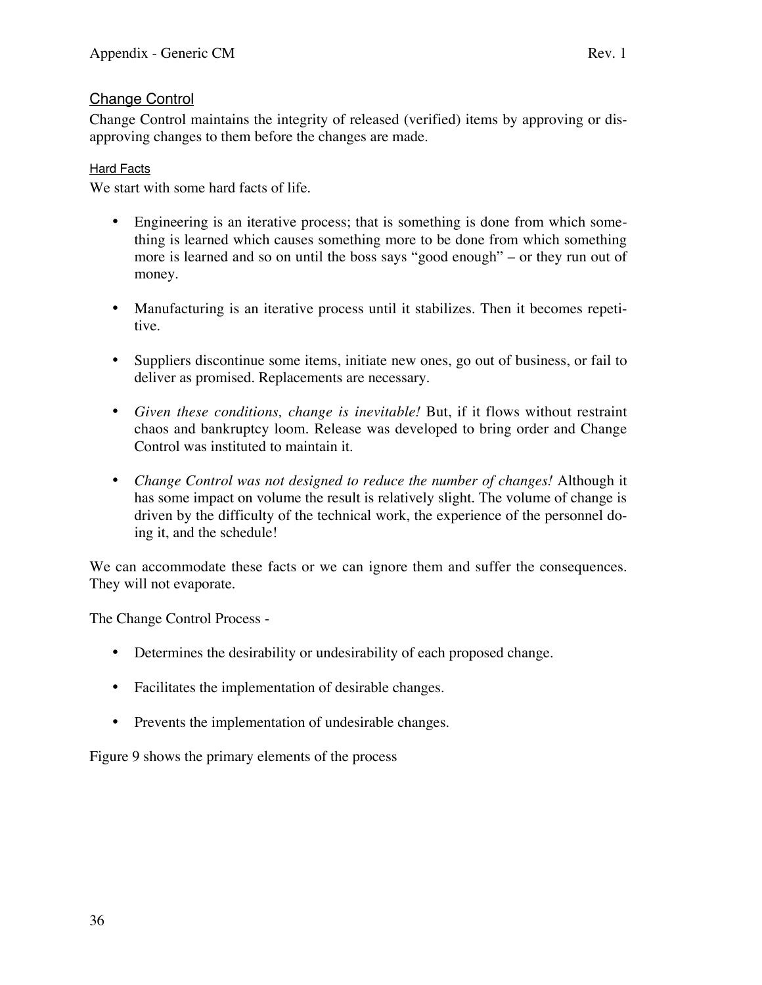## Change Control

Change Control maintains the integrity of released (verified) items by approving or disapproving changes to them before the changes are made.

## **Hard Facts**

We start with some hard facts of life.

- Engineering is an iterative process; that is something is done from which something is learned which causes something more to be done from which something more is learned and so on until the boss says "good enough" – or they run out of money.
- Manufacturing is an iterative process until it stabilizes. Then it becomes repetitive.
- Suppliers discontinue some items, initiate new ones, go out of business, or fail to deliver as promised. Replacements are necessary.
- *Given these conditions, change is inevitable!* But, if it flows without restraint chaos and bankruptcy loom. Release was developed to bring order and Change Control was instituted to maintain it.
- *Change Control was not designed to reduce the number of changes!* Although it has some impact on volume the result is relatively slight. The volume of change is driven by the difficulty of the technical work, the experience of the personnel doing it, and the schedule!

We can accommodate these facts or we can ignore them and suffer the consequences. They will not evaporate.

The Change Control Process -

- Determines the desirability or undesirability of each proposed change.
- Facilitates the implementation of desirable changes.
- Prevents the implementation of undesirable changes.

Figure 9 shows the primary elements of the process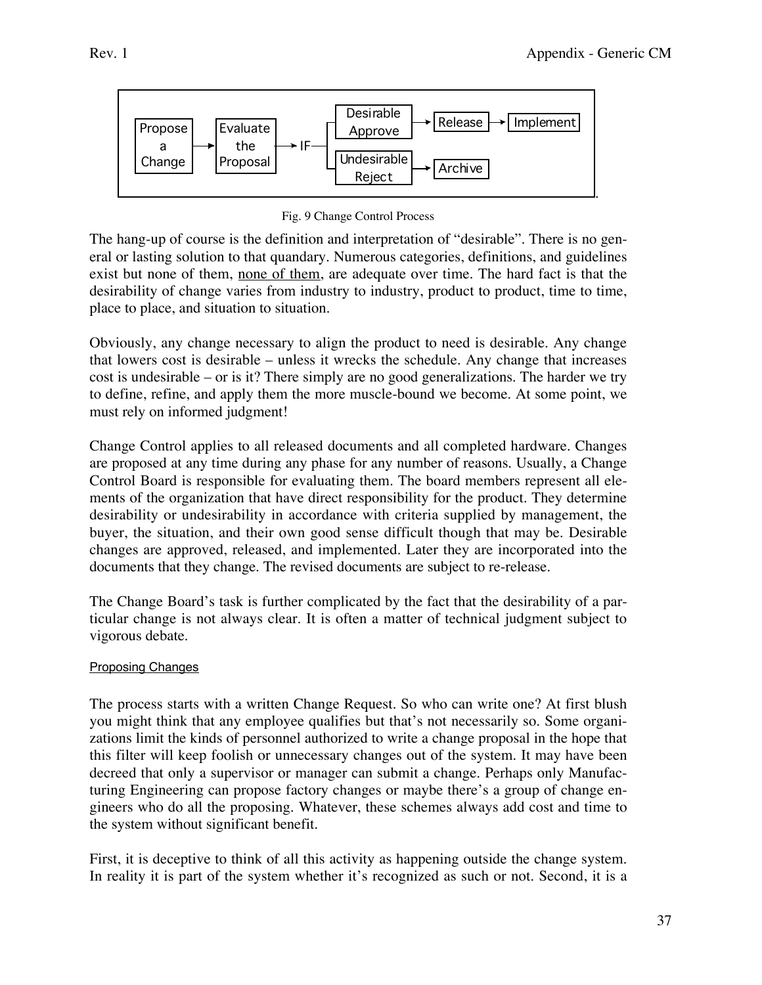

Fig. 9 Change Control Process

The hang-up of course is the definition and interpretation of "desirable". There is no general or lasting solution to that quandary. Numerous categories, definitions, and guidelines exist but none of them, none of them, are adequate over time. The hard fact is that the desirability of change varies from industry to industry, product to product, time to time, place to place, and situation to situation.

Obviously, any change necessary to align the product to need is desirable. Any change that lowers cost is desirable – unless it wrecks the schedule. Any change that increases cost is undesirable – or is it? There simply are no good generalizations. The harder we try to define, refine, and apply them the more muscle-bound we become. At some point, we must rely on informed judgment!

Change Control applies to all released documents and all completed hardware. Changes are proposed at any time during any phase for any number of reasons. Usually, a Change Control Board is responsible for evaluating them. The board members represent all elements of the organization that have direct responsibility for the product. They determine desirability or undesirability in accordance with criteria supplied by management, the buyer, the situation, and their own good sense difficult though that may be. Desirable changes are approved, released, and implemented. Later they are incorporated into the documents that they change. The revised documents are subject to re-release.

The Change Board's task is further complicated by the fact that the desirability of a particular change is not always clear. It is often a matter of technical judgment subject to vigorous debate.

## Proposing Changes

The process starts with a written Change Request. So who can write one? At first blush you might think that any employee qualifies but that's not necessarily so. Some organizations limit the kinds of personnel authorized to write a change proposal in the hope that this filter will keep foolish or unnecessary changes out of the system. It may have been decreed that only a supervisor or manager can submit a change. Perhaps only Manufacturing Engineering can propose factory changes or maybe there's a group of change engineers who do all the proposing. Whatever, these schemes always add cost and time to the system without significant benefit.

First, it is deceptive to think of all this activity as happening outside the change system. In reality it is part of the system whether it's recognized as such or not. Second, it is a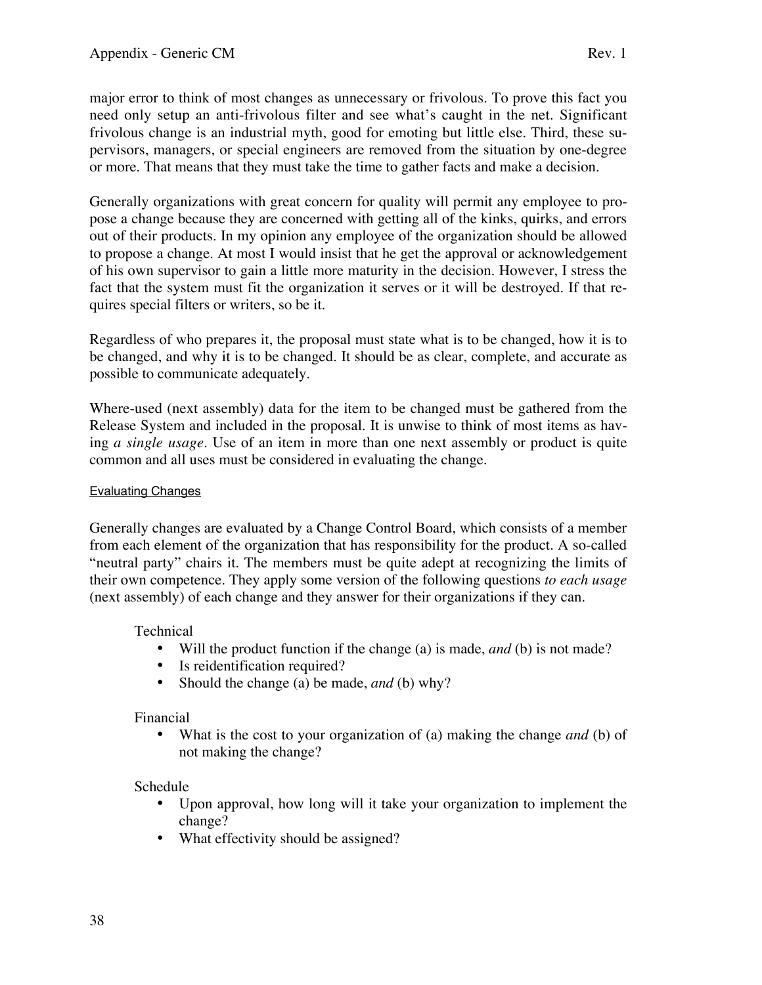major error to think of most changes as unnecessary or frivolous. To prove this fact you need only setup an anti-frivolous filter and see what's caught in the net. Significant frivolous change is an industrial myth, good for emoting but little else. Third, these supervisors, managers, or special engineers are removed from the situation by one-degree or more. That means that they must take the time to gather facts and make a decision.

Generally organizations with great concern for quality will permit any employee to propose a change because they are concerned with getting all of the kinks, quirks, and errors out of their products. In my opinion any employee of the organization should be allowed to propose a change. At most I would insist that he get the approval or acknowledgement of his own supervisor to gain a little more maturity in the decision. However, I stress the fact that the system must fit the organization it serves or it will be destroyed. If that requires special filters or writers, so be it.

Regardless of who prepares it, the proposal must state what is to be changed, how it is to be changed, and why it is to be changed. It should be as clear, complete, and accurate as possible to communicate adequately.

Where-used (next assembly) data for the item to be changed must be gathered from the Release System and included in the proposal. It is unwise to think of most items as having *a single usage*. Use of an item in more than one next assembly or product is quite common and all uses must be considered in evaluating the change.

#### Evaluating Changes

Generally changes are evaluated by a Change Control Board, which consists of a member from each element of the organization that has responsibility for the product. A so-called "neutral party" chairs it. The members must be quite adept at recognizing the limits of their own competence. They apply some version of the following questions *to each usage* (next assembly) of each change and they answer for their organizations if they can.

Technical

- Will the product function if the change (a) is made, *and* (b) is not made?
- Is reidentification required?
- Should the change (a) be made, *and* (b) why?

## Financial

• What is the cost to your organization of (a) making the change *and* (b) of not making the change?

## Schedule

- Upon approval, how long will it take your organization to implement the change?
- What effectivity should be assigned?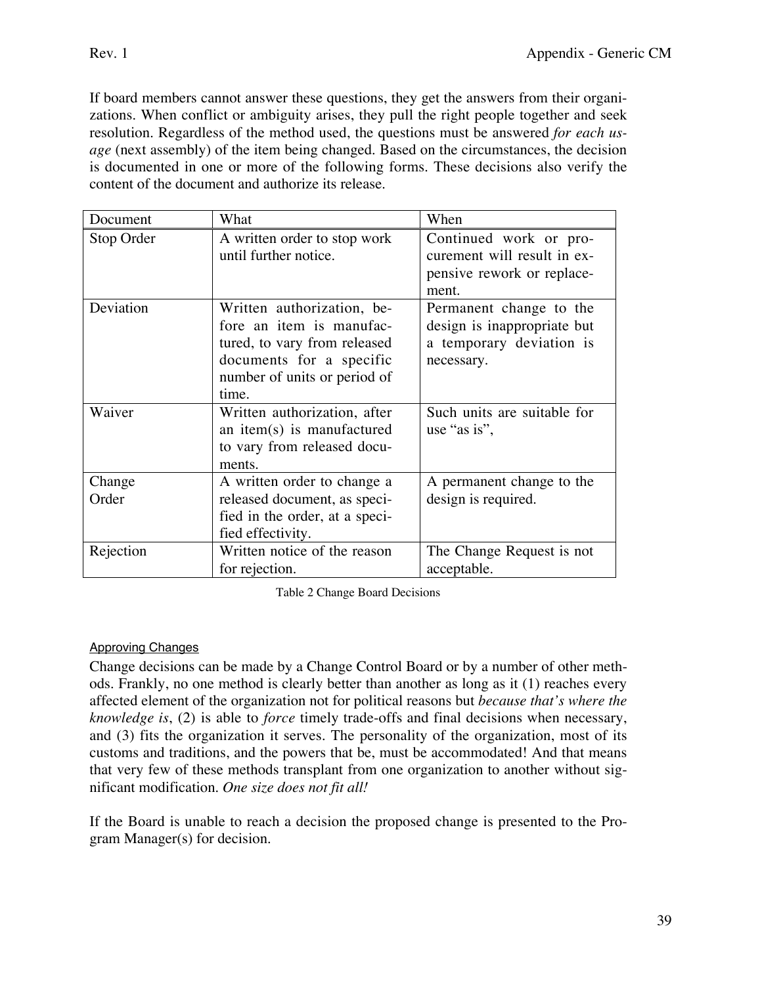If board members cannot answer these questions, they get the answers from their organizations. When conflict or ambiguity arises, they pull the right people together and seek resolution. Regardless of the method used, the questions must be answered *for each usage* (next assembly) of the item being changed. Based on the circumstances, the decision is documented in one or more of the following forms. These decisions also verify the content of the document and authorize its release.

| Document        | What                                                                                                                                                        | When                                                                                             |
|-----------------|-------------------------------------------------------------------------------------------------------------------------------------------------------------|--------------------------------------------------------------------------------------------------|
| Stop Order      | A written order to stop work<br>until further notice.                                                                                                       | Continued work or pro-<br>curement will result in ex-<br>pensive rework or replace-<br>ment.     |
| Deviation       | Written authorization, be-<br>fore an item is manufac-<br>tured, to vary from released<br>documents for a specific<br>number of units or period of<br>time. | Permanent change to the<br>design is inappropriate but<br>a temporary deviation is<br>necessary. |
| Waiver          | Written authorization, after<br>an item(s) is manufactured<br>to vary from released docu-<br>ments.                                                         | Such units are suitable for<br>use "as is",                                                      |
| Change<br>Order | A written order to change a<br>released document, as speci-<br>fied in the order, at a speci-<br>fied effectivity.                                          | A permanent change to the<br>design is required.                                                 |
| Rejection       | Written notice of the reason<br>for rejection.                                                                                                              | The Change Request is not<br>acceptable.                                                         |

Table 2 Change Board Decisions

## Approving Changes

Change decisions can be made by a Change Control Board or by a number of other methods. Frankly, no one method is clearly better than another as long as it (1) reaches every affected element of the organization not for political reasons but *because that's where the knowledge is*, (2) is able to *force* timely trade-offs and final decisions when necessary, and (3) fits the organization it serves. The personality of the organization, most of its customs and traditions, and the powers that be, must be accommodated! And that means that very few of these methods transplant from one organization to another without significant modification. *One size does not fit all!*

If the Board is unable to reach a decision the proposed change is presented to the Program Manager(s) for decision.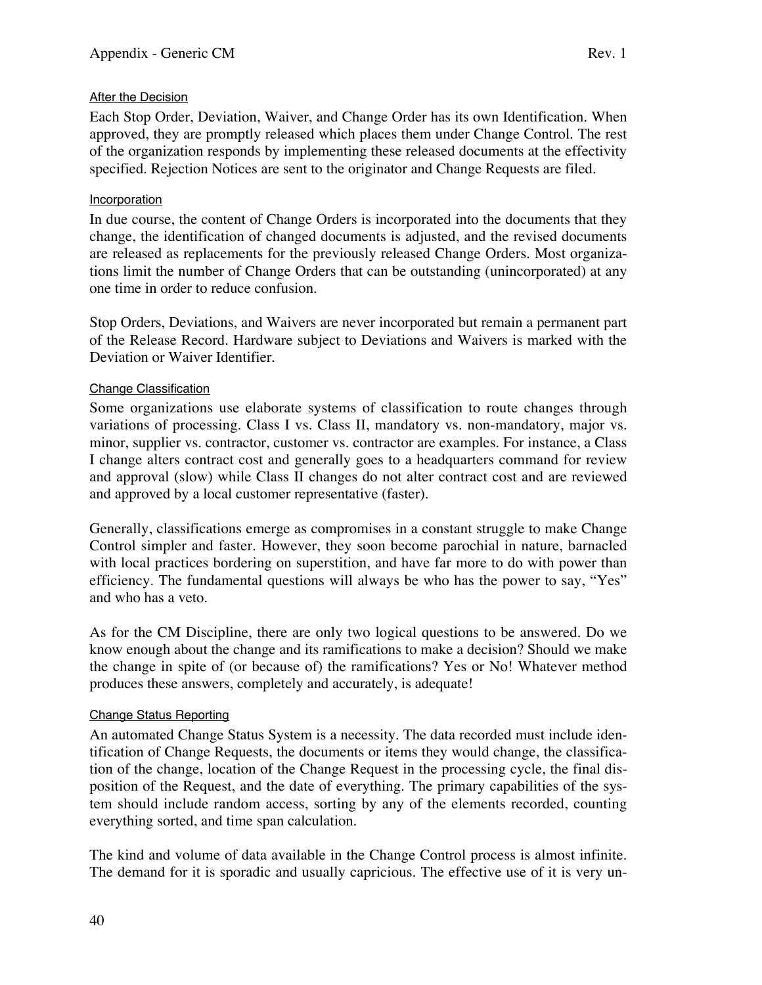## After the Decision

Each Stop Order, Deviation, Waiver, and Change Order has its own Identification. When approved, they are promptly released which places them under Change Control. The rest of the organization responds by implementing these released documents at the effectivity specified. Rejection Notices are sent to the originator and Change Requests are filed.

#### Incorporation

In due course, the content of Change Orders is incorporated into the documents that they change, the identification of changed documents is adjusted, and the revised documents are released as replacements for the previously released Change Orders. Most organizations limit the number of Change Orders that can be outstanding (unincorporated) at any one time in order to reduce confusion.

Stop Orders, Deviations, and Waivers are never incorporated but remain a permanent part of the Release Record. Hardware subject to Deviations and Waivers is marked with the Deviation or Waiver Identifier.

## Change Classification

Some organizations use elaborate systems of classification to route changes through variations of processing. Class I vs. Class II, mandatory vs. non-mandatory, major vs. minor, supplier vs. contractor, customer vs. contractor are examples. For instance, a Class I change alters contract cost and generally goes to a headquarters command for review and approval (slow) while Class II changes do not alter contract cost and are reviewed and approved by a local customer representative (faster).

Generally, classifications emerge as compromises in a constant struggle to make Change Control simpler and faster. However, they soon become parochial in nature, barnacled with local practices bordering on superstition, and have far more to do with power than efficiency. The fundamental questions will always be who has the power to say, "Yes" and who has a veto.

As for the CM Discipline, there are only two logical questions to be answered. Do we know enough about the change and its ramifications to make a decision? Should we make the change in spite of (or because of) the ramifications? Yes or No! Whatever method produces these answers, completely and accurately, is adequate!

## Change Status Reporting

An automated Change Status System is a necessity. The data recorded must include identification of Change Requests, the documents or items they would change, the classification of the change, location of the Change Request in the processing cycle, the final disposition of the Request, and the date of everything. The primary capabilities of the system should include random access, sorting by any of the elements recorded, counting everything sorted, and time span calculation.

The kind and volume of data available in the Change Control process is almost infinite. The demand for it is sporadic and usually capricious. The effective use of it is very un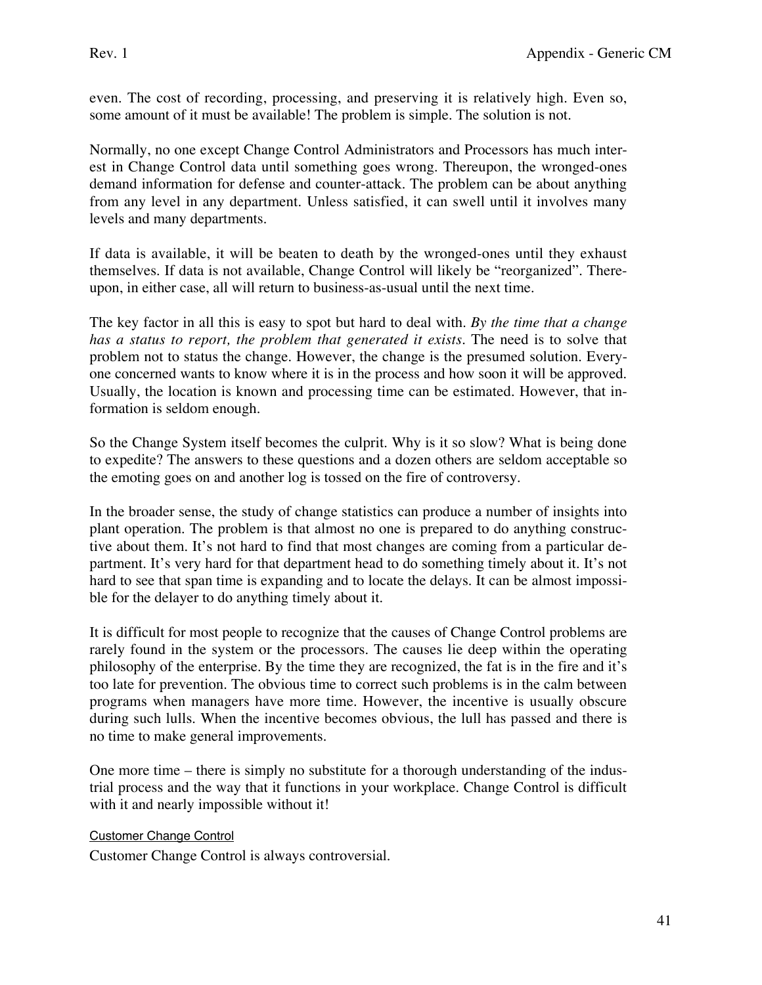even. The cost of recording, processing, and preserving it is relatively high. Even so, some amount of it must be available! The problem is simple. The solution is not.

Normally, no one except Change Control Administrators and Processors has much interest in Change Control data until something goes wrong. Thereupon, the wronged-ones demand information for defense and counter-attack. The problem can be about anything from any level in any department. Unless satisfied, it can swell until it involves many levels and many departments.

If data is available, it will be beaten to death by the wronged-ones until they exhaust themselves. If data is not available, Change Control will likely be "reorganized". Thereupon, in either case, all will return to business-as-usual until the next time.

The key factor in all this is easy to spot but hard to deal with. *By the time that a change has a status to report, the problem that generated it exists*. The need is to solve that problem not to status the change. However, the change is the presumed solution. Everyone concerned wants to know where it is in the process and how soon it will be approved. Usually, the location is known and processing time can be estimated. However, that information is seldom enough.

So the Change System itself becomes the culprit. Why is it so slow? What is being done to expedite? The answers to these questions and a dozen others are seldom acceptable so the emoting goes on and another log is tossed on the fire of controversy.

In the broader sense, the study of change statistics can produce a number of insights into plant operation. The problem is that almost no one is prepared to do anything constructive about them. It's not hard to find that most changes are coming from a particular department. It's very hard for that department head to do something timely about it. It's not hard to see that span time is expanding and to locate the delays. It can be almost impossible for the delayer to do anything timely about it.

It is difficult for most people to recognize that the causes of Change Control problems are rarely found in the system or the processors. The causes lie deep within the operating philosophy of the enterprise. By the time they are recognized, the fat is in the fire and it's too late for prevention. The obvious time to correct such problems is in the calm between programs when managers have more time. However, the incentive is usually obscure during such lulls. When the incentive becomes obvious, the lull has passed and there is no time to make general improvements.

One more time – there is simply no substitute for a thorough understanding of the industrial process and the way that it functions in your workplace. Change Control is difficult with it and nearly impossible without it!

Customer Change Control

Customer Change Control is always controversial.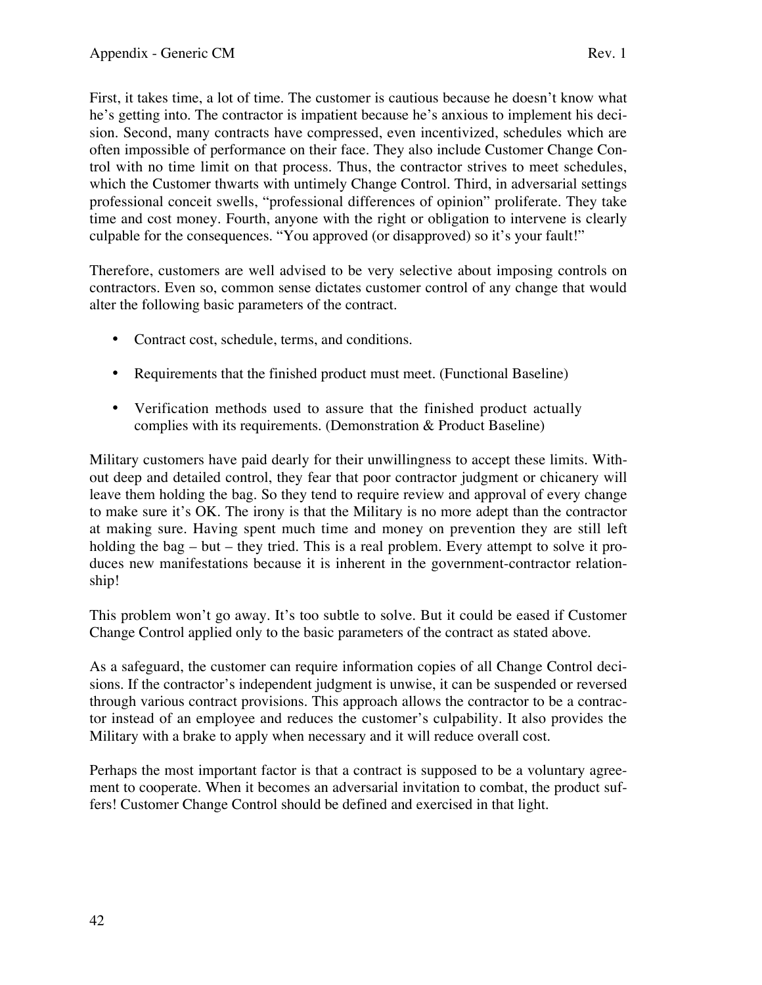First, it takes time, a lot of time. The customer is cautious because he doesn't know what he's getting into. The contractor is impatient because he's anxious to implement his decision. Second, many contracts have compressed, even incentivized, schedules which are often impossible of performance on their face. They also include Customer Change Control with no time limit on that process. Thus, the contractor strives to meet schedules, which the Customer thwarts with untimely Change Control. Third, in adversarial settings professional conceit swells, "professional differences of opinion" proliferate. They take time and cost money. Fourth, anyone with the right or obligation to intervene is clearly culpable for the consequences. "You approved (or disapproved) so it's your fault!"

Therefore, customers are well advised to be very selective about imposing controls on contractors. Even so, common sense dictates customer control of any change that would alter the following basic parameters of the contract.

- Contract cost, schedule, terms, and conditions.
- Requirements that the finished product must meet. (Functional Baseline)
- Verification methods used to assure that the finished product actually complies with its requirements. (Demonstration & Product Baseline)

Military customers have paid dearly for their unwillingness to accept these limits. Without deep and detailed control, they fear that poor contractor judgment or chicanery will leave them holding the bag. So they tend to require review and approval of every change to make sure it's OK. The irony is that the Military is no more adept than the contractor at making sure. Having spent much time and money on prevention they are still left holding the bag – but – they tried. This is a real problem. Every attempt to solve it produces new manifestations because it is inherent in the government-contractor relationship!

This problem won't go away. It's too subtle to solve. But it could be eased if Customer Change Control applied only to the basic parameters of the contract as stated above.

As a safeguard, the customer can require information copies of all Change Control decisions. If the contractor's independent judgment is unwise, it can be suspended or reversed through various contract provisions. This approach allows the contractor to be a contractor instead of an employee and reduces the customer's culpability. It also provides the Military with a brake to apply when necessary and it will reduce overall cost.

Perhaps the most important factor is that a contract is supposed to be a voluntary agreement to cooperate. When it becomes an adversarial invitation to combat, the product suffers! Customer Change Control should be defined and exercised in that light.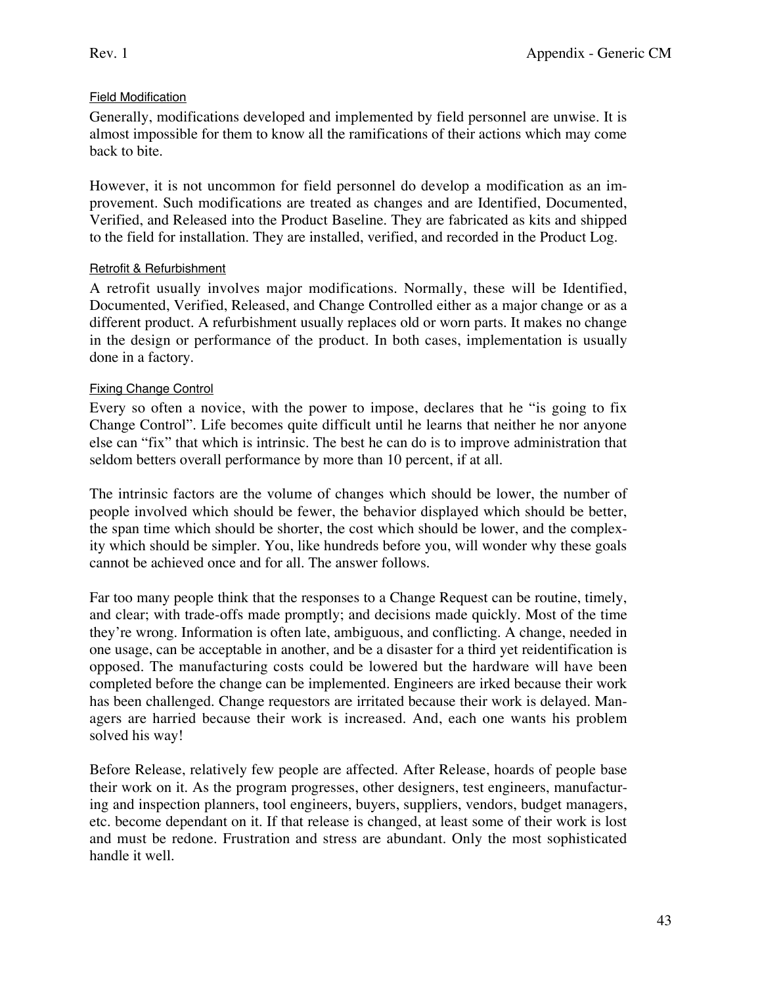# Field Modification

Generally, modifications developed and implemented by field personnel are unwise. It is almost impossible for them to know all the ramifications of their actions which may come back to bite.

However, it is not uncommon for field personnel do develop a modification as an improvement. Such modifications are treated as changes and are Identified, Documented, Verified, and Released into the Product Baseline. They are fabricated as kits and shipped to the field for installation. They are installed, verified, and recorded in the Product Log.

## Retrofit & Refurbishment

A retrofit usually involves major modifications. Normally, these will be Identified, Documented, Verified, Released, and Change Controlled either as a major change or as a different product. A refurbishment usually replaces old or worn parts. It makes no change in the design or performance of the product. In both cases, implementation is usually done in a factory.

# Fixing Change Control

Every so often a novice, with the power to impose, declares that he "is going to fix Change Control". Life becomes quite difficult until he learns that neither he nor anyone else can "fix" that which is intrinsic. The best he can do is to improve administration that seldom betters overall performance by more than 10 percent, if at all.

The intrinsic factors are the volume of changes which should be lower, the number of people involved which should be fewer, the behavior displayed which should be better, the span time which should be shorter, the cost which should be lower, and the complexity which should be simpler. You, like hundreds before you, will wonder why these goals cannot be achieved once and for all. The answer follows.

Far too many people think that the responses to a Change Request can be routine, timely, and clear; with trade-offs made promptly; and decisions made quickly. Most of the time they're wrong. Information is often late, ambiguous, and conflicting. A change, needed in one usage, can be acceptable in another, and be a disaster for a third yet reidentification is opposed. The manufacturing costs could be lowered but the hardware will have been completed before the change can be implemented. Engineers are irked because their work has been challenged. Change requestors are irritated because their work is delayed. Managers are harried because their work is increased. And, each one wants his problem solved his way!

Before Release, relatively few people are affected. After Release, hoards of people base their work on it. As the program progresses, other designers, test engineers, manufacturing and inspection planners, tool engineers, buyers, suppliers, vendors, budget managers, etc. become dependant on it. If that release is changed, at least some of their work is lost and must be redone. Frustration and stress are abundant. Only the most sophisticated handle it well.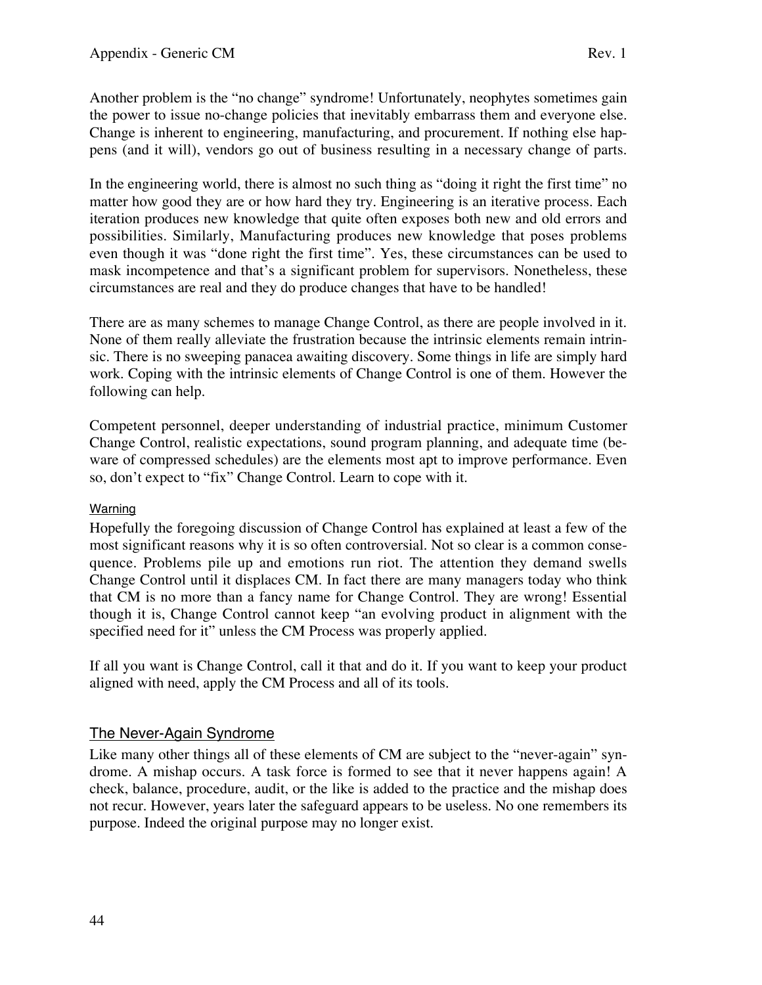Another problem is the "no change" syndrome! Unfortunately, neophytes sometimes gain the power to issue no-change policies that inevitably embarrass them and everyone else. Change is inherent to engineering, manufacturing, and procurement. If nothing else happens (and it will), vendors go out of business resulting in a necessary change of parts.

In the engineering world, there is almost no such thing as "doing it right the first time" no matter how good they are or how hard they try. Engineering is an iterative process. Each iteration produces new knowledge that quite often exposes both new and old errors and possibilities. Similarly, Manufacturing produces new knowledge that poses problems even though it was "done right the first time". Yes, these circumstances can be used to mask incompetence and that's a significant problem for supervisors. Nonetheless, these circumstances are real and they do produce changes that have to be handled!

There are as many schemes to manage Change Control, as there are people involved in it. None of them really alleviate the frustration because the intrinsic elements remain intrinsic. There is no sweeping panacea awaiting discovery. Some things in life are simply hard work. Coping with the intrinsic elements of Change Control is one of them. However the following can help.

Competent personnel, deeper understanding of industrial practice, minimum Customer Change Control, realistic expectations, sound program planning, and adequate time (beware of compressed schedules) are the elements most apt to improve performance. Even so, don't expect to "fix" Change Control. Learn to cope with it.

## Warning

Hopefully the foregoing discussion of Change Control has explained at least a few of the most significant reasons why it is so often controversial. Not so clear is a common consequence. Problems pile up and emotions run riot. The attention they demand swells Change Control until it displaces CM. In fact there are many managers today who think that CM is no more than a fancy name for Change Control. They are wrong! Essential though it is, Change Control cannot keep "an evolving product in alignment with the specified need for it" unless the CM Process was properly applied.

If all you want is Change Control, call it that and do it. If you want to keep your product aligned with need, apply the CM Process and all of its tools.

# The Never-Again Syndrome

Like many other things all of these elements of CM are subject to the "never-again" syndrome. A mishap occurs. A task force is formed to see that it never happens again! A check, balance, procedure, audit, or the like is added to the practice and the mishap does not recur. However, years later the safeguard appears to be useless. No one remembers its purpose. Indeed the original purpose may no longer exist.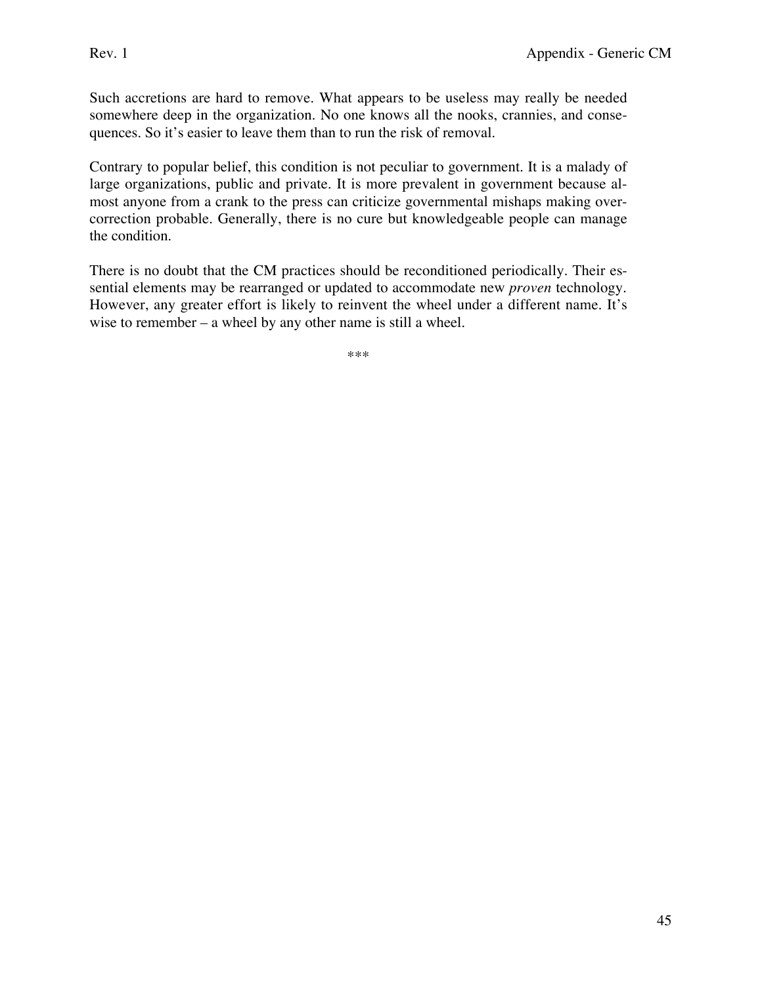Such accretions are hard to remove. What appears to be useless may really be needed somewhere deep in the organization. No one knows all the nooks, crannies, and consequences. So it's easier to leave them than to run the risk of removal.

Contrary to popular belief, this condition is not peculiar to government. It is a malady of large organizations, public and private. It is more prevalent in government because almost anyone from a crank to the press can criticize governmental mishaps making overcorrection probable. Generally, there is no cure but knowledgeable people can manage the condition.

There is no doubt that the CM practices should be reconditioned periodically. Their essential elements may be rearranged or updated to accommodate new *proven* technology. However, any greater effort is likely to reinvent the wheel under a different name. It's wise to remember – a wheel by any other name is still a wheel.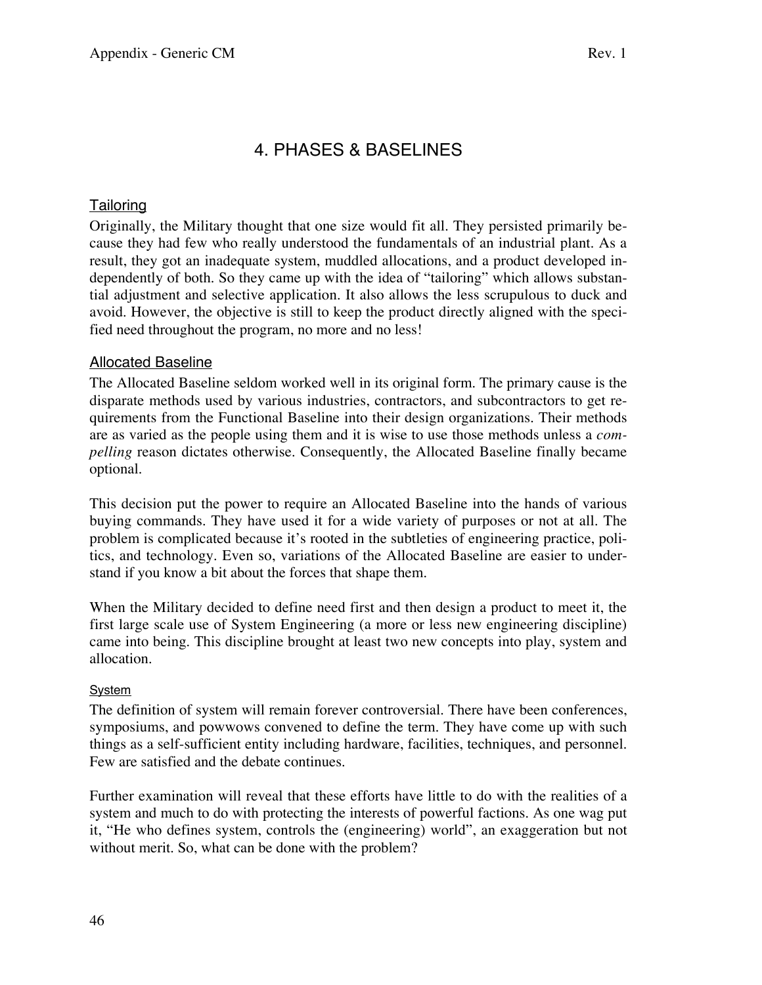# 4. PHASES & BASELINES

# **Tailoring**

Originally, the Military thought that one size would fit all. They persisted primarily because they had few who really understood the fundamentals of an industrial plant. As a result, they got an inadequate system, muddled allocations, and a product developed independently of both. So they came up with the idea of "tailoring" which allows substantial adjustment and selective application. It also allows the less scrupulous to duck and avoid. However, the objective is still to keep the product directly aligned with the specified need throughout the program, no more and no less!

## Allocated Baseline

The Allocated Baseline seldom worked well in its original form. The primary cause is the disparate methods used by various industries, contractors, and subcontractors to get requirements from the Functional Baseline into their design organizations. Their methods are as varied as the people using them and it is wise to use those methods unless a *compelling* reason dictates otherwise. Consequently, the Allocated Baseline finally became optional.

This decision put the power to require an Allocated Baseline into the hands of various buying commands. They have used it for a wide variety of purposes or not at all. The problem is complicated because it's rooted in the subtleties of engineering practice, politics, and technology. Even so, variations of the Allocated Baseline are easier to understand if you know a bit about the forces that shape them.

When the Military decided to define need first and then design a product to meet it, the first large scale use of System Engineering (a more or less new engineering discipline) came into being. This discipline brought at least two new concepts into play, system and allocation.

## **System**

The definition of system will remain forever controversial. There have been conferences, symposiums, and powwows convened to define the term. They have come up with such things as a self-sufficient entity including hardware, facilities, techniques, and personnel. Few are satisfied and the debate continues.

Further examination will reveal that these efforts have little to do with the realities of a system and much to do with protecting the interests of powerful factions. As one wag put it, "He who defines system, controls the (engineering) world", an exaggeration but not without merit. So, what can be done with the problem?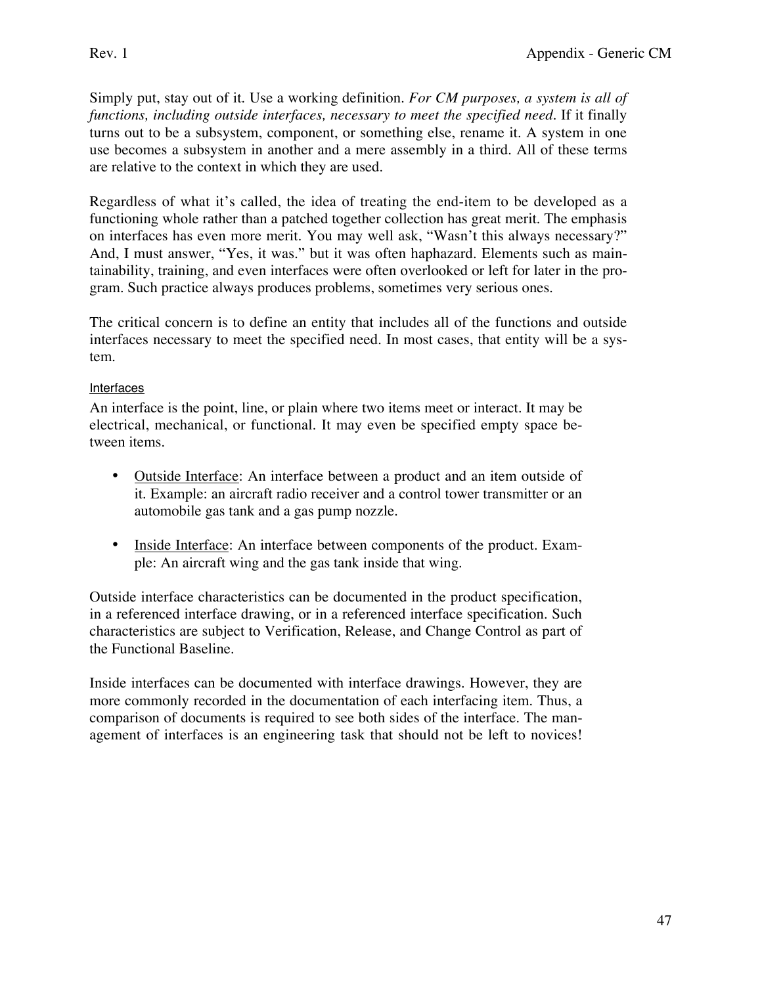Simply put, stay out of it. Use a working definition. *For CM purposes, a system is all of functions, including outside interfaces, necessary to meet the specified need.* If it finally turns out to be a subsystem, component, or something else, rename it. A system in one use becomes a subsystem in another and a mere assembly in a third. All of these terms are relative to the context in which they are used.

Regardless of what it's called, the idea of treating the end-item to be developed as a functioning whole rather than a patched together collection has great merit. The emphasis on interfaces has even more merit. You may well ask, "Wasn't this always necessary?" And, I must answer, "Yes, it was." but it was often haphazard. Elements such as maintainability, training, and even interfaces were often overlooked or left for later in the program. Such practice always produces problems, sometimes very serious ones.

The critical concern is to define an entity that includes all of the functions and outside interfaces necessary to meet the specified need. In most cases, that entity will be a system.

## **Interfaces**

An interface is the point, line, or plain where two items meet or interact. It may be electrical, mechanical, or functional. It may even be specified empty space between items.

- Outside Interface: An interface between a product and an item outside of it. Example: an aircraft radio receiver and a control tower transmitter or an automobile gas tank and a gas pump nozzle.
- Inside Interface: An interface between components of the product. Example: An aircraft wing and the gas tank inside that wing.

Outside interface characteristics can be documented in the product specification, in a referenced interface drawing, or in a referenced interface specification. Such characteristics are subject to Verification, Release, and Change Control as part of the Functional Baseline.

Inside interfaces can be documented with interface drawings. However, they are more commonly recorded in the documentation of each interfacing item. Thus, a comparison of documents is required to see both sides of the interface. The management of interfaces is an engineering task that should not be left to novices!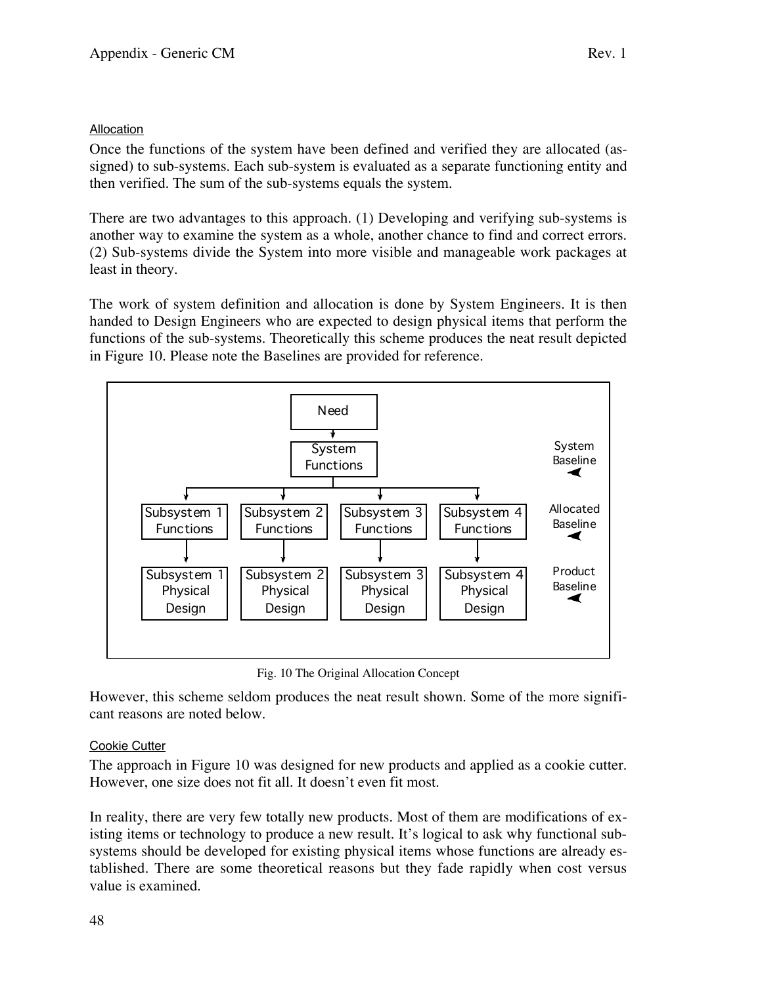#### **Allocation**

Once the functions of the system have been defined and verified they are allocated (assigned) to sub-systems. Each sub-system is evaluated as a separate functioning entity and then verified. The sum of the sub-systems equals the system.

There are two advantages to this approach. (1) Developing and verifying sub-systems is another way to examine the system as a whole, another chance to find and correct errors. (2) Sub-systems divide the System into more visible and manageable work packages at least in theory.

The work of system definition and allocation is done by System Engineers. It is then handed to Design Engineers who are expected to design physical items that perform the functions of the sub-systems. Theoretically this scheme produces the neat result depicted in Figure 10. Please note the Baselines are provided for reference.



Fig. 10 The Original Allocation Concept

However, this scheme seldom produces the neat result shown. Some of the more significant reasons are noted below.

## Cookie Cutter

The approach in Figure 10 was designed for new products and applied as a cookie cutter. However, one size does not fit all. It doesn't even fit most.

In reality, there are very few totally new products. Most of them are modifications of existing items or technology to produce a new result. It's logical to ask why functional subsystems should be developed for existing physical items whose functions are already established. There are some theoretical reasons but they fade rapidly when cost versus value is examined.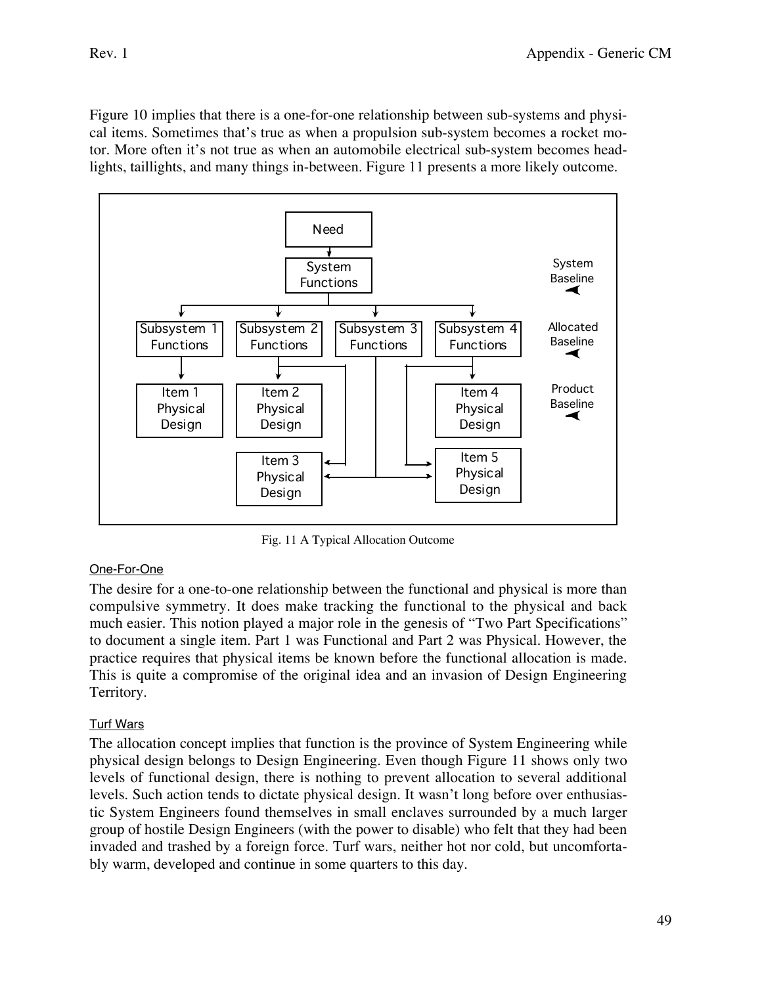Figure 10 implies that there is a one-for-one relationship between sub-systems and physical items. Sometimes that's true as when a propulsion sub-system becomes a rocket motor. More often it's not true as when an automobile electrical sub-system becomes headlights, taillights, and many things in-between. Figure 11 presents a more likely outcome.



Fig. 11 A Typical Allocation Outcome

## One-For-One

The desire for a one-to-one relationship between the functional and physical is more than compulsive symmetry. It does make tracking the functional to the physical and back much easier. This notion played a major role in the genesis of "Two Part Specifications" to document a single item. Part 1 was Functional and Part 2 was Physical. However, the practice requires that physical items be known before the functional allocation is made. This is quite a compromise of the original idea and an invasion of Design Engineering Territory.

# Turf Wars

The allocation concept implies that function is the province of System Engineering while physical design belongs to Design Engineering. Even though Figure 11 shows only two levels of functional design, there is nothing to prevent allocation to several additional levels. Such action tends to dictate physical design. It wasn't long before over enthusiastic System Engineers found themselves in small enclaves surrounded by a much larger group of hostile Design Engineers (with the power to disable) who felt that they had been invaded and trashed by a foreign force. Turf wars, neither hot nor cold, but uncomfortably warm, developed and continue in some quarters to this day.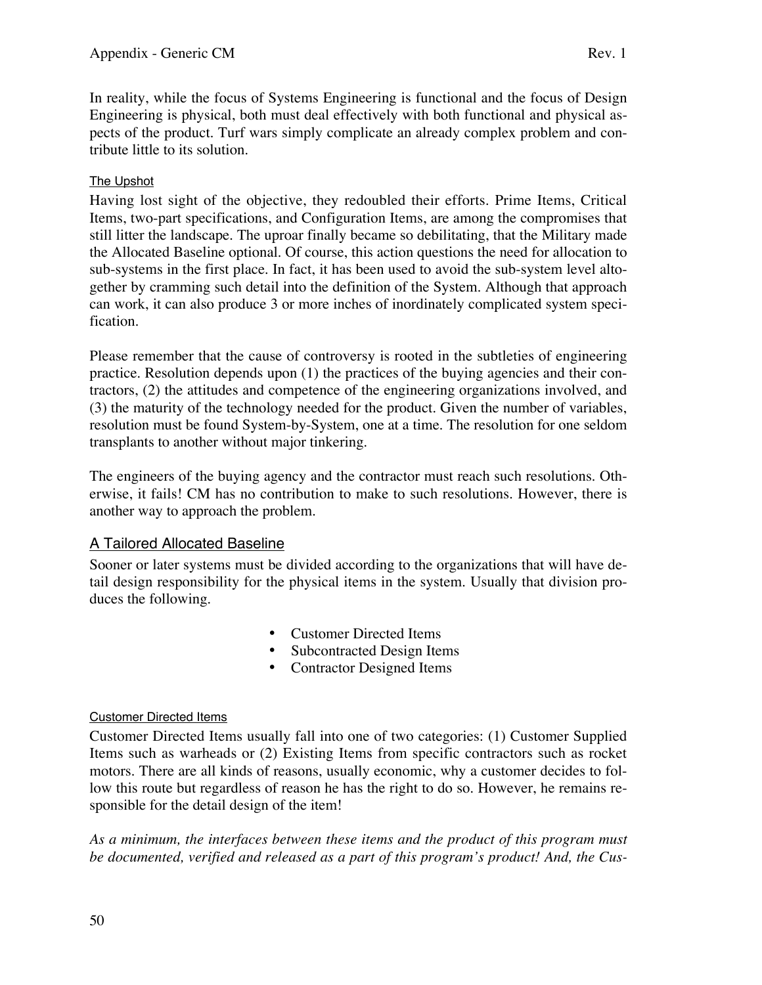In reality, while the focus of Systems Engineering is functional and the focus of Design Engineering is physical, both must deal effectively with both functional and physical aspects of the product. Turf wars simply complicate an already complex problem and contribute little to its solution.

# The Upshot

Having lost sight of the objective, they redoubled their efforts. Prime Items, Critical Items, two-part specifications, and Configuration Items, are among the compromises that still litter the landscape. The uproar finally became so debilitating, that the Military made the Allocated Baseline optional. Of course, this action questions the need for allocation to sub-systems in the first place. In fact, it has been used to avoid the sub-system level altogether by cramming such detail into the definition of the System. Although that approach can work, it can also produce 3 or more inches of inordinately complicated system specification.

Please remember that the cause of controversy is rooted in the subtleties of engineering practice. Resolution depends upon (1) the practices of the buying agencies and their contractors, (2) the attitudes and competence of the engineering organizations involved, and (3) the maturity of the technology needed for the product. Given the number of variables, resolution must be found System-by-System, one at a time. The resolution for one seldom transplants to another without major tinkering.

The engineers of the buying agency and the contractor must reach such resolutions. Otherwise, it fails! CM has no contribution to make to such resolutions. However, there is another way to approach the problem.

## A Tailored Allocated Baseline

Sooner or later systems must be divided according to the organizations that will have detail design responsibility for the physical items in the system. Usually that division produces the following.

- Customer Directed Items
- Subcontracted Design Items
- Contractor Designed Items

## Customer Directed Items

Customer Directed Items usually fall into one of two categories: (1) Customer Supplied Items such as warheads or (2) Existing Items from specific contractors such as rocket motors. There are all kinds of reasons, usually economic, why a customer decides to follow this route but regardless of reason he has the right to do so. However, he remains responsible for the detail design of the item!

*As a minimum, the interfaces between these items and the product of this program must be documented, verified and released as a part of this program's product! And, the Cus-*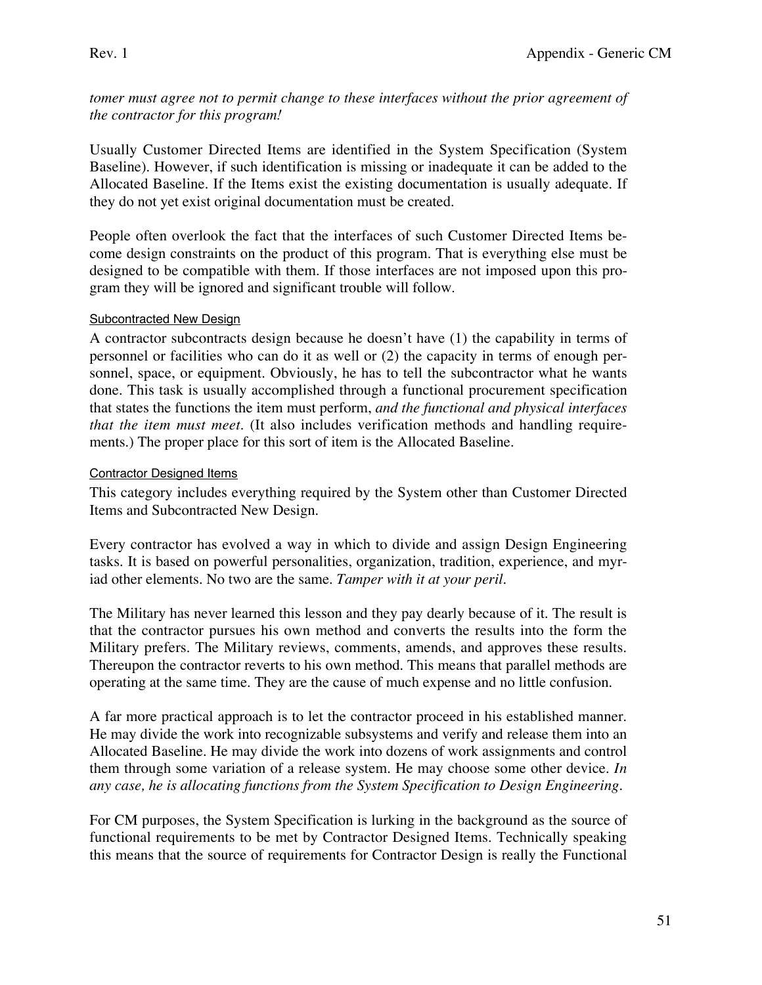*tomer must agree not to permit change to these interfaces without the prior agreement of the contractor for this program!*

Usually Customer Directed Items are identified in the System Specification (System Baseline). However, if such identification is missing or inadequate it can be added to the Allocated Baseline. If the Items exist the existing documentation is usually adequate. If they do not yet exist original documentation must be created.

People often overlook the fact that the interfaces of such Customer Directed Items become design constraints on the product of this program. That is everything else must be designed to be compatible with them. If those interfaces are not imposed upon this program they will be ignored and significant trouble will follow.

#### Subcontracted New Design

A contractor subcontracts design because he doesn't have (1) the capability in terms of personnel or facilities who can do it as well or (2) the capacity in terms of enough personnel, space, or equipment. Obviously, he has to tell the subcontractor what he wants done. This task is usually accomplished through a functional procurement specification that states the functions the item must perform, *and the functional and physical interfaces that the item must meet.* (It also includes verification methods and handling requirements.) The proper place for this sort of item is the Allocated Baseline.

#### Contractor Designed Items

This category includes everything required by the System other than Customer Directed Items and Subcontracted New Design.

Every contractor has evolved a way in which to divide and assign Design Engineering tasks. It is based on powerful personalities, organization, tradition, experience, and myriad other elements. No two are the same. *Tamper with it at your peril*.

The Military has never learned this lesson and they pay dearly because of it. The result is that the contractor pursues his own method and converts the results into the form the Military prefers. The Military reviews, comments, amends, and approves these results. Thereupon the contractor reverts to his own method. This means that parallel methods are operating at the same time. They are the cause of much expense and no little confusion.

A far more practical approach is to let the contractor proceed in his established manner. He may divide the work into recognizable subsystems and verify and release them into an Allocated Baseline. He may divide the work into dozens of work assignments and control them through some variation of a release system. He may choose some other device. *In any case, he is allocating functions from the System Specification to Design Engineering.*

For CM purposes, the System Specification is lurking in the background as the source of functional requirements to be met by Contractor Designed Items. Technically speaking this means that the source of requirements for Contractor Design is really the Functional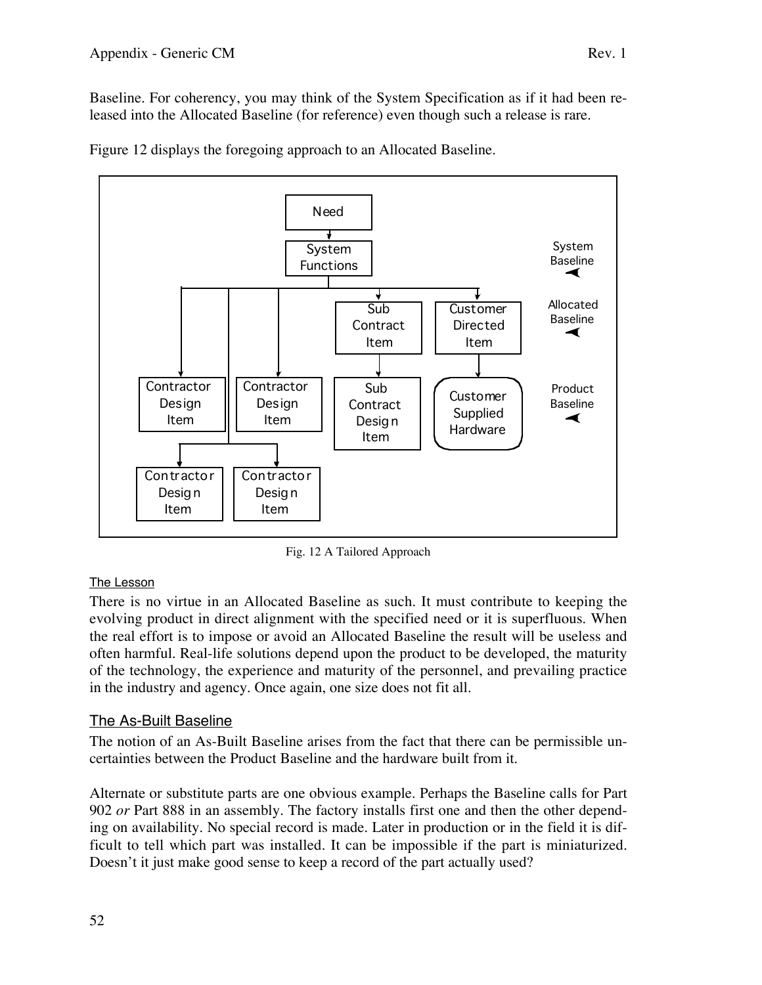Figure 12 displays the foregoing approach to an Allocated Baseline.



Fig. 12 A Tailored Approach

# The Lesson

There is no virtue in an Allocated Baseline as such. It must contribute to keeping the evolving product in direct alignment with the specified need or it is superfluous. When the real effort is to impose or avoid an Allocated Baseline the result will be useless and often harmful. Real-life solutions depend upon the product to be developed, the maturity of the technology, the experience and maturity of the personnel, and prevailing practice in the industry and agency. Once again, one size does not fit all.

# The As-Built Baseline

The notion of an As-Built Baseline arises from the fact that there can be permissible uncertainties between the Product Baseline and the hardware built from it.

Alternate or substitute parts are one obvious example. Perhaps the Baseline calls for Part 902 *or* Part 888 in an assembly. The factory installs first one and then the other depending on availability. No special record is made. Later in production or in the field it is difficult to tell which part was installed. It can be impossible if the part is miniaturized. Doesn't it just make good sense to keep a record of the part actually used?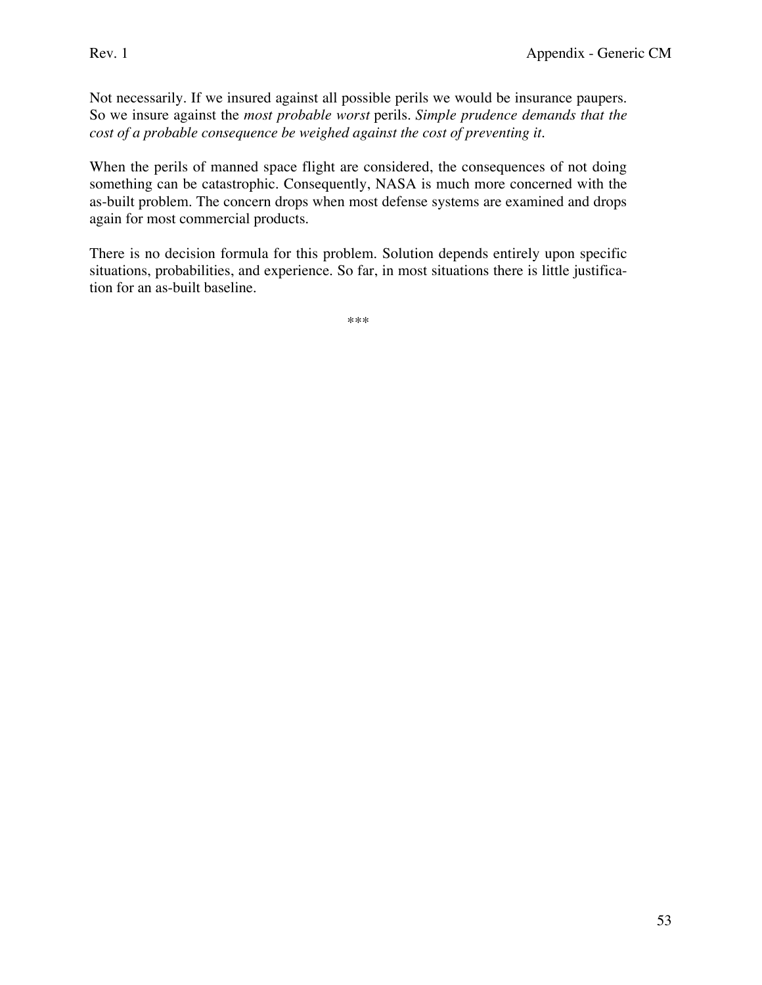Not necessarily. If we insured against all possible perils we would be insurance paupers. So we insure against the *most probable worst* perils. *Simple prudence demands that the cost of a probable consequence be weighed against the cost of preventing it.*

When the perils of manned space flight are considered, the consequences of not doing something can be catastrophic. Consequently, NASA is much more concerned with the as-built problem. The concern drops when most defense systems are examined and drops again for most commercial products.

There is no decision formula for this problem. Solution depends entirely upon specific situations, probabilities, and experience. So far, in most situations there is little justification for an as-built baseline.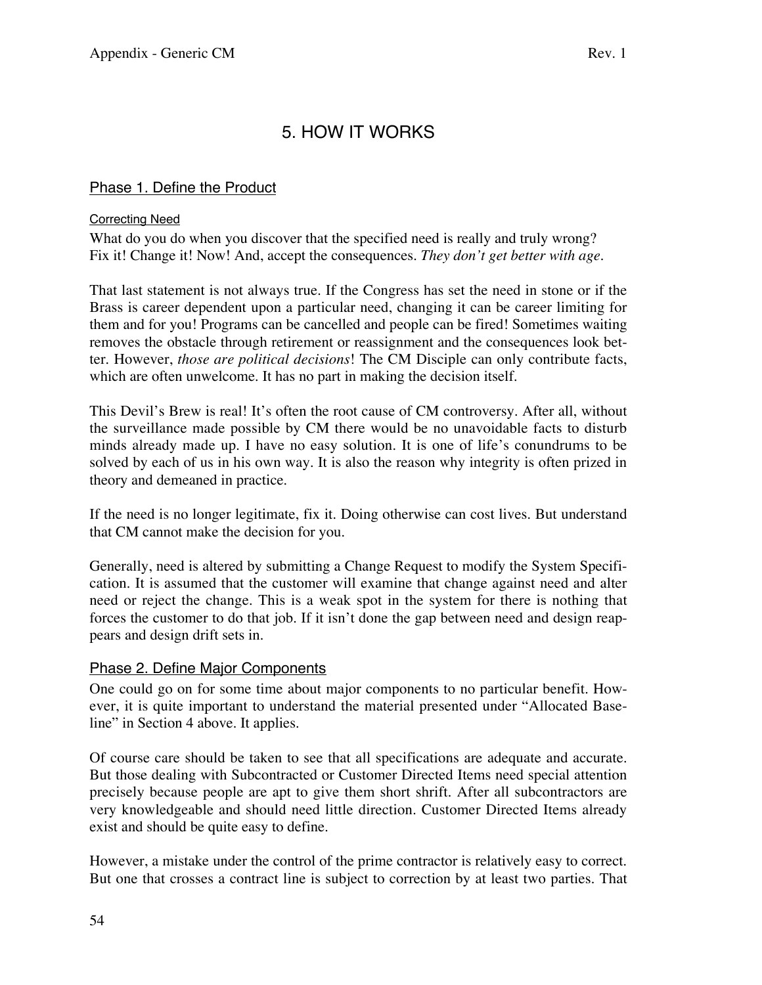# 5. HOW IT WORKS

# Phase 1. Define the Product

#### Correcting Need

What do you do when you discover that the specified need is really and truly wrong? Fix it! Change it! Now! And, accept the consequences. *They don't get better with age.*

That last statement is not always true. If the Congress has set the need in stone or if the Brass is career dependent upon a particular need, changing it can be career limiting for them and for you! Programs can be cancelled and people can be fired! Sometimes waiting removes the obstacle through retirement or reassignment and the consequences look better. However, *those are political decisions*! The CM Disciple can only contribute facts, which are often unwelcome. It has no part in making the decision itself.

This Devil's Brew is real! It's often the root cause of CM controversy. After all, without the surveillance made possible by CM there would be no unavoidable facts to disturb minds already made up. I have no easy solution. It is one of life's conundrums to be solved by each of us in his own way. It is also the reason why integrity is often prized in theory and demeaned in practice.

If the need is no longer legitimate, fix it. Doing otherwise can cost lives. But understand that CM cannot make the decision for you.

Generally, need is altered by submitting a Change Request to modify the System Specification. It is assumed that the customer will examine that change against need and alter need or reject the change. This is a weak spot in the system for there is nothing that forces the customer to do that job. If it isn't done the gap between need and design reappears and design drift sets in.

## Phase 2. Define Major Components

One could go on for some time about major components to no particular benefit. However, it is quite important to understand the material presented under "Allocated Baseline" in Section 4 above. It applies.

Of course care should be taken to see that all specifications are adequate and accurate. But those dealing with Subcontracted or Customer Directed Items need special attention precisely because people are apt to give them short shrift. After all subcontractors are very knowledgeable and should need little direction. Customer Directed Items already exist and should be quite easy to define.

However, a mistake under the control of the prime contractor is relatively easy to correct. But one that crosses a contract line is subject to correction by at least two parties. That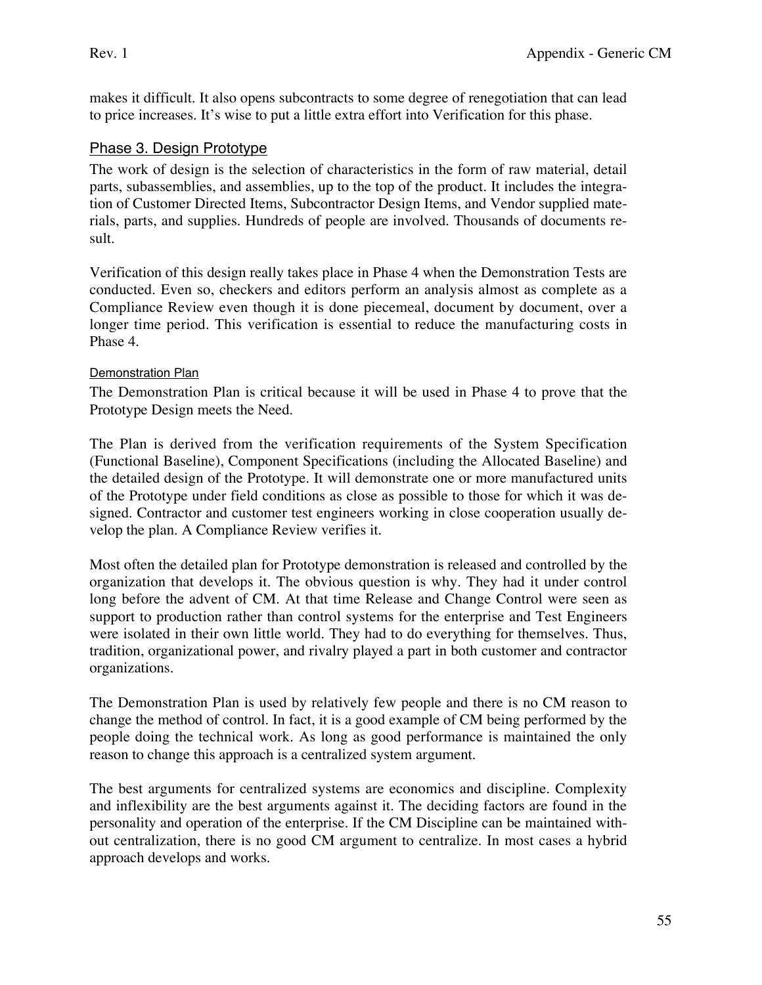makes it difficult. It also opens subcontracts to some degree of renegotiation that can lead to price increases. It's wise to put a little extra effort into Verification for this phase.

# Phase 3. Design Prototype

The work of design is the selection of characteristics in the form of raw material, detail parts, subassemblies, and assemblies, up to the top of the product. It includes the integration of Customer Directed Items, Subcontractor Design Items, and Vendor supplied materials, parts, and supplies. Hundreds of people are involved. Thousands of documents result.

Verification of this design really takes place in Phase 4 when the Demonstration Tests are conducted. Even so, checkers and editors perform an analysis almost as complete as a Compliance Review even though it is done piecemeal, document by document, over a longer time period. This verification is essential to reduce the manufacturing costs in Phase 4.

#### **Demonstration Plan**

The Demonstration Plan is critical because it will be used in Phase 4 to prove that the Prototype Design meets the Need.

The Plan is derived from the verification requirements of the System Specification (Functional Baseline), Component Specifications (including the Allocated Baseline) and the detailed design of the Prototype. It will demonstrate one or more manufactured units of the Prototype under field conditions as close as possible to those for which it was designed. Contractor and customer test engineers working in close cooperation usually develop the plan. A Compliance Review verifies it.

Most often the detailed plan for Prototype demonstration is released and controlled by the organization that develops it. The obvious question is why. They had it under control long before the advent of CM. At that time Release and Change Control were seen as support to production rather than control systems for the enterprise and Test Engineers were isolated in their own little world. They had to do everything for themselves. Thus, tradition, organizational power, and rivalry played a part in both customer and contractor organizations.

The Demonstration Plan is used by relatively few people and there is no CM reason to change the method of control. In fact, it is a good example of CM being performed by the people doing the technical work. As long as good performance is maintained the only reason to change this approach is a centralized system argument.

The best arguments for centralized systems are economics and discipline. Complexity and inflexibility are the best arguments against it. The deciding factors are found in the personality and operation of the enterprise. If the CM Discipline can be maintained without centralization, there is no good CM argument to centralize. In most cases a hybrid approach develops and works.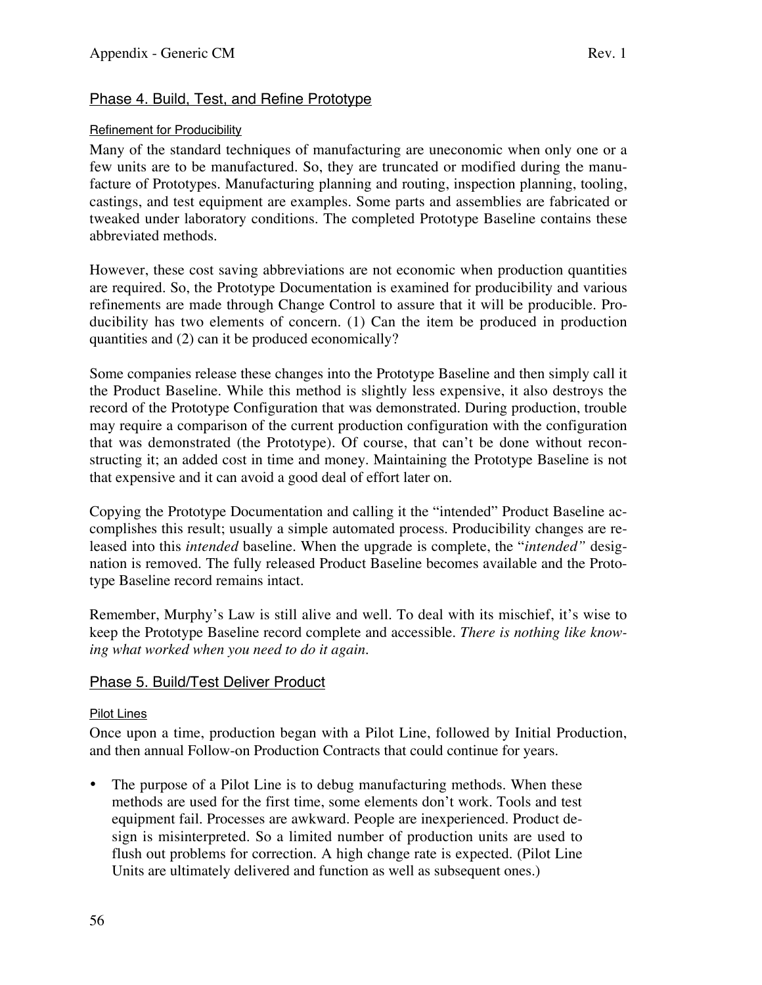# Phase 4. Build, Test, and Refine Prototype

#### Refinement for Producibility

Many of the standard techniques of manufacturing are uneconomic when only one or a few units are to be manufactured. So, they are truncated or modified during the manufacture of Prototypes. Manufacturing planning and routing, inspection planning, tooling, castings, and test equipment are examples. Some parts and assemblies are fabricated or tweaked under laboratory conditions. The completed Prototype Baseline contains these abbreviated methods.

However, these cost saving abbreviations are not economic when production quantities are required. So, the Prototype Documentation is examined for producibility and various refinements are made through Change Control to assure that it will be producible. Producibility has two elements of concern. (1) Can the item be produced in production quantities and (2) can it be produced economically?

Some companies release these changes into the Prototype Baseline and then simply call it the Product Baseline. While this method is slightly less expensive, it also destroys the record of the Prototype Configuration that was demonstrated. During production, trouble may require a comparison of the current production configuration with the configuration that was demonstrated (the Prototype). Of course, that can't be done without reconstructing it; an added cost in time and money. Maintaining the Prototype Baseline is not that expensive and it can avoid a good deal of effort later on.

Copying the Prototype Documentation and calling it the "intended" Product Baseline accomplishes this result; usually a simple automated process. Producibility changes are released into this *intended* baseline. When the upgrade is complete, the "*intended"* designation is removed. The fully released Product Baseline becomes available and the Prototype Baseline record remains intact.

Remember, Murphy's Law is still alive and well. To deal with its mischief, it's wise to keep the Prototype Baseline record complete and accessible. *There is nothing like knowing what worked when you need to do it again.*

## Phase 5. Build/Test Deliver Product

#### Pilot Lines

Once upon a time, production began with a Pilot Line, followed by Initial Production, and then annual Follow-on Production Contracts that could continue for years.

The purpose of a Pilot Line is to debug manufacturing methods. When these methods are used for the first time, some elements don't work. Tools and test equipment fail. Processes are awkward. People are inexperienced. Product design is misinterpreted. So a limited number of production units are used to flush out problems for correction. A high change rate is expected. (Pilot Line Units are ultimately delivered and function as well as subsequent ones.)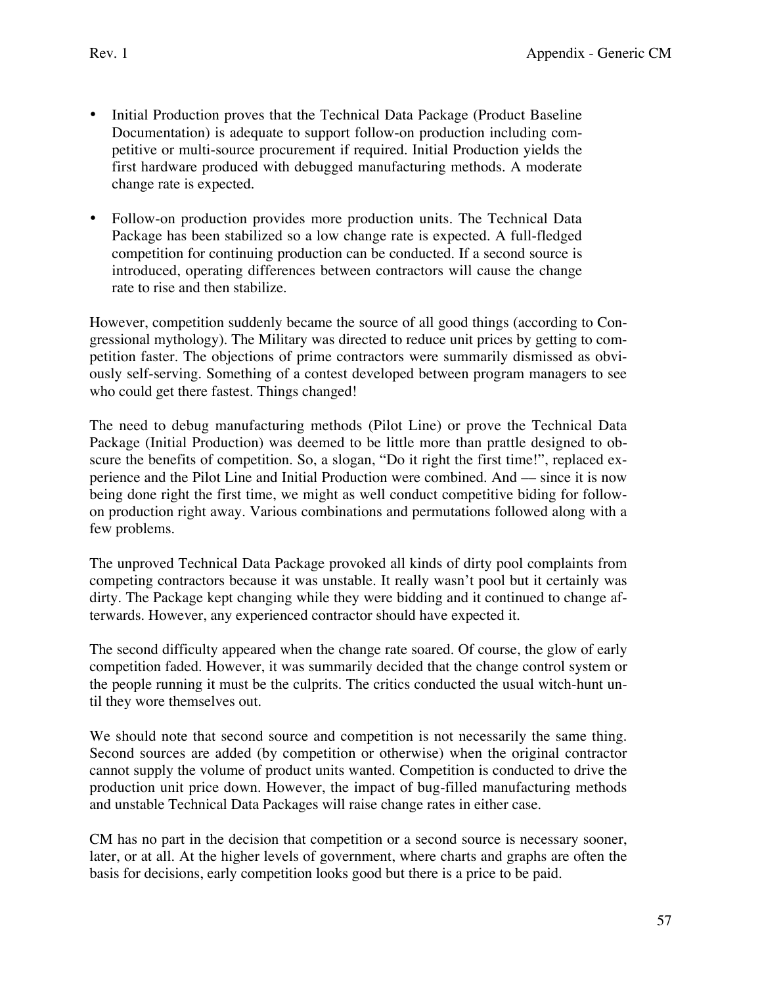- Initial Production proves that the Technical Data Package (Product Baseline Documentation) is adequate to support follow-on production including competitive or multi-source procurement if required. Initial Production yields the first hardware produced with debugged manufacturing methods. A moderate change rate is expected.
- Follow-on production provides more production units. The Technical Data Package has been stabilized so a low change rate is expected. A full-fledged competition for continuing production can be conducted. If a second source is introduced, operating differences between contractors will cause the change rate to rise and then stabilize.

However, competition suddenly became the source of all good things (according to Congressional mythology). The Military was directed to reduce unit prices by getting to competition faster. The objections of prime contractors were summarily dismissed as obviously self-serving. Something of a contest developed between program managers to see who could get there fastest. Things changed!

The need to debug manufacturing methods (Pilot Line) or prove the Technical Data Package (Initial Production) was deemed to be little more than prattle designed to obscure the benefits of competition. So, a slogan, "Do it right the first time!", replaced experience and the Pilot Line and Initial Production were combined. And –– since it is now being done right the first time, we might as well conduct competitive biding for followon production right away. Various combinations and permutations followed along with a few problems.

The unproved Technical Data Package provoked all kinds of dirty pool complaints from competing contractors because it was unstable. It really wasn't pool but it certainly was dirty. The Package kept changing while they were bidding and it continued to change afterwards. However, any experienced contractor should have expected it.

The second difficulty appeared when the change rate soared. Of course, the glow of early competition faded. However, it was summarily decided that the change control system or the people running it must be the culprits. The critics conducted the usual witch-hunt until they wore themselves out.

We should note that second source and competition is not necessarily the same thing. Second sources are added (by competition or otherwise) when the original contractor cannot supply the volume of product units wanted. Competition is conducted to drive the production unit price down. However, the impact of bug-filled manufacturing methods and unstable Technical Data Packages will raise change rates in either case.

CM has no part in the decision that competition or a second source is necessary sooner, later, or at all. At the higher levels of government, where charts and graphs are often the basis for decisions, early competition looks good but there is a price to be paid.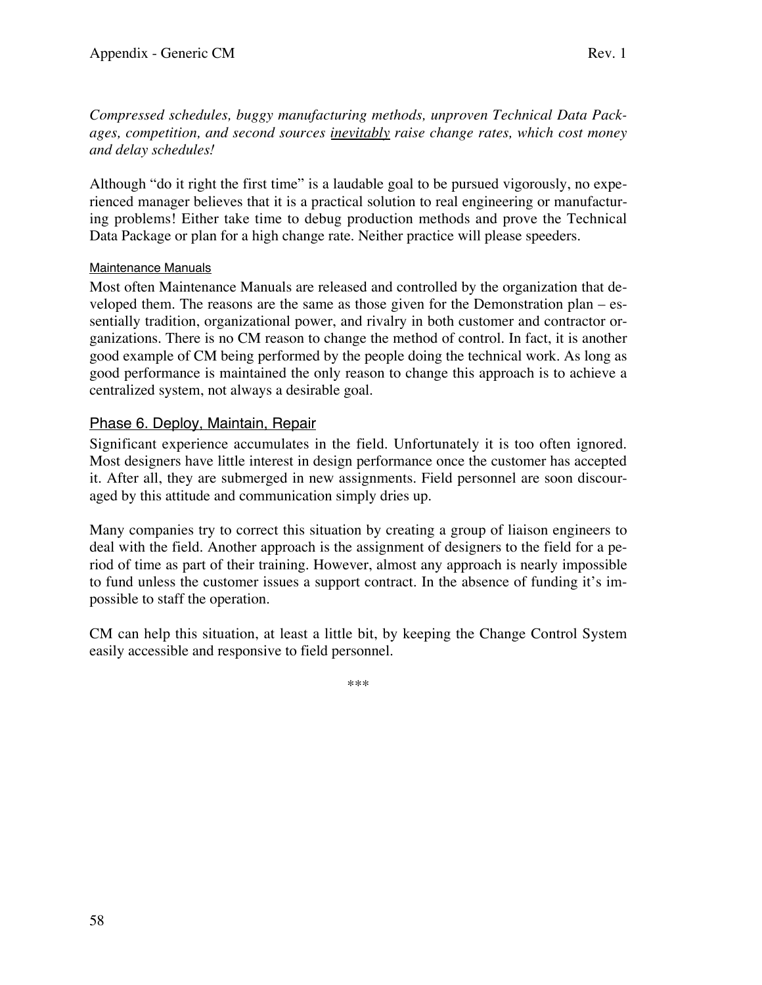*Compressed schedules, buggy manufacturing methods, unproven Technical Data Packages, competition, and second sources inevitably raise change rates, which cost money and delay schedules!*

Although "do it right the first time" is a laudable goal to be pursued vigorously, no experienced manager believes that it is a practical solution to real engineering or manufacturing problems! Either take time to debug production methods and prove the Technical Data Package or plan for a high change rate. Neither practice will please speeders.

#### Maintenance Manuals

Most often Maintenance Manuals are released and controlled by the organization that developed them. The reasons are the same as those given for the Demonstration plan – essentially tradition, organizational power, and rivalry in both customer and contractor organizations. There is no CM reason to change the method of control. In fact, it is another good example of CM being performed by the people doing the technical work. As long as good performance is maintained the only reason to change this approach is to achieve a centralized system, not always a desirable goal.

# Phase 6. Deploy, Maintain, Repair

Significant experience accumulates in the field. Unfortunately it is too often ignored. Most designers have little interest in design performance once the customer has accepted it. After all, they are submerged in new assignments. Field personnel are soon discouraged by this attitude and communication simply dries up.

Many companies try to correct this situation by creating a group of liaison engineers to deal with the field. Another approach is the assignment of designers to the field for a period of time as part of their training. However, almost any approach is nearly impossible to fund unless the customer issues a support contract. In the absence of funding it's impossible to staff the operation.

CM can help this situation, at least a little bit, by keeping the Change Control System easily accessible and responsive to field personnel.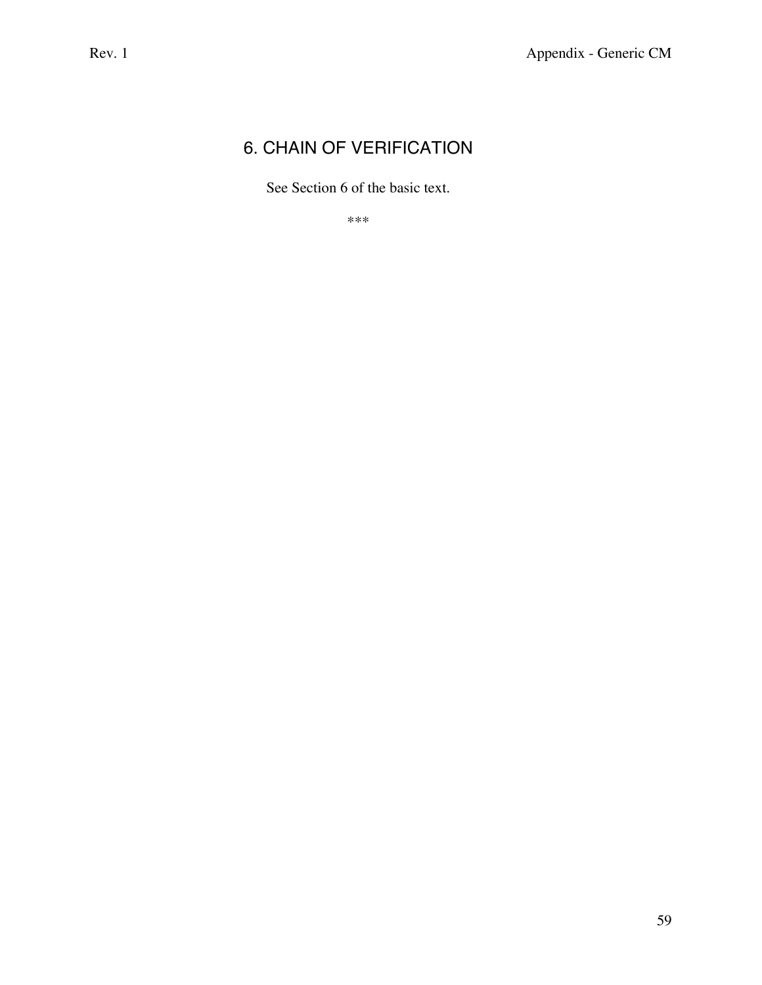# 6. CHAIN OF VERIFICATION

See Section 6 of the basic text.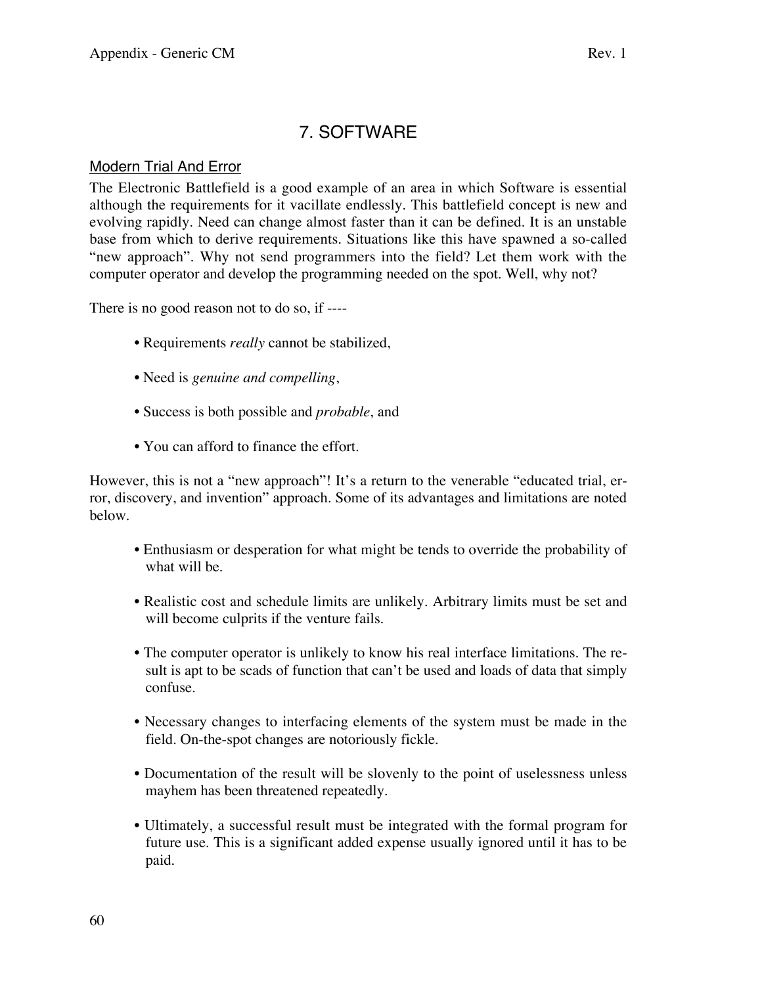# 7. SOFTWARE

## Modern Trial And Error

The Electronic Battlefield is a good example of an area in which Software is essential although the requirements for it vacillate endlessly. This battlefield concept is new and evolving rapidly. Need can change almost faster than it can be defined. It is an unstable base from which to derive requirements. Situations like this have spawned a so-called "new approach". Why not send programmers into the field? Let them work with the computer operator and develop the programming needed on the spot. Well, why not?

There is no good reason not to do so, if ----

- Requirements *really* cannot be stabilized,
- Need is *genuine and compelling*,
- Success is both possible and *probable*, and
- You can afford to finance the effort.

However, this is not a "new approach"! It's a return to the venerable "educated trial, error, discovery, and invention" approach. Some of its advantages and limitations are noted below.

- Enthusiasm or desperation for what might be tends to override the probability of what will be.
- Realistic cost and schedule limits are unlikely. Arbitrary limits must be set and will become culprits if the venture fails.
- The computer operator is unlikely to know his real interface limitations. The result is apt to be scads of function that can't be used and loads of data that simply confuse.
- Necessary changes to interfacing elements of the system must be made in the field. On-the-spot changes are notoriously fickle.
- Documentation of the result will be slovenly to the point of uselessness unless mayhem has been threatened repeatedly.
- Ultimately, a successful result must be integrated with the formal program for future use. This is a significant added expense usually ignored until it has to be paid.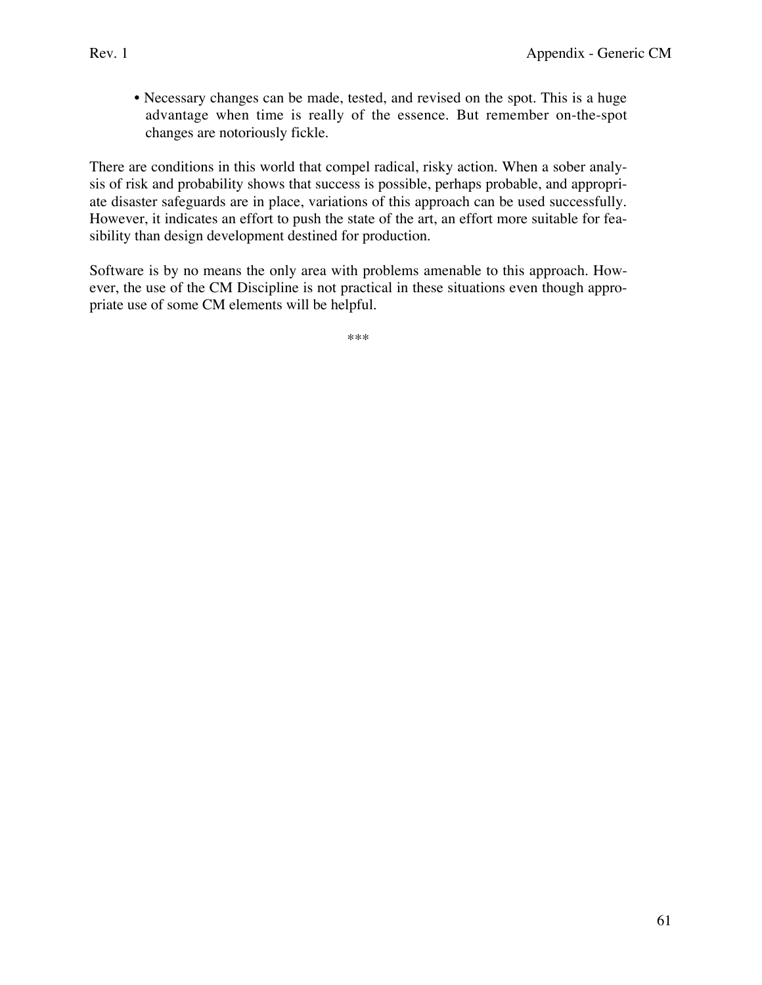• Necessary changes can be made, tested, and revised on the spot. This is a huge advantage when time is really of the essence. But remember on-the-spot changes are notoriously fickle.

There are conditions in this world that compel radical, risky action. When a sober analysis of risk and probability shows that success is possible, perhaps probable, and appropriate disaster safeguards are in place, variations of this approach can be used successfully. However, it indicates an effort to push the state of the art, an effort more suitable for feasibility than design development destined for production.

Software is by no means the only area with problems amenable to this approach. However, the use of the CM Discipline is not practical in these situations even though appropriate use of some CM elements will be helpful.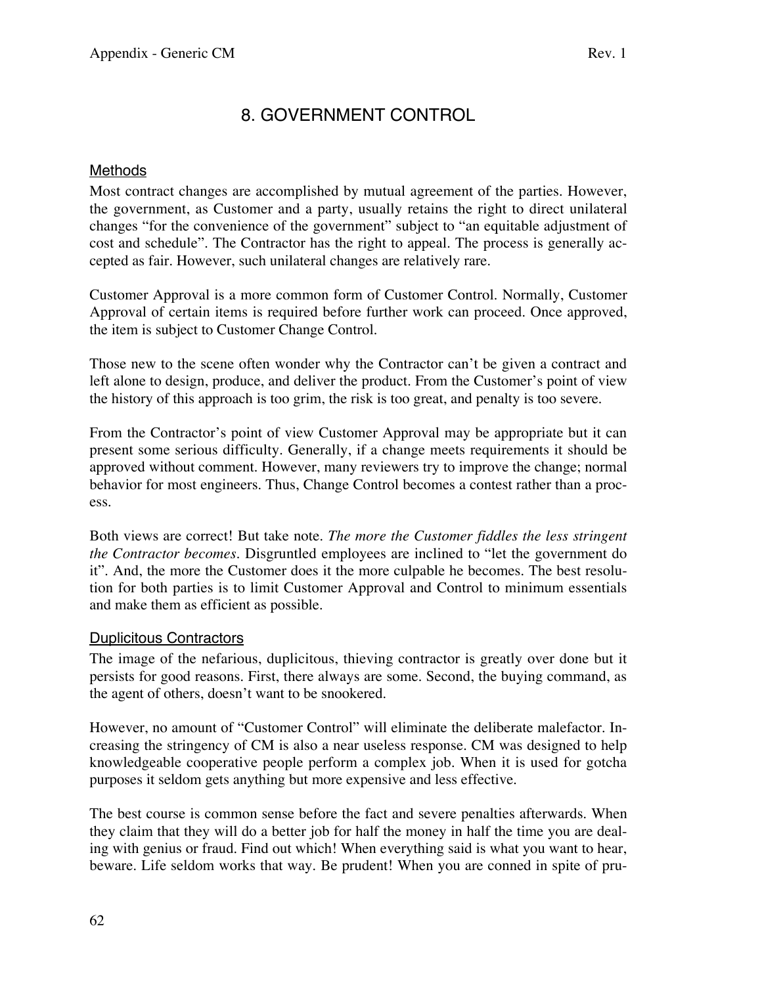# 8. GOVERNMENT CONTROL

# Methods

Most contract changes are accomplished by mutual agreement of the parties. However, the government, as Customer and a party, usually retains the right to direct unilateral changes "for the convenience of the government" subject to "an equitable adjustment of cost and schedule". The Contractor has the right to appeal. The process is generally accepted as fair. However, such unilateral changes are relatively rare.

Customer Approval is a more common form of Customer Control. Normally, Customer Approval of certain items is required before further work can proceed. Once approved, the item is subject to Customer Change Control.

Those new to the scene often wonder why the Contractor can't be given a contract and left alone to design, produce, and deliver the product. From the Customer's point of view the history of this approach is too grim, the risk is too great, and penalty is too severe.

From the Contractor's point of view Customer Approval may be appropriate but it can present some serious difficulty. Generally, if a change meets requirements it should be approved without comment. However, many reviewers try to improve the change; normal behavior for most engineers. Thus, Change Control becomes a contest rather than a process.

Both views are correct! But take note. *The more the Customer fiddles the less stringent the Contractor becomes.* Disgruntled employees are inclined to "let the government do it". And, the more the Customer does it the more culpable he becomes. The best resolution for both parties is to limit Customer Approval and Control to minimum essentials and make them as efficient as possible.

## Duplicitous Contractors

The image of the nefarious, duplicitous, thieving contractor is greatly over done but it persists for good reasons. First, there always are some. Second, the buying command, as the agent of others, doesn't want to be snookered.

However, no amount of "Customer Control" will eliminate the deliberate malefactor. Increasing the stringency of CM is also a near useless response. CM was designed to help knowledgeable cooperative people perform a complex job. When it is used for gotcha purposes it seldom gets anything but more expensive and less effective.

The best course is common sense before the fact and severe penalties afterwards. When they claim that they will do a better job for half the money in half the time you are dealing with genius or fraud. Find out which! When everything said is what you want to hear, beware. Life seldom works that way. Be prudent! When you are conned in spite of pru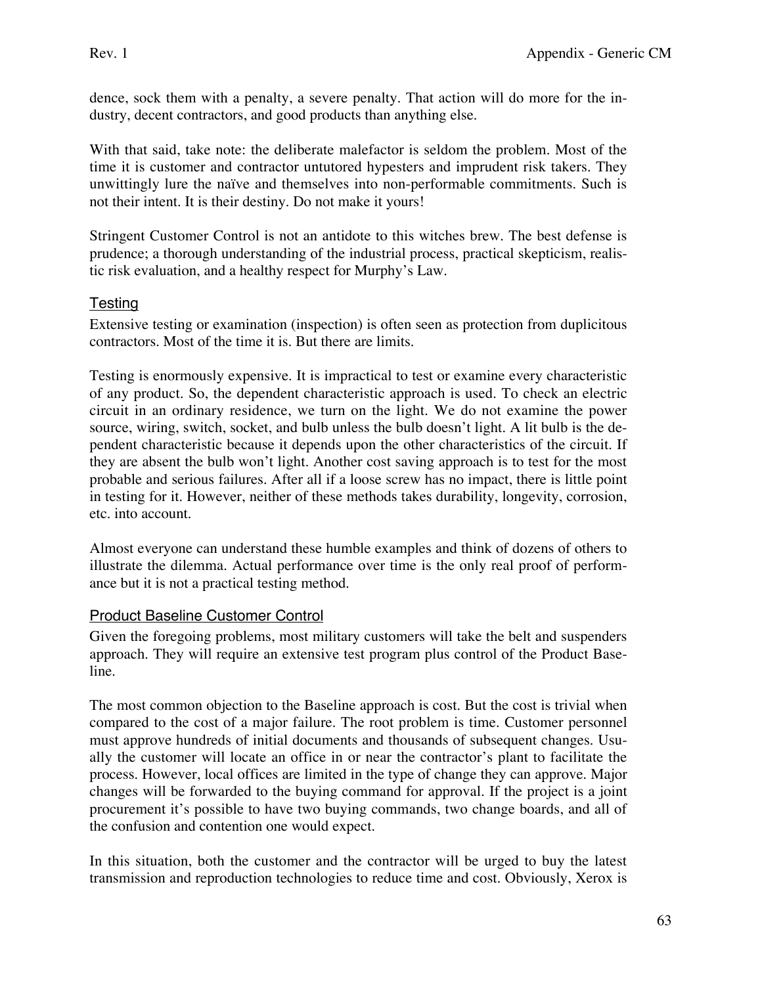dence, sock them with a penalty, a severe penalty. That action will do more for the industry, decent contractors, and good products than anything else.

With that said, take note: the deliberate malefactor is seldom the problem. Most of the time it is customer and contractor untutored hypesters and imprudent risk takers. They unwittingly lure the naïve and themselves into non-performable commitments. Such is not their intent. It is their destiny. Do not make it yours!

Stringent Customer Control is not an antidote to this witches brew. The best defense is prudence; a thorough understanding of the industrial process, practical skepticism, realistic risk evaluation, and a healthy respect for Murphy's Law.

# **Testing**

Extensive testing or examination (inspection) is often seen as protection from duplicitous contractors. Most of the time it is. But there are limits.

Testing is enormously expensive. It is impractical to test or examine every characteristic of any product. So, the dependent characteristic approach is used. To check an electric circuit in an ordinary residence, we turn on the light. We do not examine the power source, wiring, switch, socket, and bulb unless the bulb doesn't light. A lit bulb is the dependent characteristic because it depends upon the other characteristics of the circuit. If they are absent the bulb won't light. Another cost saving approach is to test for the most probable and serious failures. After all if a loose screw has no impact, there is little point in testing for it. However, neither of these methods takes durability, longevity, corrosion, etc. into account.

Almost everyone can understand these humble examples and think of dozens of others to illustrate the dilemma. Actual performance over time is the only real proof of performance but it is not a practical testing method.

## Product Baseline Customer Control

Given the foregoing problems, most military customers will take the belt and suspenders approach. They will require an extensive test program plus control of the Product Baseline.

The most common objection to the Baseline approach is cost. But the cost is trivial when compared to the cost of a major failure. The root problem is time. Customer personnel must approve hundreds of initial documents and thousands of subsequent changes. Usually the customer will locate an office in or near the contractor's plant to facilitate the process. However, local offices are limited in the type of change they can approve. Major changes will be forwarded to the buying command for approval. If the project is a joint procurement it's possible to have two buying commands, two change boards, and all of the confusion and contention one would expect.

In this situation, both the customer and the contractor will be urged to buy the latest transmission and reproduction technologies to reduce time and cost. Obviously, Xerox is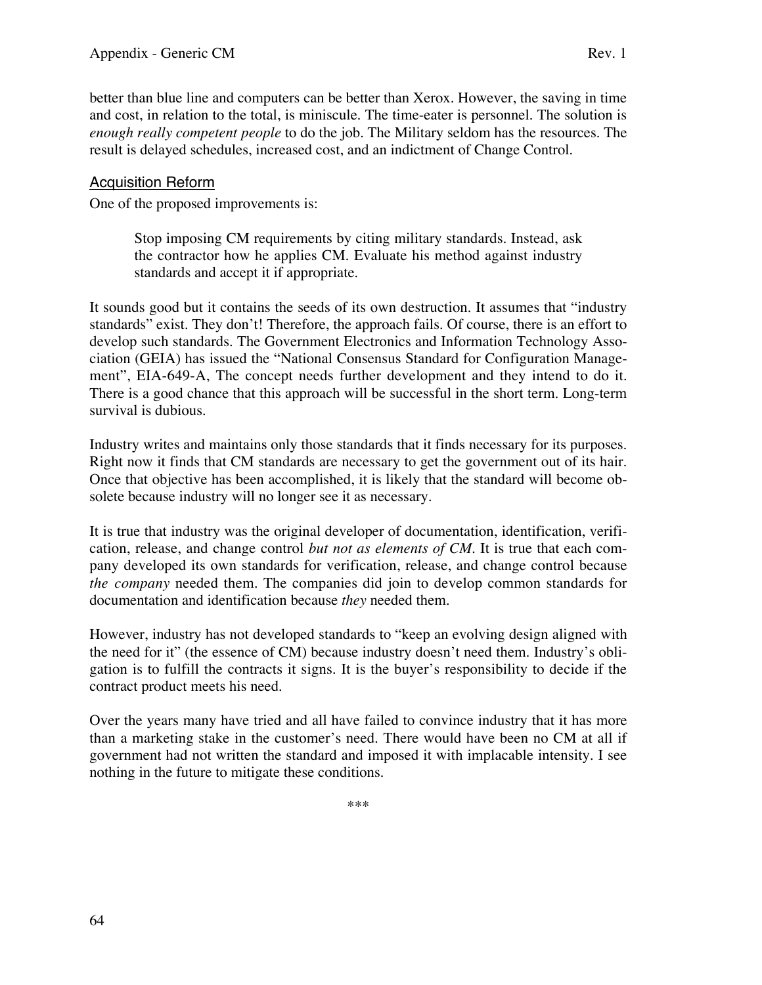better than blue line and computers can be better than Xerox. However, the saving in time and cost, in relation to the total, is miniscule. The time-eater is personnel. The solution is *enough really competent people* to do the job. The Military seldom has the resources. The result is delayed schedules, increased cost, and an indictment of Change Control.

# Acquisition Reform

One of the proposed improvements is:

Stop imposing CM requirements by citing military standards. Instead, ask the contractor how he applies CM. Evaluate his method against industry standards and accept it if appropriate.

It sounds good but it contains the seeds of its own destruction. It assumes that "industry standards" exist. They don't! Therefore, the approach fails. Of course, there is an effort to develop such standards. The Government Electronics and Information Technology Association (GEIA) has issued the "National Consensus Standard for Configuration Management", EIA-649-A, The concept needs further development and they intend to do it. There is a good chance that this approach will be successful in the short term. Long-term survival is dubious.

Industry writes and maintains only those standards that it finds necessary for its purposes. Right now it finds that CM standards are necessary to get the government out of its hair. Once that objective has been accomplished, it is likely that the standard will become obsolete because industry will no longer see it as necessary.

It is true that industry was the original developer of documentation, identification, verification, release, and change control *but not as elements of CM*. It is true that each company developed its own standards for verification, release, and change control because *the company* needed them. The companies did join to develop common standards for documentation and identification because *they* needed them.

However, industry has not developed standards to "keep an evolving design aligned with the need for it" (the essence of CM) because industry doesn't need them. Industry's obligation is to fulfill the contracts it signs. It is the buyer's responsibility to decide if the contract product meets his need.

Over the years many have tried and all have failed to convince industry that it has more than a marketing stake in the customer's need. There would have been no CM at all if government had not written the standard and imposed it with implacable intensity. I see nothing in the future to mitigate these conditions.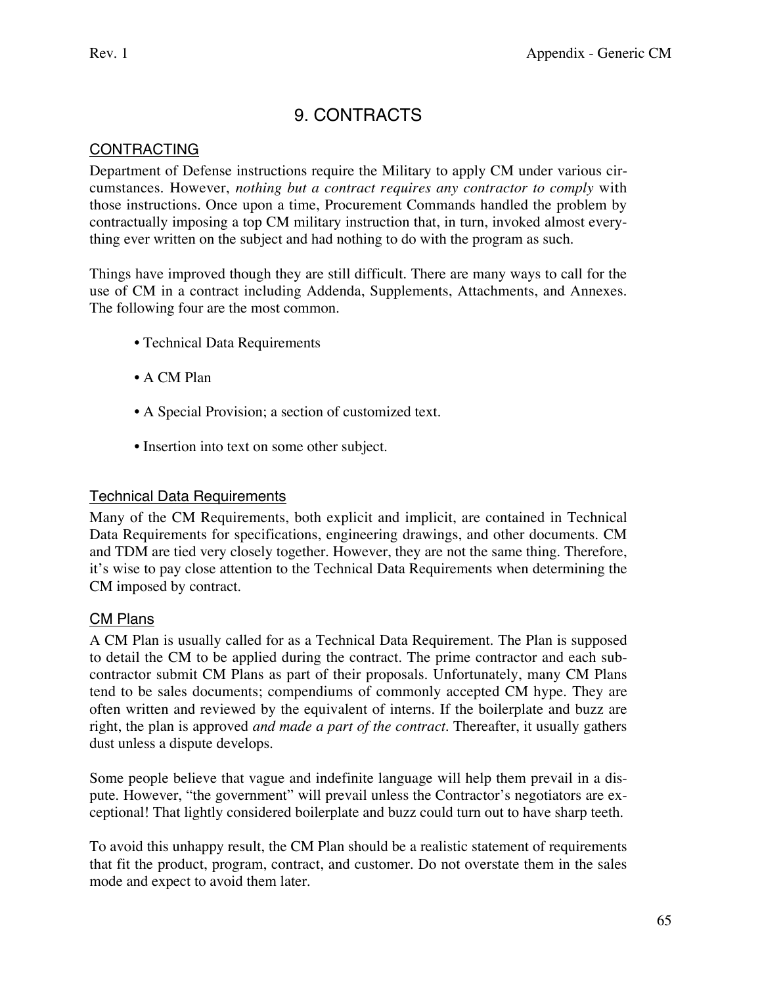# 9. CONTRACTS

# **CONTRACTING**

Department of Defense instructions require the Military to apply CM under various circumstances. However, *nothing but a contract requires any contractor to comply* with those instructions. Once upon a time, Procurement Commands handled the problem by contractually imposing a top CM military instruction that, in turn, invoked almost everything ever written on the subject and had nothing to do with the program as such.

Things have improved though they are still difficult. There are many ways to call for the use of CM in a contract including Addenda, Supplements, Attachments, and Annexes. The following four are the most common.

- Technical Data Requirements
- A CM Plan
- A Special Provision; a section of customized text.
- Insertion into text on some other subject.

## Technical Data Requirements

Many of the CM Requirements, both explicit and implicit, are contained in Technical Data Requirements for specifications, engineering drawings, and other documents. CM and TDM are tied very closely together. However, they are not the same thing. Therefore, it's wise to pay close attention to the Technical Data Requirements when determining the CM imposed by contract.

## CM Plans

A CM Plan is usually called for as a Technical Data Requirement. The Plan is supposed to detail the CM to be applied during the contract. The prime contractor and each subcontractor submit CM Plans as part of their proposals. Unfortunately, many CM Plans tend to be sales documents; compendiums of commonly accepted CM hype. They are often written and reviewed by the equivalent of interns. If the boilerplate and buzz are right, the plan is approved *and made a part of the contract*. Thereafter, it usually gathers dust unless a dispute develops.

Some people believe that vague and indefinite language will help them prevail in a dispute. However, "the government" will prevail unless the Contractor's negotiators are exceptional! That lightly considered boilerplate and buzz could turn out to have sharp teeth.

To avoid this unhappy result, the CM Plan should be a realistic statement of requirements that fit the product, program, contract, and customer. Do not overstate them in the sales mode and expect to avoid them later.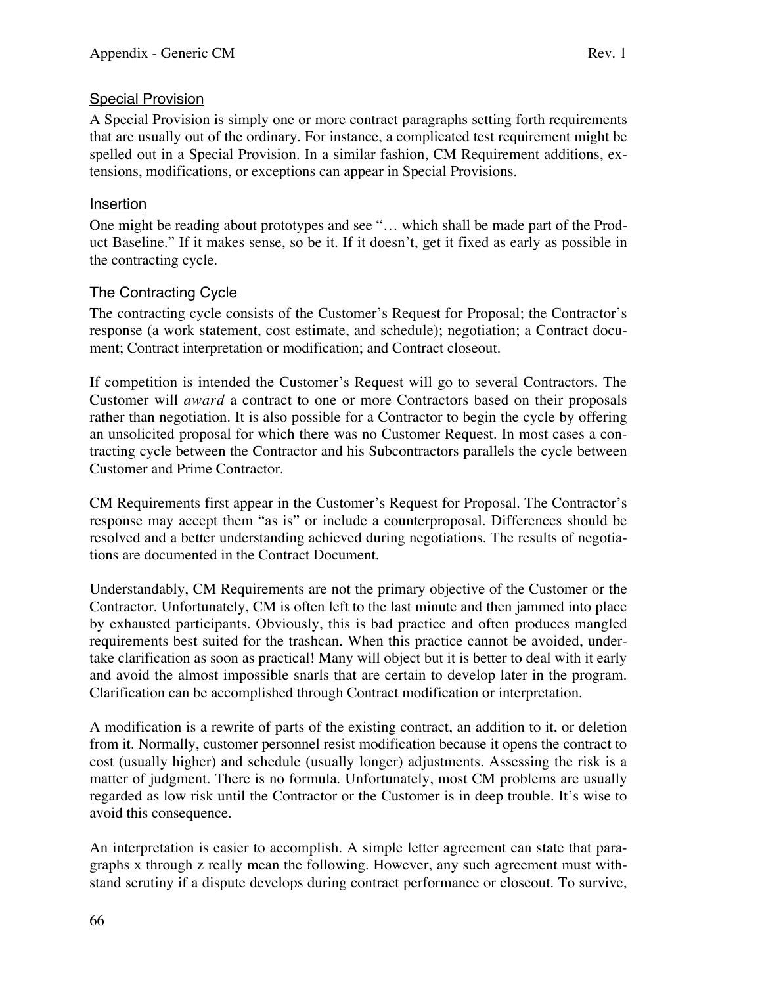# **Special Provision**

A Special Provision is simply one or more contract paragraphs setting forth requirements that are usually out of the ordinary. For instance, a complicated test requirement might be spelled out in a Special Provision. In a similar fashion, CM Requirement additions, extensions, modifications, or exceptions can appear in Special Provisions.

# Insertion

One might be reading about prototypes and see "… which shall be made part of the Product Baseline." If it makes sense, so be it. If it doesn't, get it fixed as early as possible in the contracting cycle.

# The Contracting Cycle

The contracting cycle consists of the Customer's Request for Proposal; the Contractor's response (a work statement, cost estimate, and schedule); negotiation; a Contract document; Contract interpretation or modification; and Contract closeout.

If competition is intended the Customer's Request will go to several Contractors. The Customer will *award* a contract to one or more Contractors based on their proposals rather than negotiation. It is also possible for a Contractor to begin the cycle by offering an unsolicited proposal for which there was no Customer Request. In most cases a contracting cycle between the Contractor and his Subcontractors parallels the cycle between Customer and Prime Contractor.

CM Requirements first appear in the Customer's Request for Proposal. The Contractor's response may accept them "as is" or include a counterproposal. Differences should be resolved and a better understanding achieved during negotiations. The results of negotiations are documented in the Contract Document.

Understandably, CM Requirements are not the primary objective of the Customer or the Contractor. Unfortunately, CM is often left to the last minute and then jammed into place by exhausted participants. Obviously, this is bad practice and often produces mangled requirements best suited for the trashcan. When this practice cannot be avoided, undertake clarification as soon as practical! Many will object but it is better to deal with it early and avoid the almost impossible snarls that are certain to develop later in the program. Clarification can be accomplished through Contract modification or interpretation.

A modification is a rewrite of parts of the existing contract, an addition to it, or deletion from it. Normally, customer personnel resist modification because it opens the contract to cost (usually higher) and schedule (usually longer) adjustments. Assessing the risk is a matter of judgment. There is no formula. Unfortunately, most CM problems are usually regarded as low risk until the Contractor or the Customer is in deep trouble. It's wise to avoid this consequence.

An interpretation is easier to accomplish. A simple letter agreement can state that paragraphs x through z really mean the following. However, any such agreement must withstand scrutiny if a dispute develops during contract performance or closeout. To survive,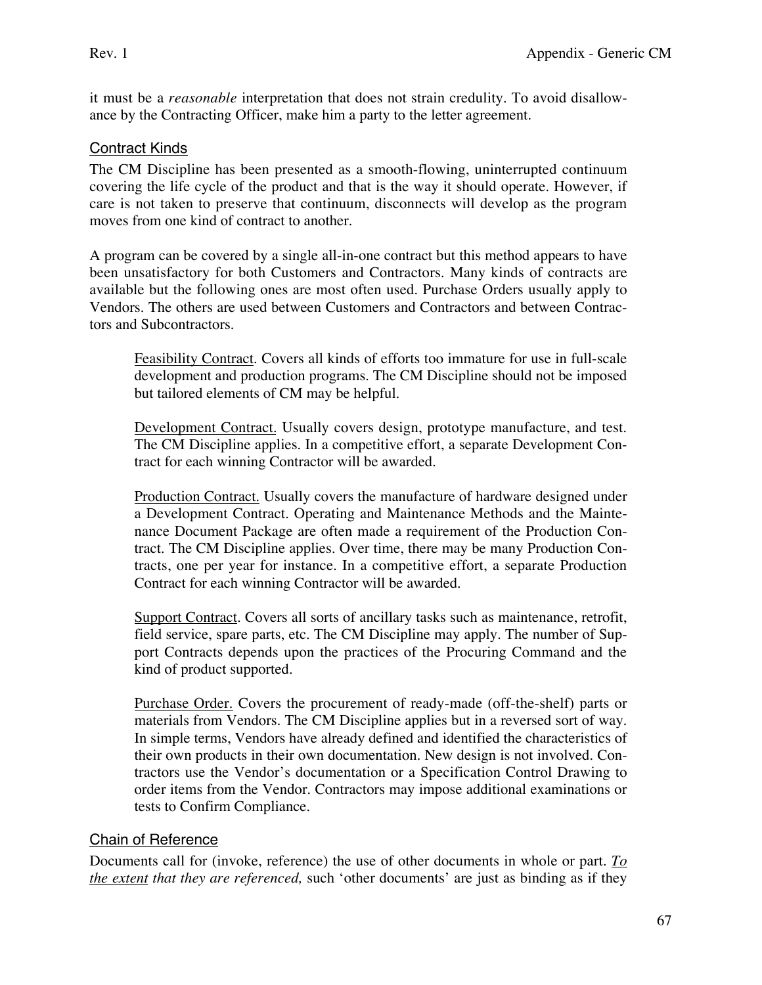it must be a *reasonable* interpretation that does not strain credulity. To avoid disallowance by the Contracting Officer, make him a party to the letter agreement.

# Contract Kinds

The CM Discipline has been presented as a smooth-flowing, uninterrupted continuum covering the life cycle of the product and that is the way it should operate. However, if care is not taken to preserve that continuum, disconnects will develop as the program moves from one kind of contract to another.

A program can be covered by a single all-in-one contract but this method appears to have been unsatisfactory for both Customers and Contractors. Many kinds of contracts are available but the following ones are most often used. Purchase Orders usually apply to Vendors. The others are used between Customers and Contractors and between Contractors and Subcontractors.

Feasibility Contract. Covers all kinds of efforts too immature for use in full-scale development and production programs. The CM Discipline should not be imposed but tailored elements of CM may be helpful.

Development Contract. Usually covers design, prototype manufacture, and test. The CM Discipline applies. In a competitive effort, a separate Development Contract for each winning Contractor will be awarded.

Production Contract. Usually covers the manufacture of hardware designed under a Development Contract. Operating and Maintenance Methods and the Maintenance Document Package are often made a requirement of the Production Contract. The CM Discipline applies. Over time, there may be many Production Contracts, one per year for instance. In a competitive effort, a separate Production Contract for each winning Contractor will be awarded.

Support Contract. Covers all sorts of ancillary tasks such as maintenance, retrofit, field service, spare parts, etc. The CM Discipline may apply. The number of Support Contracts depends upon the practices of the Procuring Command and the kind of product supported.

Purchase Order. Covers the procurement of ready-made (off-the-shelf) parts or materials from Vendors. The CM Discipline applies but in a reversed sort of way. In simple terms, Vendors have already defined and identified the characteristics of their own products in their own documentation. New design is not involved. Contractors use the Vendor's documentation or a Specification Control Drawing to order items from the Vendor. Contractors may impose additional examinations or tests to Confirm Compliance.

## Chain of Reference

Documents call for (invoke, reference) the use of other documents in whole or part. *To the extent that they are referenced,* such 'other documents' are just as binding as if they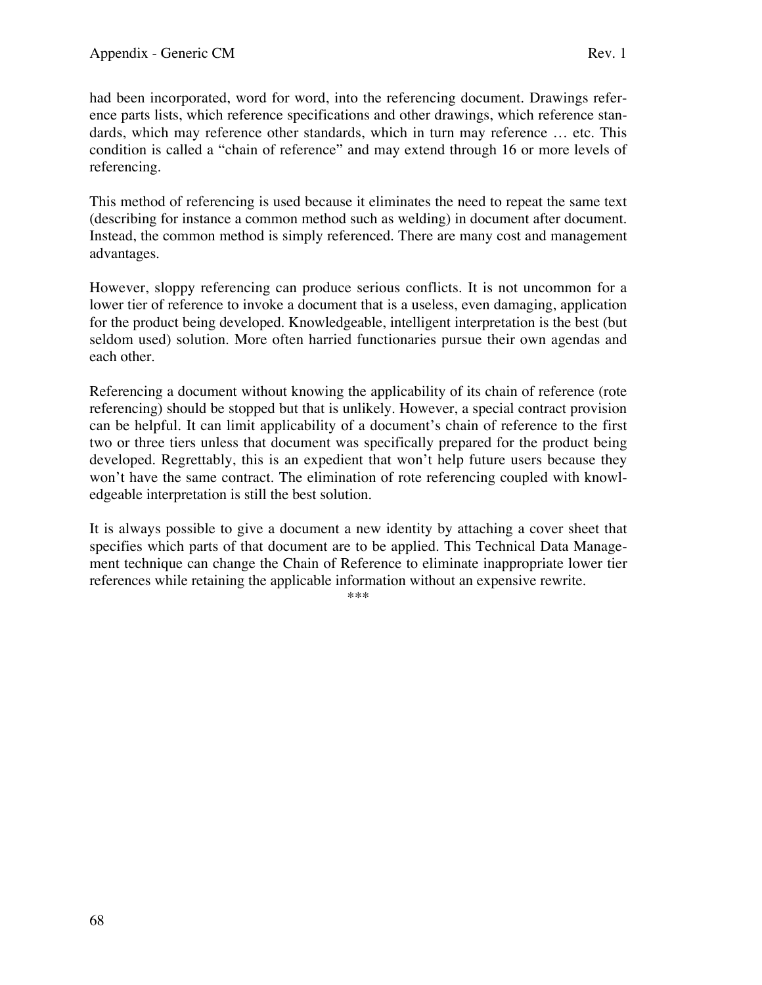had been incorporated, word for word, into the referencing document. Drawings reference parts lists, which reference specifications and other drawings, which reference standards, which may reference other standards, which in turn may reference … etc. This condition is called a "chain of reference" and may extend through 16 or more levels of referencing.

This method of referencing is used because it eliminates the need to repeat the same text (describing for instance a common method such as welding) in document after document. Instead, the common method is simply referenced. There are many cost and management advantages.

However, sloppy referencing can produce serious conflicts. It is not uncommon for a lower tier of reference to invoke a document that is a useless, even damaging, application for the product being developed. Knowledgeable, intelligent interpretation is the best (but seldom used) solution. More often harried functionaries pursue their own agendas and each other.

Referencing a document without knowing the applicability of its chain of reference (rote referencing) should be stopped but that is unlikely. However, a special contract provision can be helpful. It can limit applicability of a document's chain of reference to the first two or three tiers unless that document was specifically prepared for the product being developed. Regrettably, this is an expedient that won't help future users because they won't have the same contract. The elimination of rote referencing coupled with knowledgeable interpretation is still the best solution.

It is always possible to give a document a new identity by attaching a cover sheet that specifies which parts of that document are to be applied. This Technical Data Management technique can change the Chain of Reference to eliminate inappropriate lower tier references while retaining the applicable information without an expensive rewrite.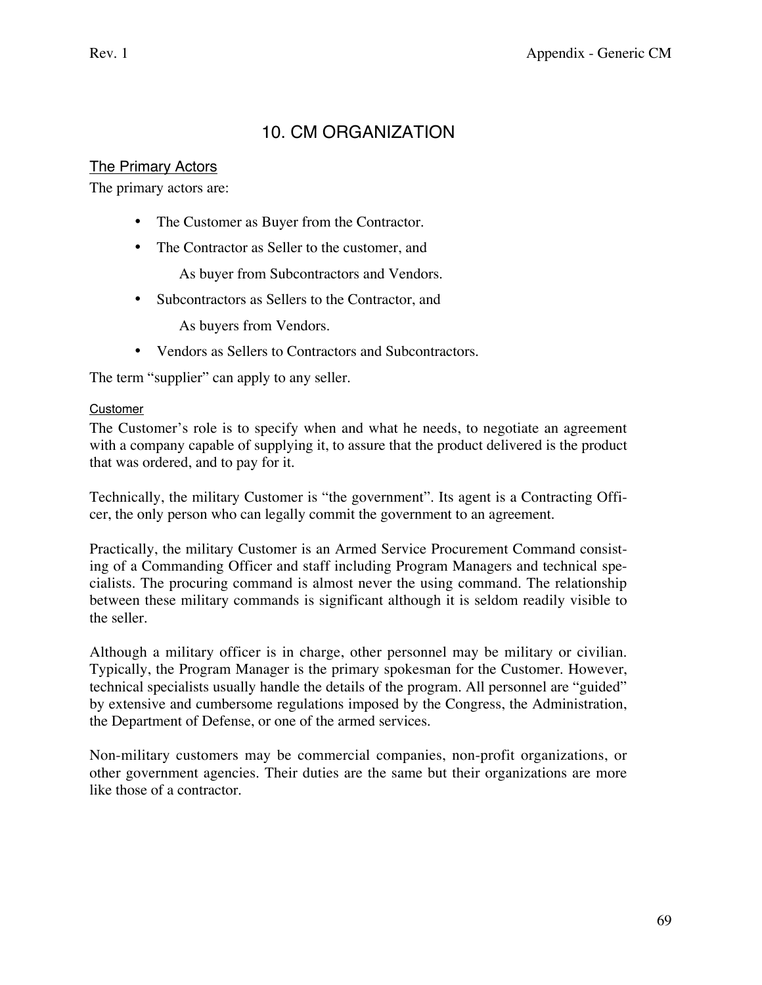# 10. CM ORGANIZATION

# The Primary Actors

The primary actors are:

- The Customer as Buyer from the Contractor.
- The Contractor as Seller to the customer, and

As buyer from Subcontractors and Vendors.

• Subcontractors as Sellers to the Contractor, and

As buyers from Vendors.

• Vendors as Sellers to Contractors and Subcontractors.

The term "supplier" can apply to any seller.

## Customer

The Customer's role is to specify when and what he needs, to negotiate an agreement with a company capable of supplying it, to assure that the product delivered is the product that was ordered, and to pay for it.

Technically, the military Customer is "the government". Its agent is a Contracting Officer, the only person who can legally commit the government to an agreement.

Practically, the military Customer is an Armed Service Procurement Command consisting of a Commanding Officer and staff including Program Managers and technical specialists. The procuring command is almost never the using command. The relationship between these military commands is significant although it is seldom readily visible to the seller.

Although a military officer is in charge, other personnel may be military or civilian. Typically, the Program Manager is the primary spokesman for the Customer. However, technical specialists usually handle the details of the program. All personnel are "guided" by extensive and cumbersome regulations imposed by the Congress, the Administration, the Department of Defense, or one of the armed services.

Non-military customers may be commercial companies, non-profit organizations, or other government agencies. Their duties are the same but their organizations are more like those of a contractor.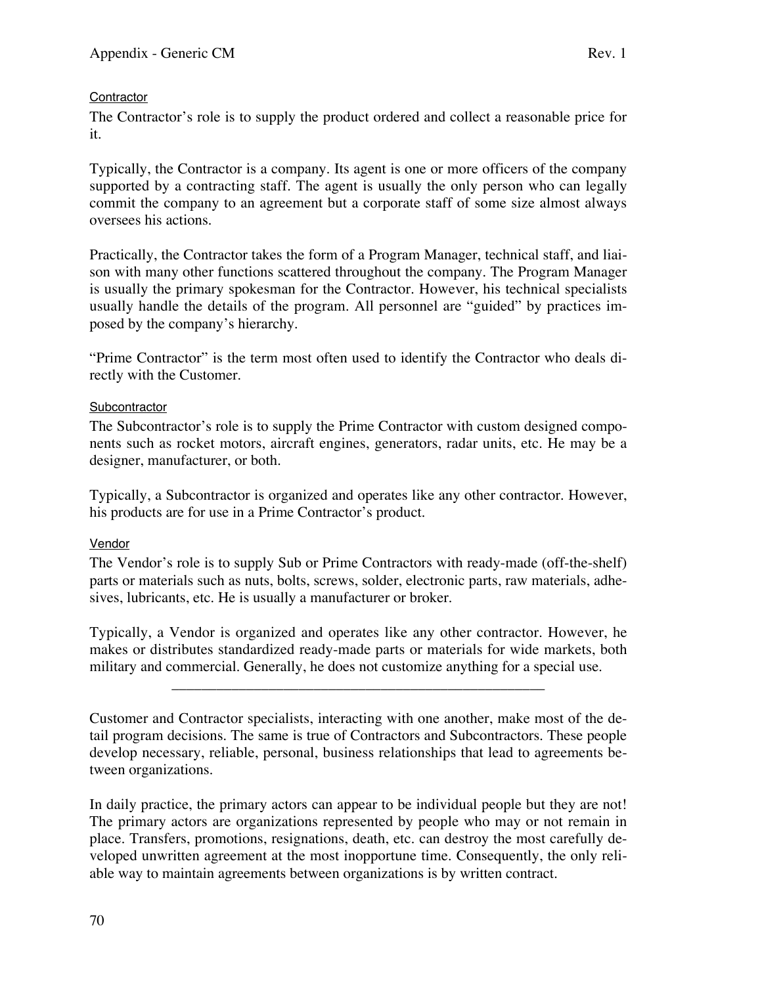# **Contractor**

The Contractor's role is to supply the product ordered and collect a reasonable price for it.

Typically, the Contractor is a company. Its agent is one or more officers of the company supported by a contracting staff. The agent is usually the only person who can legally commit the company to an agreement but a corporate staff of some size almost always oversees his actions.

Practically, the Contractor takes the form of a Program Manager, technical staff, and liaison with many other functions scattered throughout the company. The Program Manager is usually the primary spokesman for the Contractor. However, his technical specialists usually handle the details of the program. All personnel are "guided" by practices imposed by the company's hierarchy.

"Prime Contractor" is the term most often used to identify the Contractor who deals directly with the Customer.

# **Subcontractor**

The Subcontractor's role is to supply the Prime Contractor with custom designed components such as rocket motors, aircraft engines, generators, radar units, etc. He may be a designer, manufacturer, or both.

Typically, a Subcontractor is organized and operates like any other contractor. However, his products are for use in a Prime Contractor's product.

## Vendor

The Vendor's role is to supply Sub or Prime Contractors with ready-made (off-the-shelf) parts or materials such as nuts, bolts, screws, solder, electronic parts, raw materials, adhesives, lubricants, etc. He is usually a manufacturer or broker.

Typically, a Vendor is organized and operates like any other contractor. However, he makes or distributes standardized ready-made parts or materials for wide markets, both military and commercial. Generally, he does not customize anything for a special use.

\_\_\_\_\_\_\_\_\_\_\_\_\_\_\_\_\_\_\_\_\_\_\_\_\_\_\_\_\_\_\_\_\_\_\_\_\_\_\_\_\_\_\_\_\_\_\_\_\_\_

Customer and Contractor specialists, interacting with one another, make most of the detail program decisions. The same is true of Contractors and Subcontractors. These people develop necessary, reliable, personal, business relationships that lead to agreements between organizations.

In daily practice, the primary actors can appear to be individual people but they are not! The primary actors are organizations represented by people who may or not remain in place. Transfers, promotions, resignations, death, etc. can destroy the most carefully developed unwritten agreement at the most inopportune time. Consequently, the only reliable way to maintain agreements between organizations is by written contract.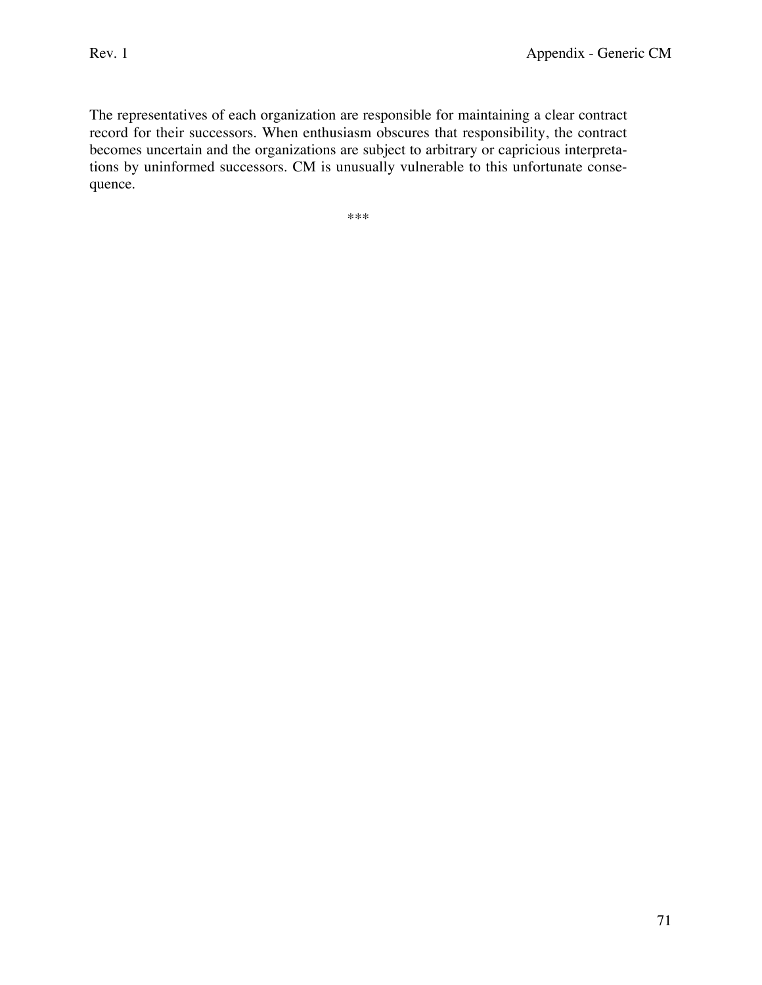The representatives of each organization are responsible for maintaining a clear contract record for their successors. When enthusiasm obscures that responsibility, the contract becomes uncertain and the organizations are subject to arbitrary or capricious interpretations by uninformed successors. CM is unusually vulnerable to this unfortunate consequence.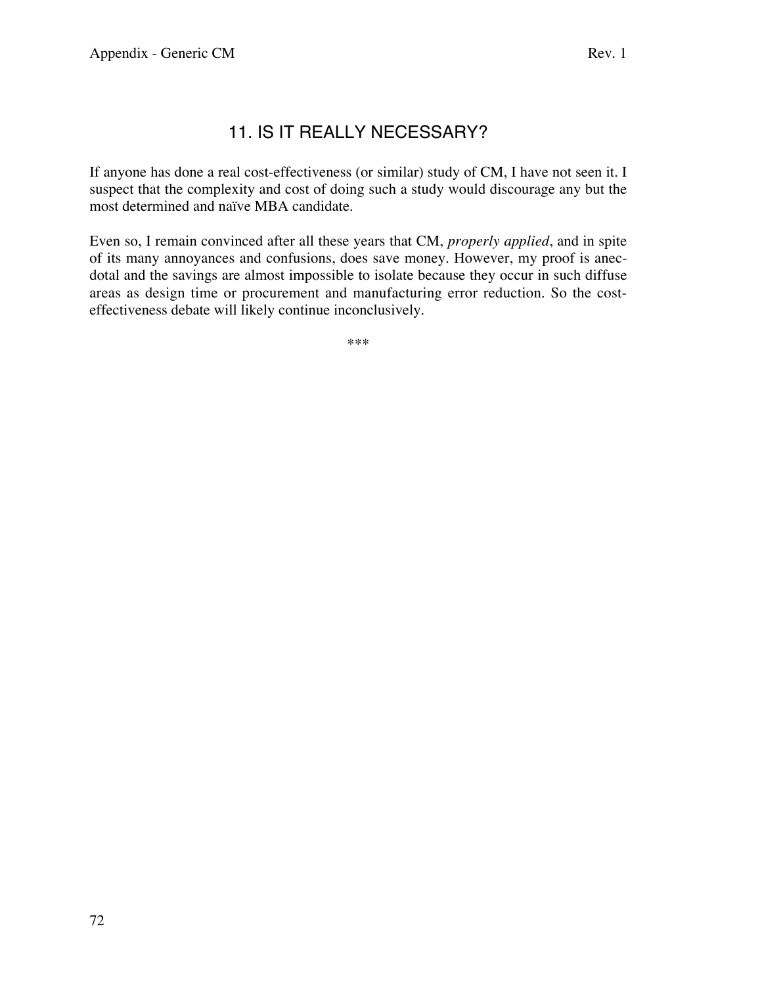# 11. IS IT REALLY NECESSARY?

If anyone has done a real cost-effectiveness (or similar) study of CM, I have not seen it. I suspect that the complexity and cost of doing such a study would discourage any but the most determined and naïve MBA candidate.

Even so, I remain convinced after all these years that CM, *properly applied*, and in spite of its many annoyances and confusions, does save money. However, my proof is anecdotal and the savings are almost impossible to isolate because they occur in such diffuse areas as design time or procurement and manufacturing error reduction. So the costeffectiveness debate will likely continue inconclusively.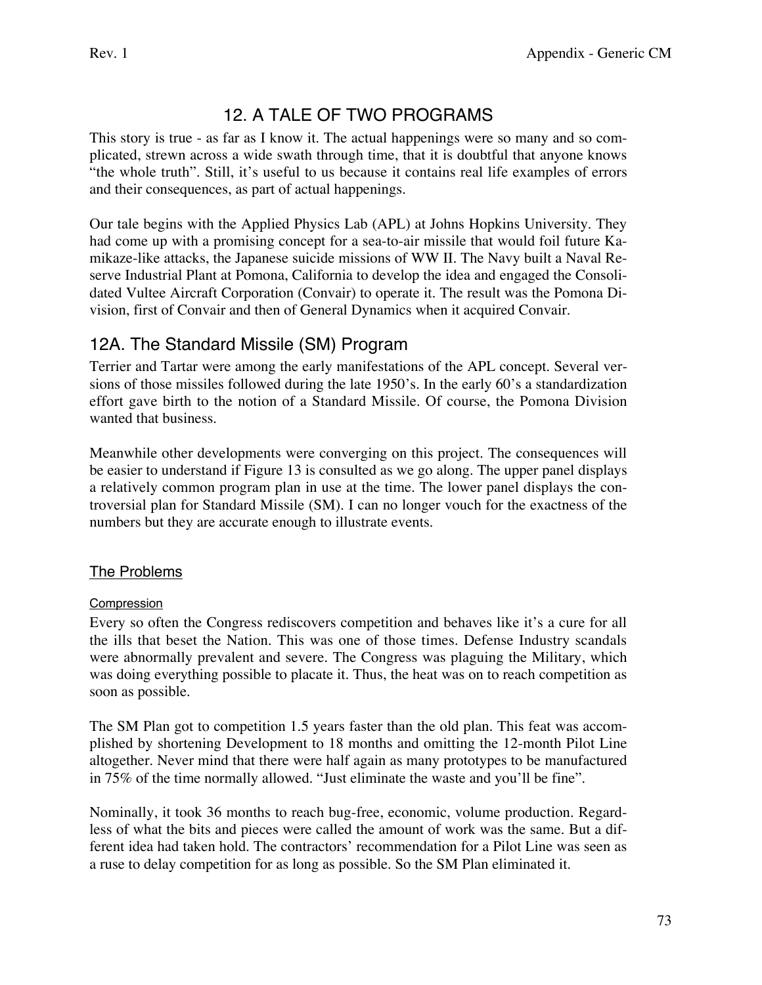# 12. A TALE OF TWO PROGRAMS

This story is true - as far as I know it. The actual happenings were so many and so complicated, strewn across a wide swath through time, that it is doubtful that anyone knows "the whole truth". Still, it's useful to us because it contains real life examples of errors and their consequences, as part of actual happenings.

Our tale begins with the Applied Physics Lab (APL) at Johns Hopkins University. They had come up with a promising concept for a sea-to-air missile that would foil future Kamikaze-like attacks, the Japanese suicide missions of WW II. The Navy built a Naval Reserve Industrial Plant at Pomona, California to develop the idea and engaged the Consolidated Vultee Aircraft Corporation (Convair) to operate it. The result was the Pomona Division, first of Convair and then of General Dynamics when it acquired Convair.

# 12A. The Standard Missile (SM) Program

Terrier and Tartar were among the early manifestations of the APL concept. Several versions of those missiles followed during the late 1950's. In the early 60's a standardization effort gave birth to the notion of a Standard Missile. Of course, the Pomona Division wanted that business.

Meanwhile other developments were converging on this project. The consequences will be easier to understand if Figure 13 is consulted as we go along. The upper panel displays a relatively common program plan in use at the time. The lower panel displays the controversial plan for Standard Missile (SM). I can no longer vouch for the exactness of the numbers but they are accurate enough to illustrate events.

## The Problems

### Compression

Every so often the Congress rediscovers competition and behaves like it's a cure for all the ills that beset the Nation. This was one of those times. Defense Industry scandals were abnormally prevalent and severe. The Congress was plaguing the Military, which was doing everything possible to placate it. Thus, the heat was on to reach competition as soon as possible.

The SM Plan got to competition 1.5 years faster than the old plan. This feat was accomplished by shortening Development to 18 months and omitting the 12-month Pilot Line altogether. Never mind that there were half again as many prototypes to be manufactured in 75% of the time normally allowed. "Just eliminate the waste and you'll be fine".

Nominally, it took 36 months to reach bug-free, economic, volume production. Regardless of what the bits and pieces were called the amount of work was the same. But a different idea had taken hold. The contractors' recommendation for a Pilot Line was seen as a ruse to delay competition for as long as possible. So the SM Plan eliminated it.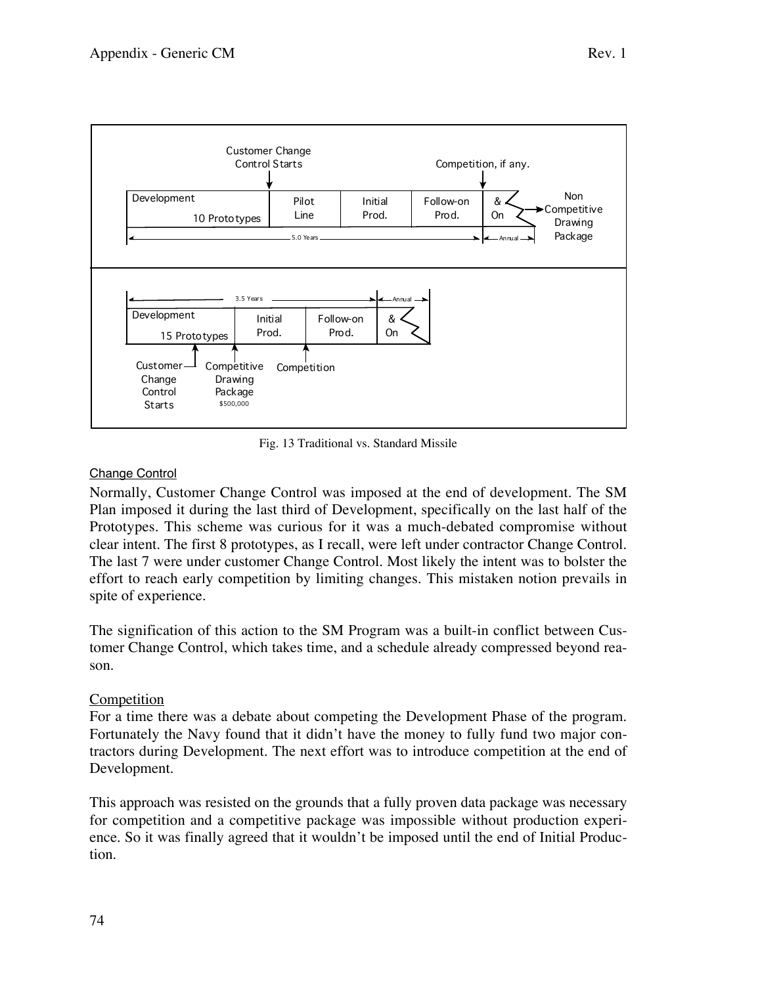



Fig. 13 Traditional vs. Standard Missile

#### Change Control

Normally, Customer Change Control was imposed at the end of development. The SM Plan imposed it during the last third of Development, specifically on the last half of the Prototypes. This scheme was curious for it was a much-debated compromise without clear intent. The first 8 prototypes, as I recall, were left under contractor Change Control. The last 7 were under customer Change Control. Most likely the intent was to bolster the effort to reach early competition by limiting changes. This mistaken notion prevails in spite of experience.

The signification of this action to the SM Program was a built-in conflict between Customer Change Control, which takes time, and a schedule already compressed beyond reason.

#### Competition

For a time there was a debate about competing the Development Phase of the program. Fortunately the Navy found that it didn't have the money to fully fund two major contractors during Development. The next effort was to introduce competition at the end of Development.

This approach was resisted on the grounds that a fully proven data package was necessary for competition and a competitive package was impossible without production experience. So it was finally agreed that it wouldn't be imposed until the end of Initial Production.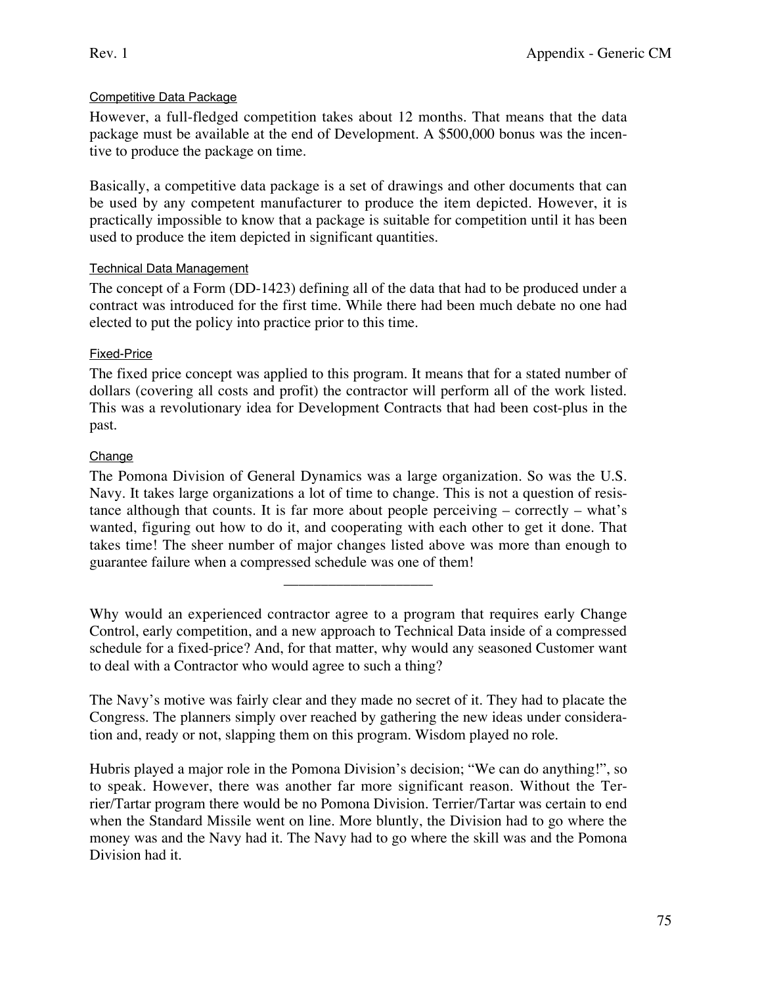#### Competitive Data Package

However, a full-fledged competition takes about 12 months. That means that the data package must be available at the end of Development. A \$500,000 bonus was the incentive to produce the package on time.

Basically, a competitive data package is a set of drawings and other documents that can be used by any competent manufacturer to produce the item depicted. However, it is practically impossible to know that a package is suitable for competition until it has been used to produce the item depicted in significant quantities.

#### Technical Data Management

The concept of a Form (DD-1423) defining all of the data that had to be produced under a contract was introduced for the first time. While there had been much debate no one had elected to put the policy into practice prior to this time.

#### Fixed-Price

The fixed price concept was applied to this program. It means that for a stated number of dollars (covering all costs and profit) the contractor will perform all of the work listed. This was a revolutionary idea for Development Contracts that had been cost-plus in the past.

#### **Change**

The Pomona Division of General Dynamics was a large organization. So was the U.S. Navy. It takes large organizations a lot of time to change. This is not a question of resistance although that counts. It is far more about people perceiving – correctly – what's wanted, figuring out how to do it, and cooperating with each other to get it done. That takes time! The sheer number of major changes listed above was more than enough to guarantee failure when a compressed schedule was one of them!

Why would an experienced contractor agree to a program that requires early Change Control, early competition, and a new approach to Technical Data inside of a compressed schedule for a fixed-price? And, for that matter, why would any seasoned Customer want to deal with a Contractor who would agree to such a thing?

\_\_\_\_\_\_\_\_\_\_\_\_\_\_\_\_\_\_\_\_

The Navy's motive was fairly clear and they made no secret of it. They had to placate the Congress. The planners simply over reached by gathering the new ideas under consideration and, ready or not, slapping them on this program. Wisdom played no role.

Hubris played a major role in the Pomona Division's decision; "We can do anything!", so to speak. However, there was another far more significant reason. Without the Terrier/Tartar program there would be no Pomona Division. Terrier/Tartar was certain to end when the Standard Missile went on line. More bluntly, the Division had to go where the money was and the Navy had it. The Navy had to go where the skill was and the Pomona Division had it.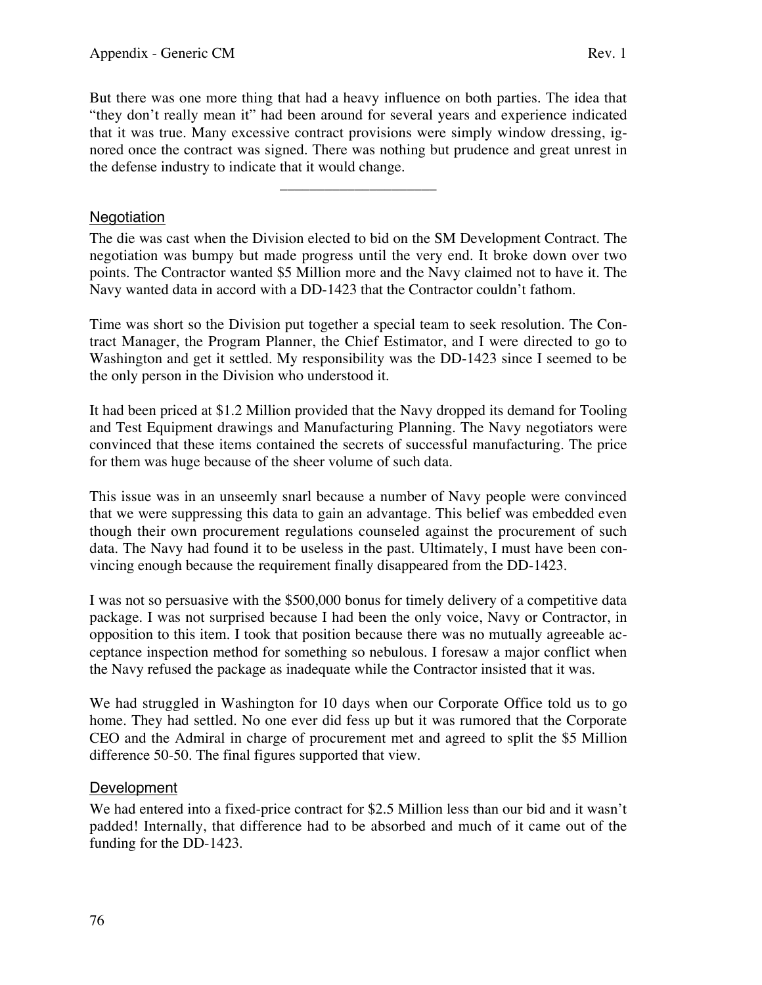But there was one more thing that had a heavy influence on both parties. The idea that "they don't really mean it" had been around for several years and experience indicated that it was true. Many excessive contract provisions were simply window dressing, ignored once the contract was signed. There was nothing but prudence and great unrest in the defense industry to indicate that it would change.

\_\_\_\_\_\_\_\_\_\_\_\_\_\_\_\_\_\_\_\_\_

#### **Negotiation**

The die was cast when the Division elected to bid on the SM Development Contract. The negotiation was bumpy but made progress until the very end. It broke down over two points. The Contractor wanted \$5 Million more and the Navy claimed not to have it. The Navy wanted data in accord with a DD-1423 that the Contractor couldn't fathom.

Time was short so the Division put together a special team to seek resolution. The Contract Manager, the Program Planner, the Chief Estimator, and I were directed to go to Washington and get it settled. My responsibility was the DD-1423 since I seemed to be the only person in the Division who understood it.

It had been priced at \$1.2 Million provided that the Navy dropped its demand for Tooling and Test Equipment drawings and Manufacturing Planning. The Navy negotiators were convinced that these items contained the secrets of successful manufacturing. The price for them was huge because of the sheer volume of such data.

This issue was in an unseemly snarl because a number of Navy people were convinced that we were suppressing this data to gain an advantage. This belief was embedded even though their own procurement regulations counseled against the procurement of such data. The Navy had found it to be useless in the past. Ultimately, I must have been convincing enough because the requirement finally disappeared from the DD-1423.

I was not so persuasive with the \$500,000 bonus for timely delivery of a competitive data package. I was not surprised because I had been the only voice, Navy or Contractor, in opposition to this item. I took that position because there was no mutually agreeable acceptance inspection method for something so nebulous. I foresaw a major conflict when the Navy refused the package as inadequate while the Contractor insisted that it was.

We had struggled in Washington for 10 days when our Corporate Office told us to go home. They had settled. No one ever did fess up but it was rumored that the Corporate CEO and the Admiral in charge of procurement met and agreed to split the \$5 Million difference 50-50. The final figures supported that view.

#### Development

We had entered into a fixed-price contract for \$2.5 Million less than our bid and it wasn't padded! Internally, that difference had to be absorbed and much of it came out of the funding for the DD-1423.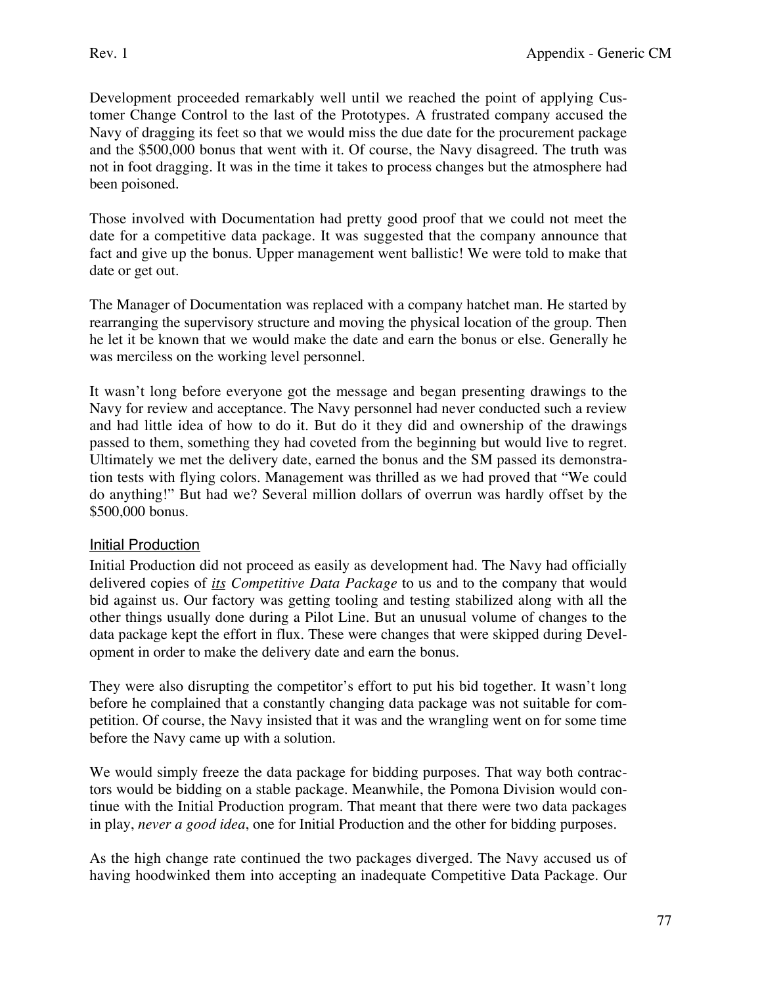Development proceeded remarkably well until we reached the point of applying Customer Change Control to the last of the Prototypes. A frustrated company accused the Navy of dragging its feet so that we would miss the due date for the procurement package and the \$500,000 bonus that went with it. Of course, the Navy disagreed. The truth was not in foot dragging. It was in the time it takes to process changes but the atmosphere had been poisoned.

Those involved with Documentation had pretty good proof that we could not meet the date for a competitive data package. It was suggested that the company announce that fact and give up the bonus. Upper management went ballistic! We were told to make that date or get out.

The Manager of Documentation was replaced with a company hatchet man. He started by rearranging the supervisory structure and moving the physical location of the group. Then he let it be known that we would make the date and earn the bonus or else. Generally he was merciless on the working level personnel.

It wasn't long before everyone got the message and began presenting drawings to the Navy for review and acceptance. The Navy personnel had never conducted such a review and had little idea of how to do it. But do it they did and ownership of the drawings passed to them, something they had coveted from the beginning but would live to regret. Ultimately we met the delivery date, earned the bonus and the SM passed its demonstration tests with flying colors. Management was thrilled as we had proved that "We could do anything!" But had we? Several million dollars of overrun was hardly offset by the \$500,000 bonus.

#### Initial Production

Initial Production did not proceed as easily as development had. The Navy had officially delivered copies of *its Competitive Data Package* to us and to the company that would bid against us. Our factory was getting tooling and testing stabilized along with all the other things usually done during a Pilot Line. But an unusual volume of changes to the data package kept the effort in flux. These were changes that were skipped during Development in order to make the delivery date and earn the bonus.

They were also disrupting the competitor's effort to put his bid together. It wasn't long before he complained that a constantly changing data package was not suitable for competition. Of course, the Navy insisted that it was and the wrangling went on for some time before the Navy came up with a solution.

We would simply freeze the data package for bidding purposes. That way both contractors would be bidding on a stable package. Meanwhile, the Pomona Division would continue with the Initial Production program. That meant that there were two data packages in play, *never a good idea*, one for Initial Production and the other for bidding purposes.

As the high change rate continued the two packages diverged. The Navy accused us of having hoodwinked them into accepting an inadequate Competitive Data Package. Our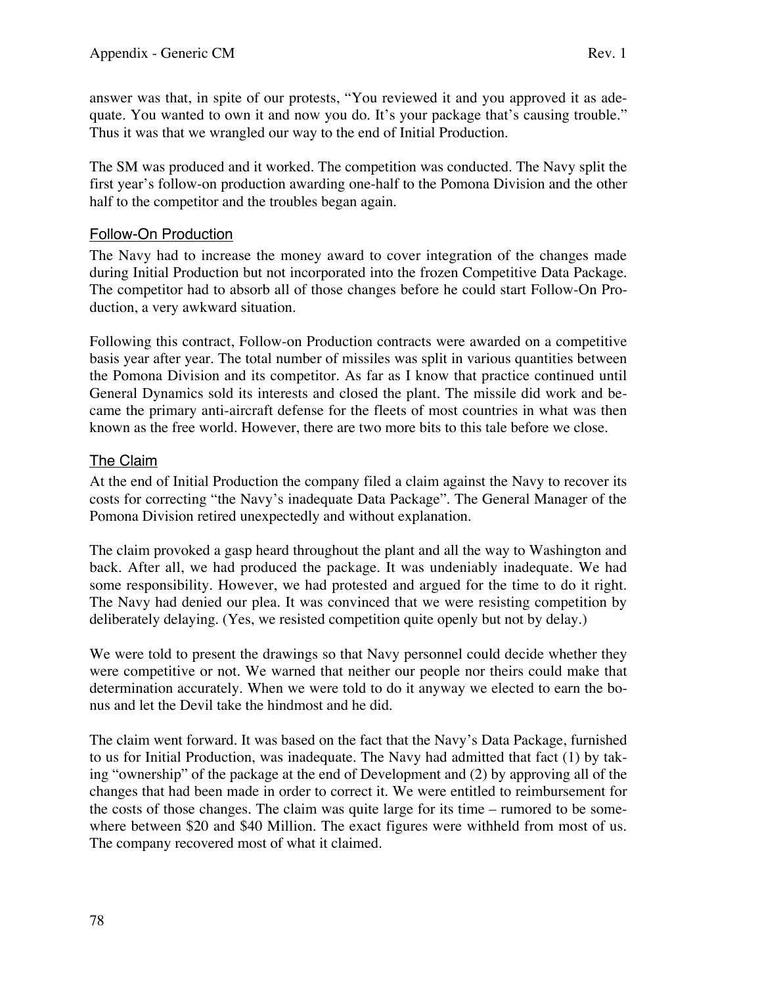answer was that, in spite of our protests, "You reviewed it and you approved it as adequate. You wanted to own it and now you do. It's your package that's causing trouble." Thus it was that we wrangled our way to the end of Initial Production.

The SM was produced and it worked. The competition was conducted. The Navy split the first year's follow-on production awarding one-half to the Pomona Division and the other half to the competitor and the troubles began again.

#### Follow-On Production

The Navy had to increase the money award to cover integration of the changes made during Initial Production but not incorporated into the frozen Competitive Data Package. The competitor had to absorb all of those changes before he could start Follow-On Production, a very awkward situation.

Following this contract, Follow-on Production contracts were awarded on a competitive basis year after year. The total number of missiles was split in various quantities between the Pomona Division and its competitor. As far as I know that practice continued until General Dynamics sold its interests and closed the plant. The missile did work and became the primary anti-aircraft defense for the fleets of most countries in what was then known as the free world. However, there are two more bits to this tale before we close.

#### The Claim

At the end of Initial Production the company filed a claim against the Navy to recover its costs for correcting "the Navy's inadequate Data Package". The General Manager of the Pomona Division retired unexpectedly and without explanation.

The claim provoked a gasp heard throughout the plant and all the way to Washington and back. After all, we had produced the package. It was undeniably inadequate. We had some responsibility. However, we had protested and argued for the time to do it right. The Navy had denied our plea. It was convinced that we were resisting competition by deliberately delaying. (Yes, we resisted competition quite openly but not by delay.)

We were told to present the drawings so that Navy personnel could decide whether they were competitive or not. We warned that neither our people nor theirs could make that determination accurately. When we were told to do it anyway we elected to earn the bonus and let the Devil take the hindmost and he did.

The claim went forward. It was based on the fact that the Navy's Data Package, furnished to us for Initial Production, was inadequate. The Navy had admitted that fact (1) by taking "ownership" of the package at the end of Development and (2) by approving all of the changes that had been made in order to correct it. We were entitled to reimbursement for the costs of those changes. The claim was quite large for its time – rumored to be somewhere between \$20 and \$40 Million. The exact figures were withheld from most of us. The company recovered most of what it claimed.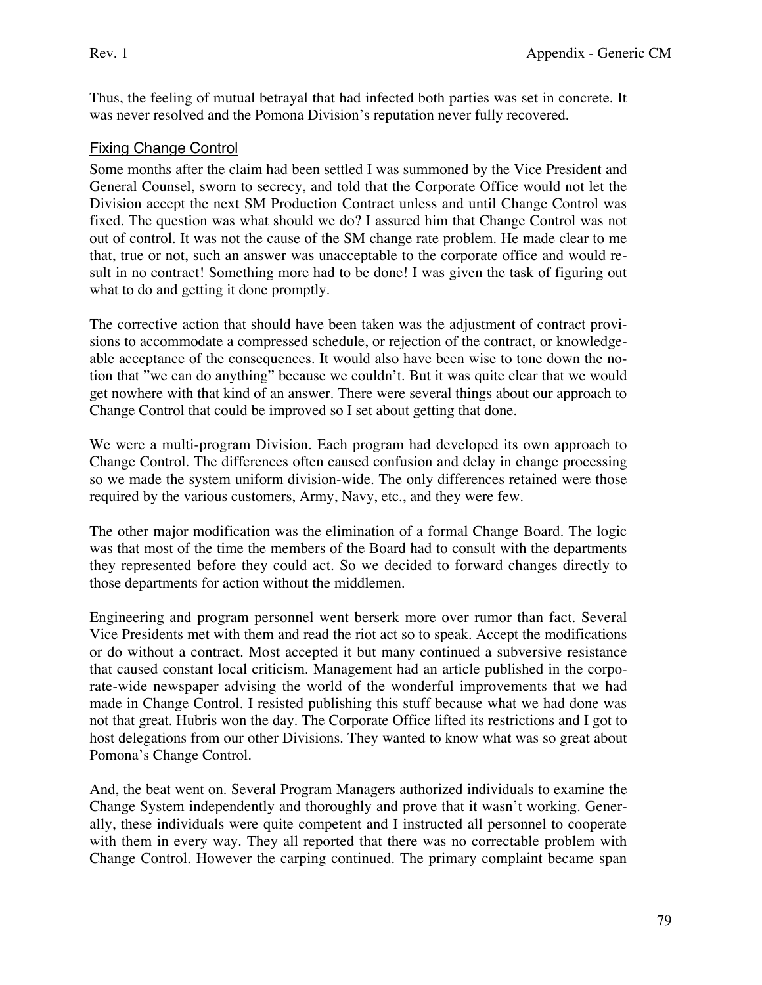Thus, the feeling of mutual betrayal that had infected both parties was set in concrete. It was never resolved and the Pomona Division's reputation never fully recovered.

### Fixing Change Control

Some months after the claim had been settled I was summoned by the Vice President and General Counsel, sworn to secrecy, and told that the Corporate Office would not let the Division accept the next SM Production Contract unless and until Change Control was fixed. The question was what should we do? I assured him that Change Control was not out of control. It was not the cause of the SM change rate problem. He made clear to me that, true or not, such an answer was unacceptable to the corporate office and would result in no contract! Something more had to be done! I was given the task of figuring out what to do and getting it done promptly.

The corrective action that should have been taken was the adjustment of contract provisions to accommodate a compressed schedule, or rejection of the contract, or knowledgeable acceptance of the consequences. It would also have been wise to tone down the notion that "we can do anything" because we couldn't. But it was quite clear that we would get nowhere with that kind of an answer. There were several things about our approach to Change Control that could be improved so I set about getting that done.

We were a multi-program Division. Each program had developed its own approach to Change Control. The differences often caused confusion and delay in change processing so we made the system uniform division-wide. The only differences retained were those required by the various customers, Army, Navy, etc., and they were few.

The other major modification was the elimination of a formal Change Board. The logic was that most of the time the members of the Board had to consult with the departments they represented before they could act. So we decided to forward changes directly to those departments for action without the middlemen.

Engineering and program personnel went berserk more over rumor than fact. Several Vice Presidents met with them and read the riot act so to speak. Accept the modifications or do without a contract. Most accepted it but many continued a subversive resistance that caused constant local criticism. Management had an article published in the corporate-wide newspaper advising the world of the wonderful improvements that we had made in Change Control. I resisted publishing this stuff because what we had done was not that great. Hubris won the day. The Corporate Office lifted its restrictions and I got to host delegations from our other Divisions. They wanted to know what was so great about Pomona's Change Control.

And, the beat went on. Several Program Managers authorized individuals to examine the Change System independently and thoroughly and prove that it wasn't working. Generally, these individuals were quite competent and I instructed all personnel to cooperate with them in every way. They all reported that there was no correctable problem with Change Control. However the carping continued. The primary complaint became span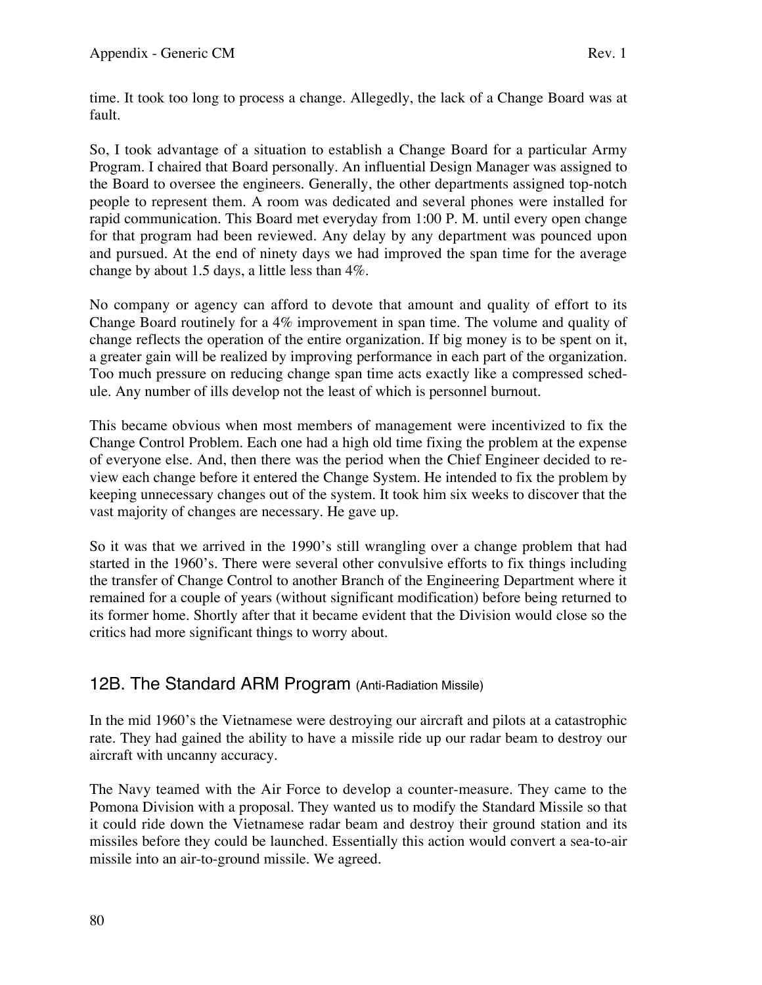time. It took too long to process a change. Allegedly, the lack of a Change Board was at fault.

So, I took advantage of a situation to establish a Change Board for a particular Army Program. I chaired that Board personally. An influential Design Manager was assigned to the Board to oversee the engineers. Generally, the other departments assigned top-notch people to represent them. A room was dedicated and several phones were installed for rapid communication. This Board met everyday from 1:00 P. M. until every open change for that program had been reviewed. Any delay by any department was pounced upon and pursued. At the end of ninety days we had improved the span time for the average change by about 1.5 days, a little less than 4%.

No company or agency can afford to devote that amount and quality of effort to its Change Board routinely for a 4% improvement in span time. The volume and quality of change reflects the operation of the entire organization. If big money is to be spent on it, a greater gain will be realized by improving performance in each part of the organization. Too much pressure on reducing change span time acts exactly like a compressed schedule. Any number of ills develop not the least of which is personnel burnout.

This became obvious when most members of management were incentivized to fix the Change Control Problem. Each one had a high old time fixing the problem at the expense of everyone else. And, then there was the period when the Chief Engineer decided to review each change before it entered the Change System. He intended to fix the problem by keeping unnecessary changes out of the system. It took him six weeks to discover that the vast majority of changes are necessary. He gave up.

So it was that we arrived in the 1990's still wrangling over a change problem that had started in the 1960's. There were several other convulsive efforts to fix things including the transfer of Change Control to another Branch of the Engineering Department where it remained for a couple of years (without significant modification) before being returned to its former home. Shortly after that it became evident that the Division would close so the critics had more significant things to worry about.

## 12B. The Standard ARM Program (Anti-Radiation Missile)

In the mid 1960's the Vietnamese were destroying our aircraft and pilots at a catastrophic rate. They had gained the ability to have a missile ride up our radar beam to destroy our aircraft with uncanny accuracy.

The Navy teamed with the Air Force to develop a counter-measure. They came to the Pomona Division with a proposal. They wanted us to modify the Standard Missile so that it could ride down the Vietnamese radar beam and destroy their ground station and its missiles before they could be launched. Essentially this action would convert a sea-to-air missile into an air-to-ground missile. We agreed.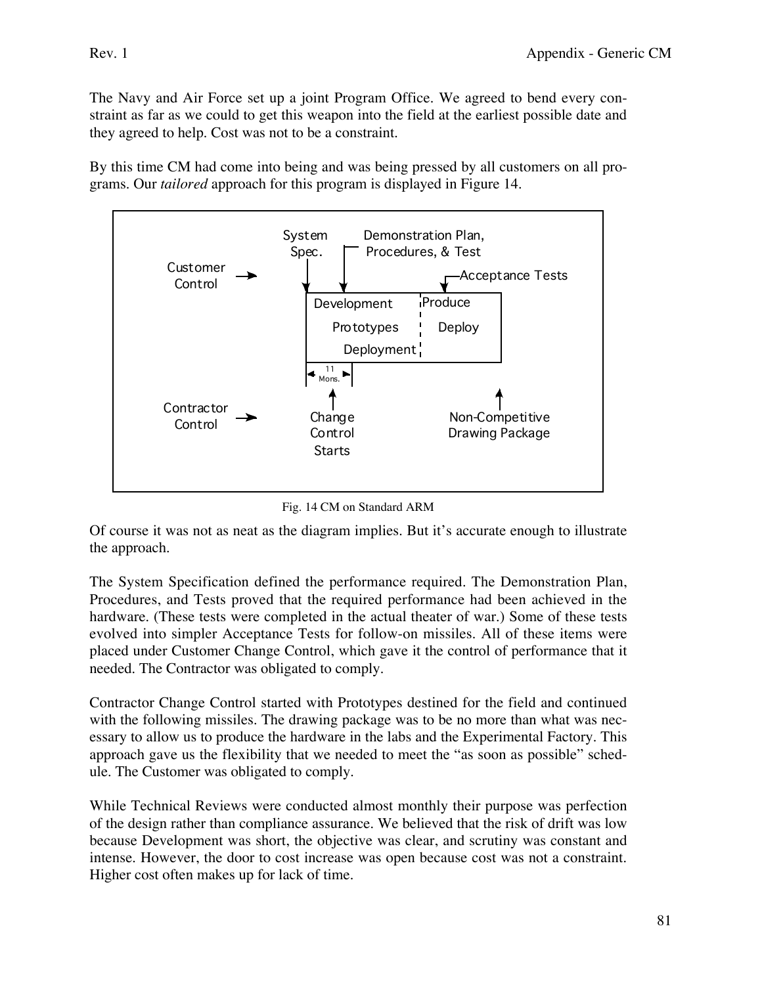The Navy and Air Force set up a joint Program Office. We agreed to bend every constraint as far as we could to get this weapon into the field at the earliest possible date and they agreed to help. Cost was not to be a constraint.

By this time CM had come into being and was being pressed by all customers on all programs. Our *tailored* approach for this program is displayed in Figure 14.



Fig. 14 CM on Standard ARM

Of course it was not as neat as the diagram implies. But it's accurate enough to illustrate the approach.

The System Specification defined the performance required. The Demonstration Plan, Procedures, and Tests proved that the required performance had been achieved in the hardware. (These tests were completed in the actual theater of war.) Some of these tests evolved into simpler Acceptance Tests for follow-on missiles. All of these items were placed under Customer Change Control, which gave it the control of performance that it needed. The Contractor was obligated to comply.

Contractor Change Control started with Prototypes destined for the field and continued with the following missiles. The drawing package was to be no more than what was necessary to allow us to produce the hardware in the labs and the Experimental Factory. This approach gave us the flexibility that we needed to meet the "as soon as possible" schedule. The Customer was obligated to comply.

While Technical Reviews were conducted almost monthly their purpose was perfection of the design rather than compliance assurance. We believed that the risk of drift was low because Development was short, the objective was clear, and scrutiny was constant and intense. However, the door to cost increase was open because cost was not a constraint. Higher cost often makes up for lack of time.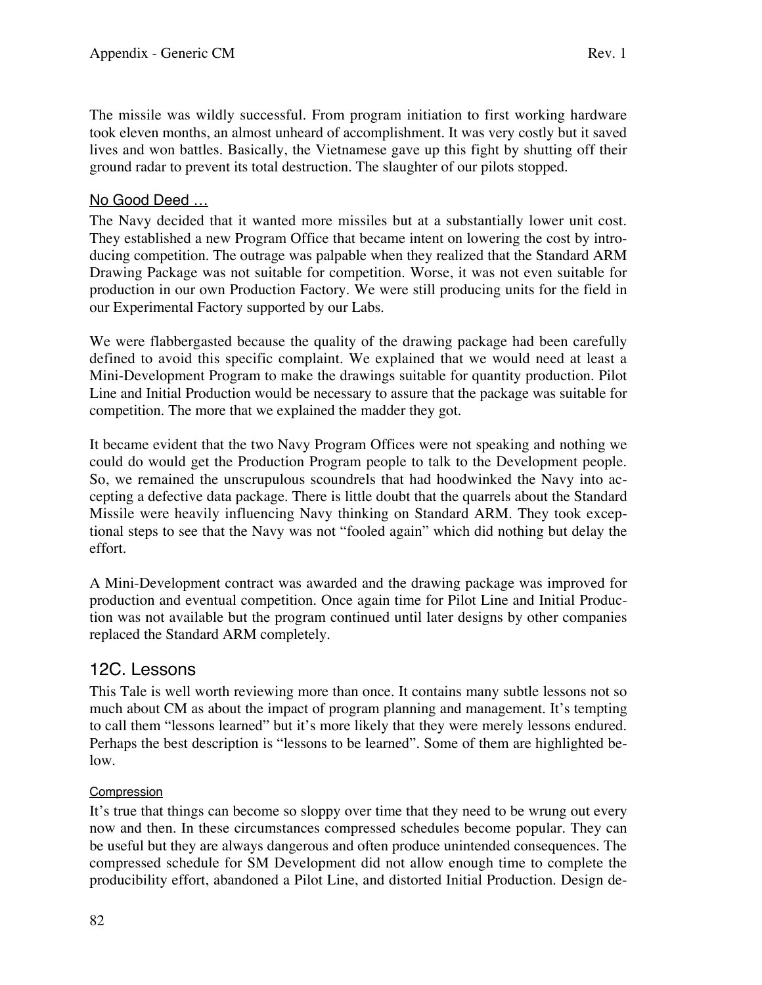The missile was wildly successful. From program initiation to first working hardware took eleven months, an almost unheard of accomplishment. It was very costly but it saved lives and won battles. Basically, the Vietnamese gave up this fight by shutting off their ground radar to prevent its total destruction. The slaughter of our pilots stopped.

### No Good Deed …

The Navy decided that it wanted more missiles but at a substantially lower unit cost. They established a new Program Office that became intent on lowering the cost by introducing competition. The outrage was palpable when they realized that the Standard ARM Drawing Package was not suitable for competition. Worse, it was not even suitable for production in our own Production Factory. We were still producing units for the field in our Experimental Factory supported by our Labs.

We were flabbergasted because the quality of the drawing package had been carefully defined to avoid this specific complaint. We explained that we would need at least a Mini-Development Program to make the drawings suitable for quantity production. Pilot Line and Initial Production would be necessary to assure that the package was suitable for competition. The more that we explained the madder they got.

It became evident that the two Navy Program Offices were not speaking and nothing we could do would get the Production Program people to talk to the Development people. So, we remained the unscrupulous scoundrels that had hoodwinked the Navy into accepting a defective data package. There is little doubt that the quarrels about the Standard Missile were heavily influencing Navy thinking on Standard ARM. They took exceptional steps to see that the Navy was not "fooled again" which did nothing but delay the effort.

A Mini-Development contract was awarded and the drawing package was improved for production and eventual competition. Once again time for Pilot Line and Initial Production was not available but the program continued until later designs by other companies replaced the Standard ARM completely.

## 12C. Lessons

This Tale is well worth reviewing more than once. It contains many subtle lessons not so much about CM as about the impact of program planning and management. It's tempting to call them "lessons learned" but it's more likely that they were merely lessons endured. Perhaps the best description is "lessons to be learned". Some of them are highlighted below.

#### Compression

It's true that things can become so sloppy over time that they need to be wrung out every now and then. In these circumstances compressed schedules become popular. They can be useful but they are always dangerous and often produce unintended consequences. The compressed schedule for SM Development did not allow enough time to complete the producibility effort, abandoned a Pilot Line, and distorted Initial Production. Design de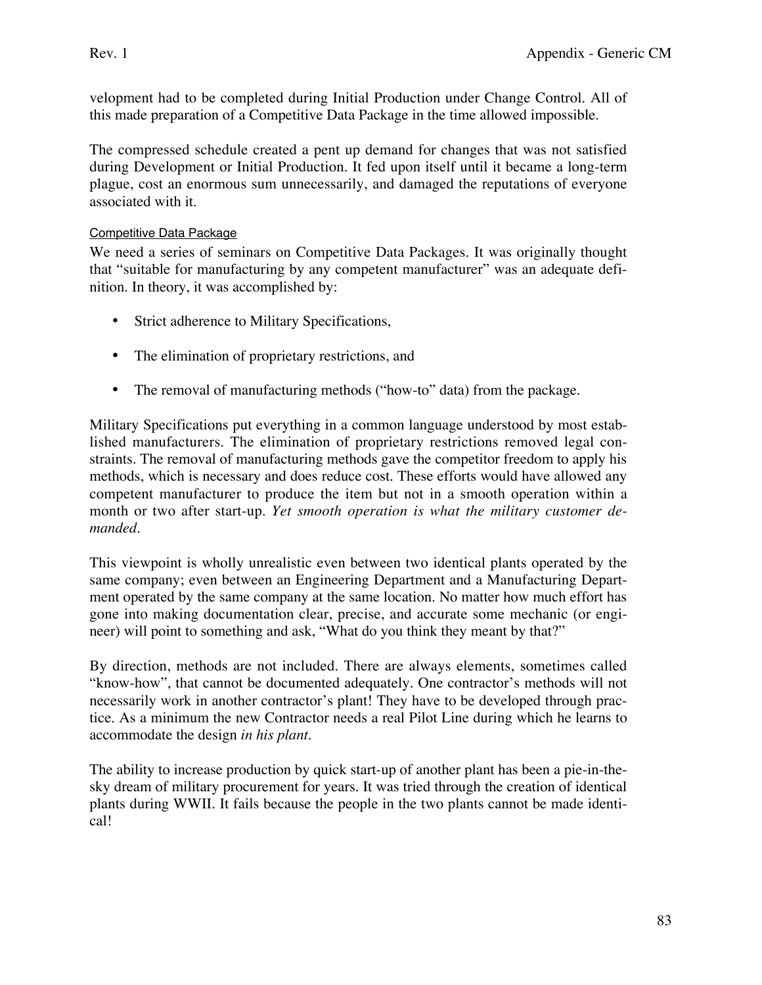velopment had to be completed during Initial Production under Change Control. All of this made preparation of a Competitive Data Package in the time allowed impossible.

The compressed schedule created a pent up demand for changes that was not satisfied during Development or Initial Production. It fed upon itself until it became a long-term plague, cost an enormous sum unnecessarily, and damaged the reputations of everyone associated with it.

#### Competitive Data Package

We need a series of seminars on Competitive Data Packages. It was originally thought that "suitable for manufacturing by any competent manufacturer" was an adequate definition. In theory, it was accomplished by:

- Strict adherence to Military Specifications,
- The elimination of proprietary restrictions, and
- The removal of manufacturing methods ("how-to" data) from the package.

Military Specifications put everything in a common language understood by most established manufacturers. The elimination of proprietary restrictions removed legal constraints. The removal of manufacturing methods gave the competitor freedom to apply his methods, which is necessary and does reduce cost. These efforts would have allowed any competent manufacturer to produce the item but not in a smooth operation within a month or two after start-up. *Yet smooth operation is what the military customer demanded*.

This viewpoint is wholly unrealistic even between two identical plants operated by the same company; even between an Engineering Department and a Manufacturing Department operated by the same company at the same location. No matter how much effort has gone into making documentation clear, precise, and accurate some mechanic (or engineer) will point to something and ask, "What do you think they meant by that?"

By direction, methods are not included. There are always elements, sometimes called "know-how", that cannot be documented adequately. One contractor's methods will not necessarily work in another contractor's plant! They have to be developed through practice. As a minimum the new Contractor needs a real Pilot Line during which he learns to accommodate the design *in his plant*.

The ability to increase production by quick start-up of another plant has been a pie-in-thesky dream of military procurement for years. It was tried through the creation of identical plants during WWII. It fails because the people in the two plants cannot be made identical!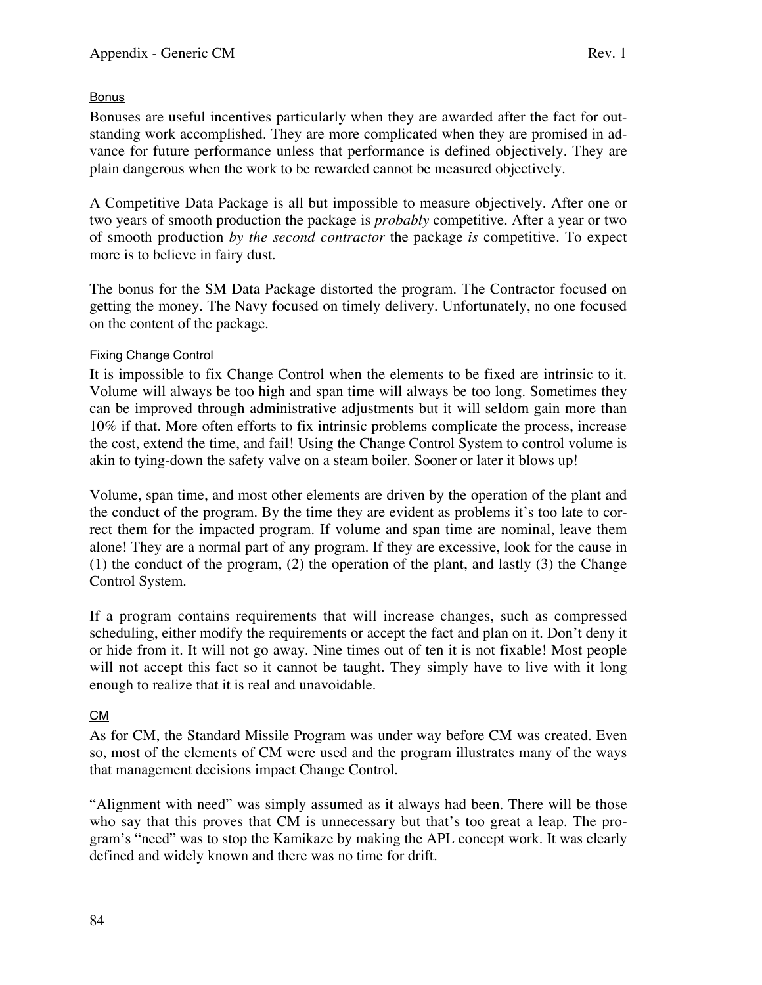#### Bonus

Bonuses are useful incentives particularly when they are awarded after the fact for outstanding work accomplished. They are more complicated when they are promised in advance for future performance unless that performance is defined objectively. They are plain dangerous when the work to be rewarded cannot be measured objectively.

A Competitive Data Package is all but impossible to measure objectively. After one or two years of smooth production the package is *probably* competitive. After a year or two of smooth production *by the second contractor* the package *is* competitive. To expect more is to believe in fairy dust.

The bonus for the SM Data Package distorted the program. The Contractor focused on getting the money. The Navy focused on timely delivery. Unfortunately, no one focused on the content of the package.

#### Fixing Change Control

It is impossible to fix Change Control when the elements to be fixed are intrinsic to it. Volume will always be too high and span time will always be too long. Sometimes they can be improved through administrative adjustments but it will seldom gain more than 10% if that. More often efforts to fix intrinsic problems complicate the process, increase the cost, extend the time, and fail! Using the Change Control System to control volume is akin to tying-down the safety valve on a steam boiler. Sooner or later it blows up!

Volume, span time, and most other elements are driven by the operation of the plant and the conduct of the program. By the time they are evident as problems it's too late to correct them for the impacted program. If volume and span time are nominal, leave them alone! They are a normal part of any program. If they are excessive, look for the cause in (1) the conduct of the program, (2) the operation of the plant, and lastly (3) the Change Control System.

If a program contains requirements that will increase changes, such as compressed scheduling, either modify the requirements or accept the fact and plan on it. Don't deny it or hide from it. It will not go away. Nine times out of ten it is not fixable! Most people will not accept this fact so it cannot be taught. They simply have to live with it long enough to realize that it is real and unavoidable.

#### CM

As for CM, the Standard Missile Program was under way before CM was created. Even so, most of the elements of CM were used and the program illustrates many of the ways that management decisions impact Change Control.

"Alignment with need" was simply assumed as it always had been. There will be those who say that this proves that CM is unnecessary but that's too great a leap. The program's "need" was to stop the Kamikaze by making the APL concept work. It was clearly defined and widely known and there was no time for drift.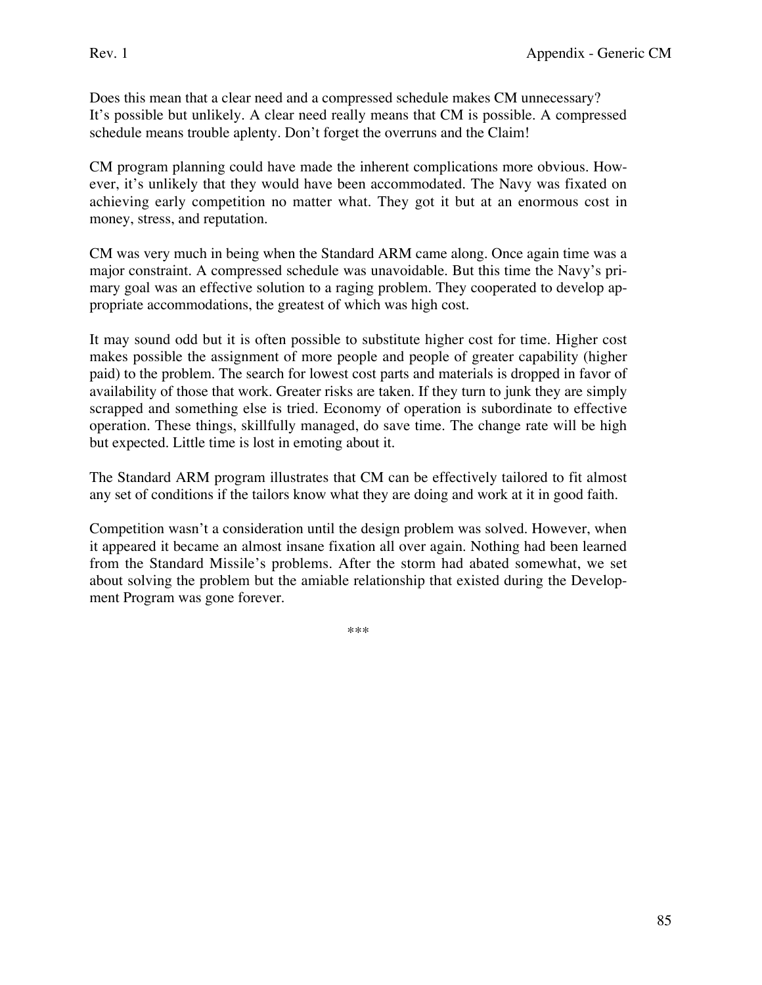Does this mean that a clear need and a compressed schedule makes CM unnecessary? It's possible but unlikely. A clear need really means that CM is possible. A compressed schedule means trouble aplenty. Don't forget the overruns and the Claim!

CM program planning could have made the inherent complications more obvious. However, it's unlikely that they would have been accommodated. The Navy was fixated on achieving early competition no matter what. They got it but at an enormous cost in money, stress, and reputation.

CM was very much in being when the Standard ARM came along. Once again time was a major constraint. A compressed schedule was unavoidable. But this time the Navy's primary goal was an effective solution to a raging problem. They cooperated to develop appropriate accommodations, the greatest of which was high cost.

It may sound odd but it is often possible to substitute higher cost for time. Higher cost makes possible the assignment of more people and people of greater capability (higher paid) to the problem. The search for lowest cost parts and materials is dropped in favor of availability of those that work. Greater risks are taken. If they turn to junk they are simply scrapped and something else is tried. Economy of operation is subordinate to effective operation. These things, skillfully managed, do save time. The change rate will be high but expected. Little time is lost in emoting about it.

The Standard ARM program illustrates that CM can be effectively tailored to fit almost any set of conditions if the tailors know what they are doing and work at it in good faith.

Competition wasn't a consideration until the design problem was solved. However, when it appeared it became an almost insane fixation all over again. Nothing had been learned from the Standard Missile's problems. After the storm had abated somewhat, we set about solving the problem but the amiable relationship that existed during the Development Program was gone forever.

\*\*\*